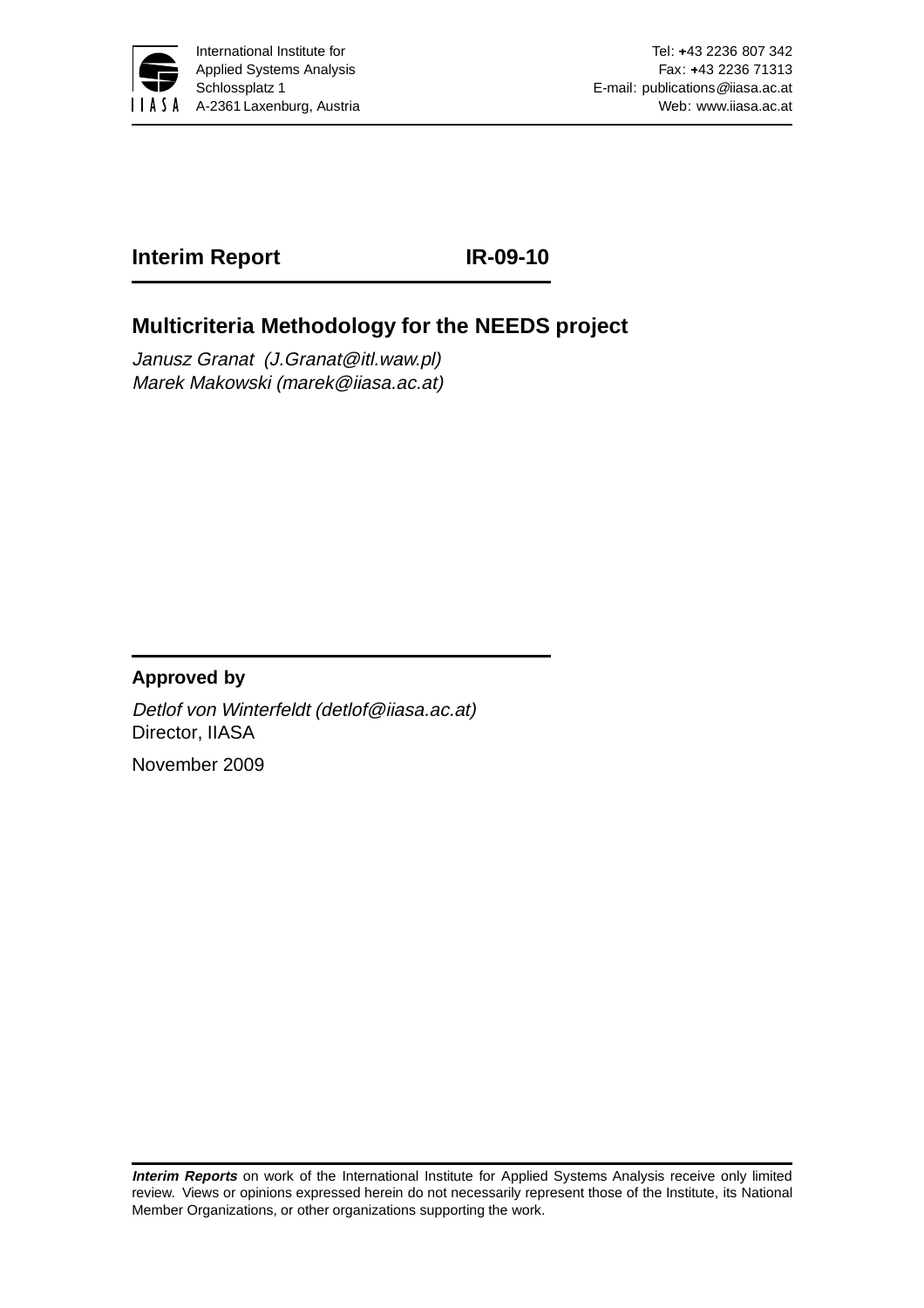

## **Interim Report IR-09-10**

# **Multicriteria Methodology for the NEEDS project**

Janusz Granat (J.Granat@itl.waw.pl) Marek Makowski (marek@iiasa.ac.at)

## **Approved by**

Detlof von Winterfeldt (detlof@iiasa.ac.at) Director, IIASA

November 2009

**Interim Reports** on work of the International Institute for Applied Systems Analysis receive only limited review. Views or opinions expressed herein do not necessarily represent those of the Institute, its National Member Organizations, or other organizations supporting the work.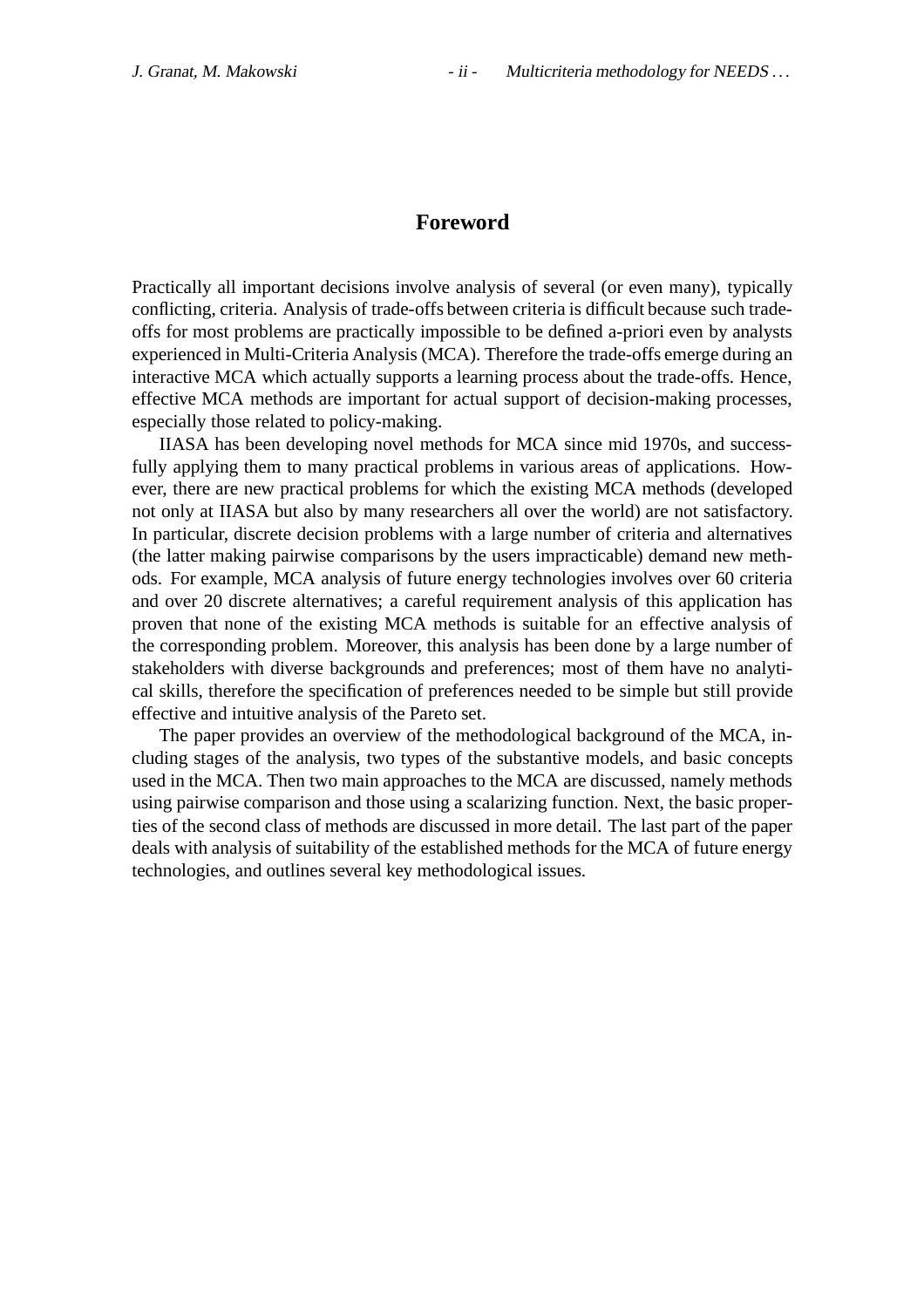#### **Foreword**

Practically all important decisions involve analysis of several (or even many), typically conflicting, criteria. Analysis of trade-offs between criteria is difficult because such tradeoffs for most problems are practically impossible to be defined a-priori even by analysts experienced in Multi-Criteria Analysis (MCA). Therefore the trade-offs emerge during an interactive MCA which actually supports a learning process about the trade-offs. Hence, effective MCA methods are important for actual support of decision-making processes, especially those related to policy-making.

IIASA has been developing novel methods for MCA since mid 1970s, and successfully applying them to many practical problems in various areas of applications. However, there are new practical problems for which the existing MCA methods (developed not only at IIASA but also by many researchers all over the world) are not satisfactory. In particular, discrete decision problems with a large number of criteria and alternatives (the latter making pairwise comparisons by the users impracticable) demand new methods. For example, MCA analysis of future energy technologies involves over 60 criteria and over 20 discrete alternatives; a careful requirement analysis of this application has proven that none of the existing MCA methods is suitable for an effective analysis of the corresponding problem. Moreover, this analysis has been done by a large number of stakeholders with diverse backgrounds and preferences; most of them have no analytical skills, therefore the specification of preferences needed to be simple but still provide effective and intuitive analysis of the Pareto set.

The paper provides an overview of the methodological background of the MCA, including stages of the analysis, two types of the substantive models, and basic concepts used in the MCA. Then two main approaches to the MCA are discussed, namely methods using pairwise comparison and those using a scalarizing function. Next, the basic properties of the second class of methods are discussed in more detail. The last part of the paper deals with analysis of suitability of the established methods for the MCA of future energy technologies, and outlines several key methodological issues.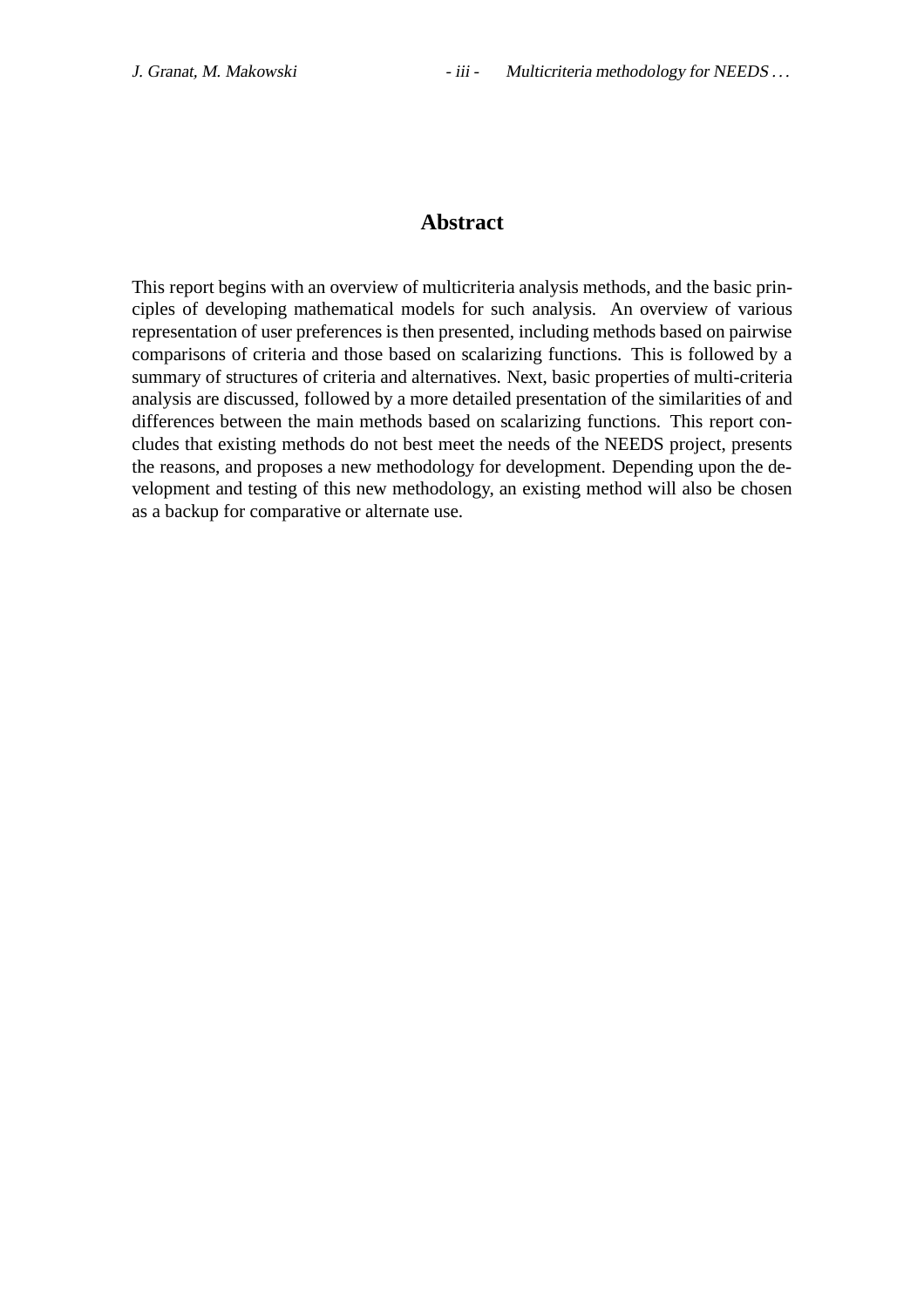## **Abstract**

This report begins with an overview of multicriteria analysis methods, and the basic principles of developing mathematical models for such analysis. An overview of various representation of user preferences is then presented, including methods based on pairwise comparisons of criteria and those based on scalarizing functions. This is followed by a summary of structures of criteria and alternatives. Next, basic properties of multi-criteria analysis are discussed, followed by a more detailed presentation of the similarities of and differences between the main methods based on scalarizing functions. This report concludes that existing methods do not best meet the needs of the NEEDS project, presents the reasons, and proposes a new methodology for development. Depending upon the development and testing of this new methodology, an existing method will also be chosen as a backup for comparative or alternate use.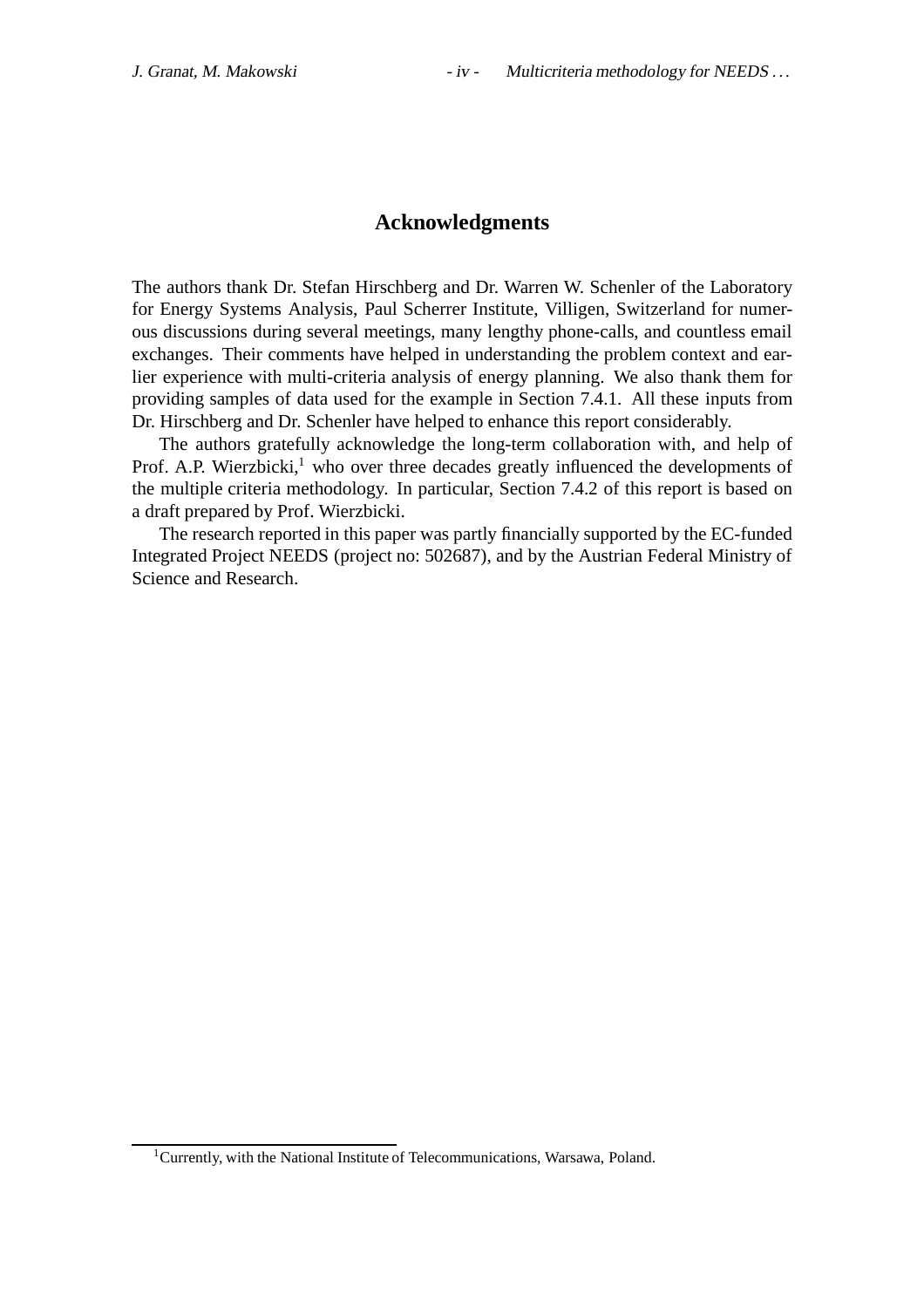## **Acknowledgments**

The authors thank Dr. Stefan Hirschberg and Dr. Warren W. Schenler of the Laboratory for Energy Systems Analysis, Paul Scherrer Institute, Villigen, Switzerland for numerous discussions during several meetings, many lengthy phone-calls, and countless email exchanges. Their comments have helped in understanding the problem context and earlier experience with multi-criteria analysis of energy planning. We also thank them for providing samples of data used for the example in Section 7.4.1. All these inputs from Dr. Hirschberg and Dr. Schenler have helped to enhance this report considerably.

The authors gratefully acknowledge the long-term collaboration with, and help of Prof. A.P. Wierzbicki, $<sup>1</sup>$  who over three decades greatly influenced the developments of</sup> the multiple criteria methodology. In particular, Section 7.4.2 of this report is based on a draft prepared by Prof. Wierzbicki.

The research reported in this paper was partly financially supported by the EC-funded Integrated Project NEEDS (project no: 502687), and by the Austrian Federal Ministry of Science and Research.

<sup>&</sup>lt;sup>1</sup>Currently, with the National Institute of Telecommunications, Warsawa, Poland.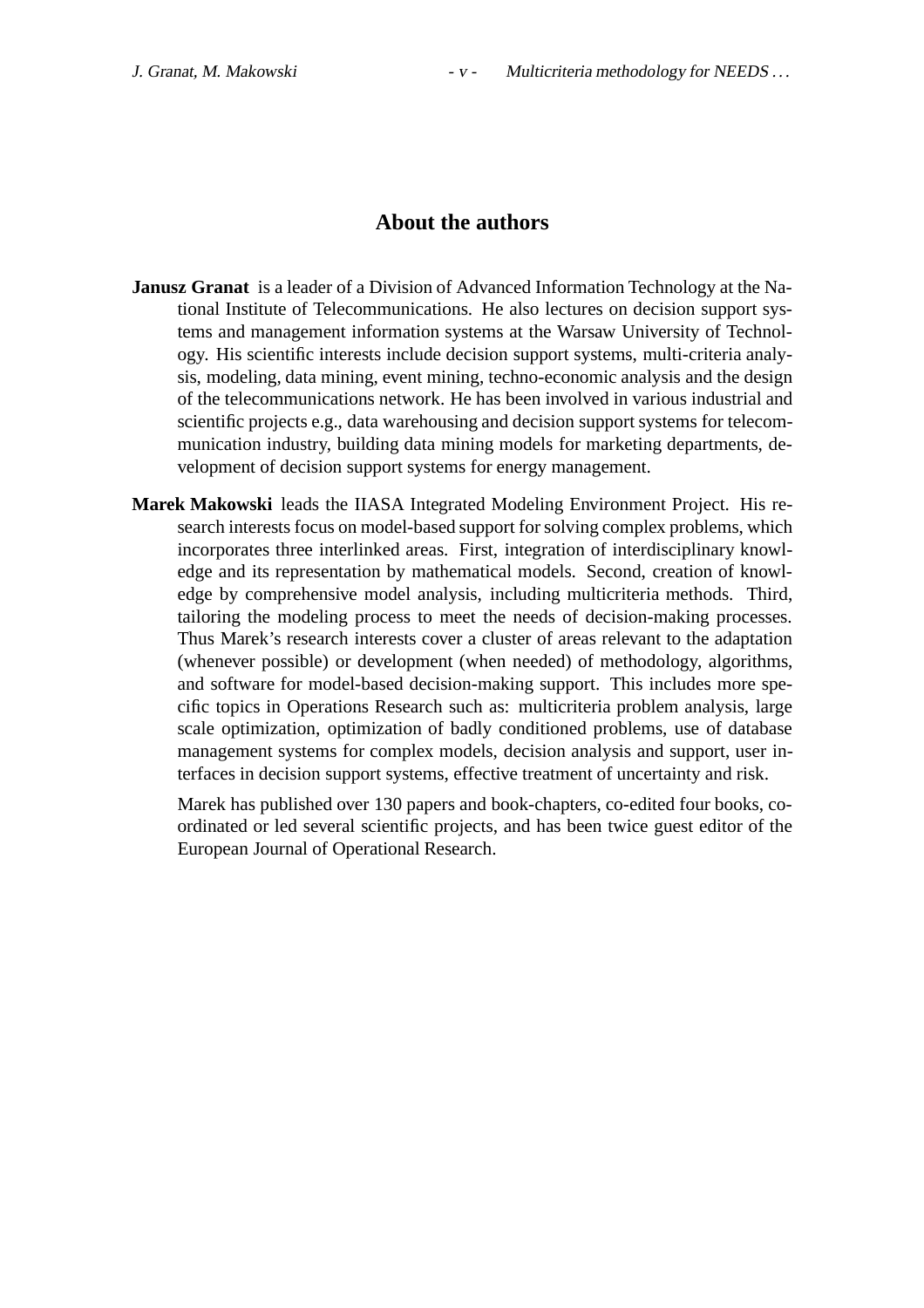## **About the authors**

- **Janusz Granat** is a leader of a Division of Advanced Information Technology at the National Institute of Telecommunications. He also lectures on decision support systems and management information systems at the Warsaw University of Technology. His scientific interests include decision support systems, multi-criteria analysis, modeling, data mining, event mining, techno-economic analysis and the design of the telecommunications network. He has been involved in various industrial and scientific projects e.g., data warehousing and decision support systems for telecommunication industry, building data mining models for marketing departments, development of decision support systems for energy management.
- **Marek Makowski** leads the IIASA Integrated Modeling Environment Project. His research interests focus on model-based support for solving complex problems, which incorporates three interlinked areas. First, integration of interdisciplinary knowledge and its representation by mathematical models. Second, creation of knowledge by comprehensive model analysis, including multicriteria methods. Third, tailoring the modeling process to meet the needs of decision-making processes. Thus Marek's research interests cover a cluster of areas relevant to the adaptation (whenever possible) or development (when needed) of methodology, algorithms, and software for model-based decision-making support. This includes more specific topics in Operations Research such as: multicriteria problem analysis, large scale optimization, optimization of badly conditioned problems, use of database management systems for complex models, decision analysis and support, user interfaces in decision support systems, effective treatment of uncertainty and risk.

Marek has published over 130 papers and book-chapters, co-edited four books, coordinated or led several scientific projects, and has been twice guest editor of the European Journal of Operational Research.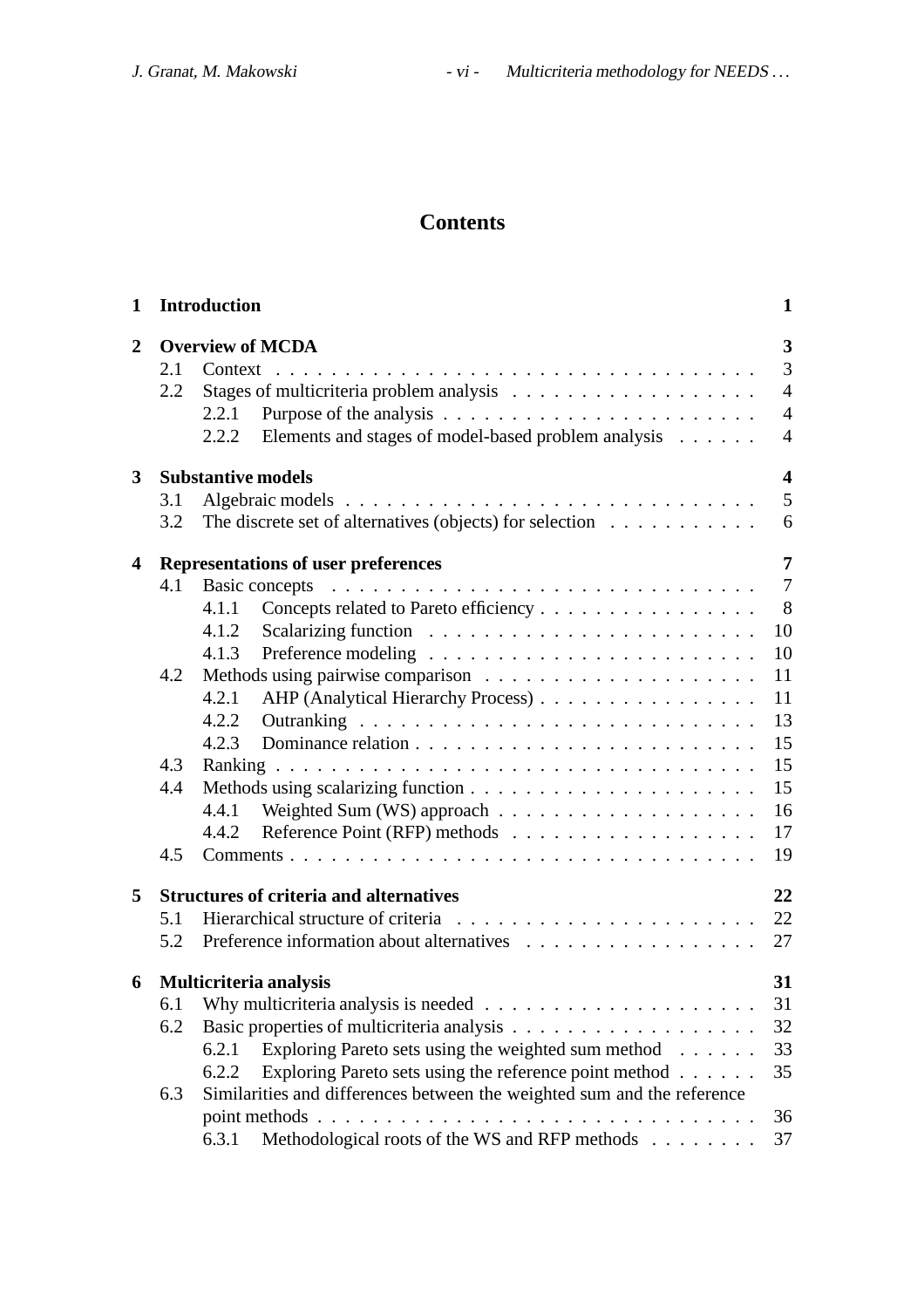# **Contents**

| $\mathbf{1}$   |     | <b>Introduction</b>                                                          | $\mathbf{1}$            |
|----------------|-----|------------------------------------------------------------------------------|-------------------------|
| $\overline{2}$ |     | <b>Overview of MCDA</b>                                                      | $\overline{\mathbf{3}}$ |
|                | 2.1 |                                                                              | 3                       |
|                | 2.2 |                                                                              | $\overline{4}$          |
|                |     | 2.2.1                                                                        | $\overline{4}$          |
|                |     | Elements and stages of model-based problem analysis<br>2.2.2                 | $\overline{4}$          |
| 3              |     | <b>Substantive models</b>                                                    | $\overline{\mathbf{4}}$ |
|                | 3.1 |                                                                              | 5                       |
|                | 3.2 | The discrete set of alternatives (objects) for selection $\dots \dots \dots$ | 6                       |
| 4              |     | <b>Representations of user preferences</b>                                   | $\overline{7}$          |
|                | 4.1 | Basic concepts                                                               | $\overline{7}$          |
|                |     | Concepts related to Pareto efficiency<br>4.1.1                               | 8                       |
|                |     | 4.1.2                                                                        | 10                      |
|                |     | 4.1.3                                                                        | 10                      |
|                | 4.2 |                                                                              | 11                      |
|                |     | 4.2.1<br>AHP (Analytical Hierarchy Process)                                  | 11                      |
|                |     | 4.2.2                                                                        | 13                      |
|                |     | 4.2.3                                                                        | 15                      |
|                | 4.3 |                                                                              | 15                      |
|                | 4.4 |                                                                              | 15                      |
|                |     | 4.4.1                                                                        | 16                      |
|                |     | 4.4.2                                                                        | 17                      |
|                | 4.5 |                                                                              | 19                      |
| 5              |     | <b>Structures of criteria and alternatives</b>                               | 22                      |
|                | 5.1 |                                                                              | 22                      |
|                | 5.2 |                                                                              | 27                      |
| 6              |     | Multicriteria analysis                                                       | 31                      |
|                | 6.1 |                                                                              | 31                      |
|                | 6.2 |                                                                              | 32                      |
|                |     | Exploring Pareto sets using the weighted sum method<br>6.2.1                 | 33                      |
|                |     | Exploring Pareto sets using the reference point method<br>6.2.2              | 35                      |
|                | 6.3 | Similarities and differences between the weighted sum and the reference      |                         |
|                |     |                                                                              | 36                      |
|                |     | Methodological roots of the WS and RFP methods<br>6.3.1                      | 37                      |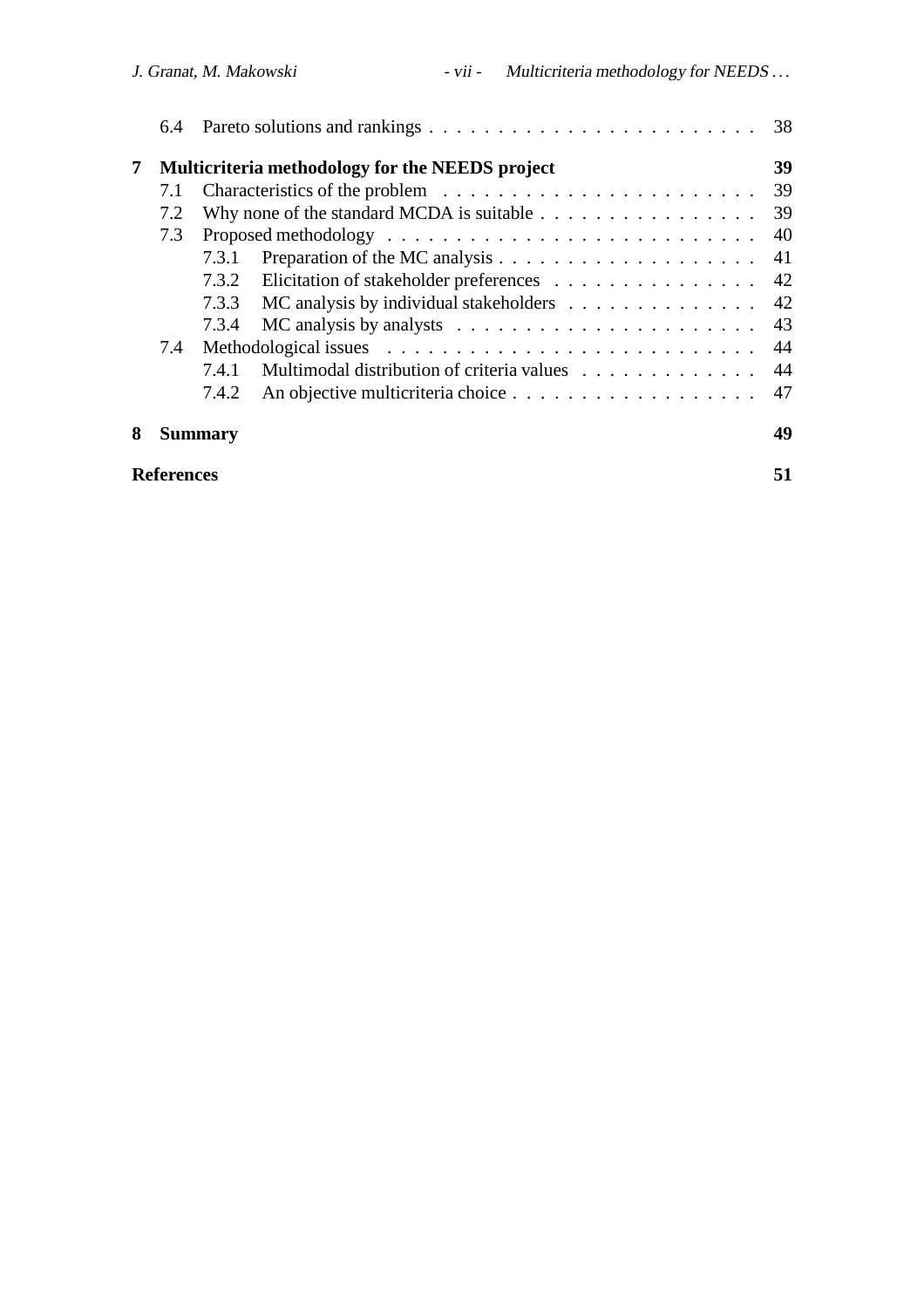|   | 6.4               |                |                                                                                | 38 |
|---|-------------------|----------------|--------------------------------------------------------------------------------|----|
| 7 |                   |                | Multicriteria methodology for the NEEDS project                                | 39 |
|   | 7.1               |                |                                                                                | 39 |
|   | 7.2               |                | Why none of the standard MCDA is suitable $\ldots \ldots \ldots \ldots \ldots$ | 39 |
|   | 7.3               |                |                                                                                | 40 |
|   |                   | 7.3.1          |                                                                                | 41 |
|   |                   | 7.3.2          | Elicitation of stakeholder preferences                                         | 42 |
|   |                   | 7.3.3          | MC analysis by individual stakeholders                                         | 42 |
|   |                   | 7.3.4          |                                                                                | 43 |
|   | 7.4               |                |                                                                                | 44 |
|   |                   | 7.4.1          | Multimodal distribution of criteria values                                     | 44 |
|   |                   | 7.4.2          |                                                                                | 47 |
| 8 |                   | <b>Summary</b> |                                                                                | 49 |
|   | <b>References</b> |                |                                                                                | 51 |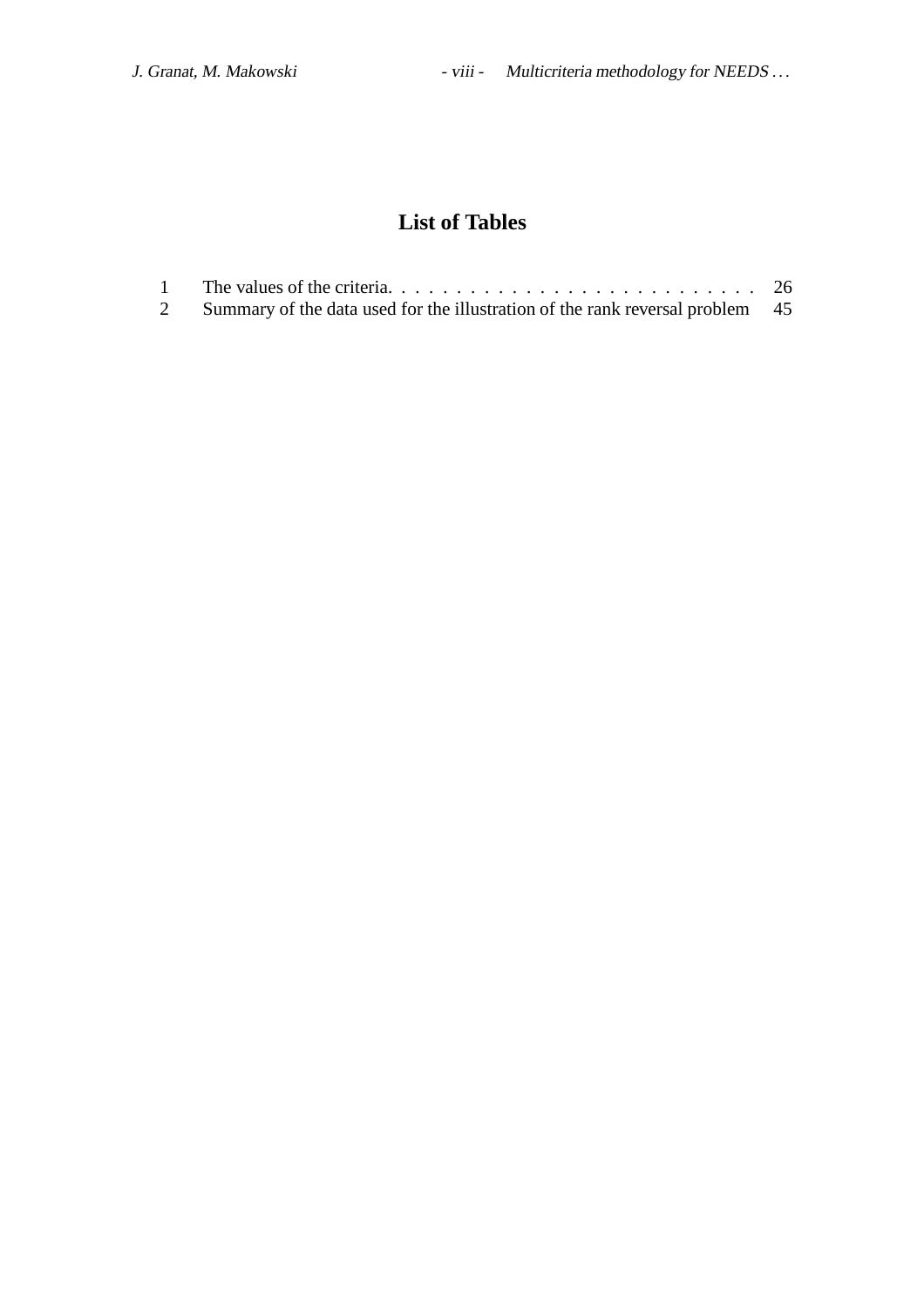# **List of Tables**

|   | The values of the criteria. $\ldots$ , $\ldots$ , $\ldots$ , $\ldots$ , $\ldots$ , $\ldots$ , $\ldots$ , $\ldots$ , 26 |  |
|---|------------------------------------------------------------------------------------------------------------------------|--|
| 2 | Summary of the data used for the illustration of the rank reversal problem 45                                          |  |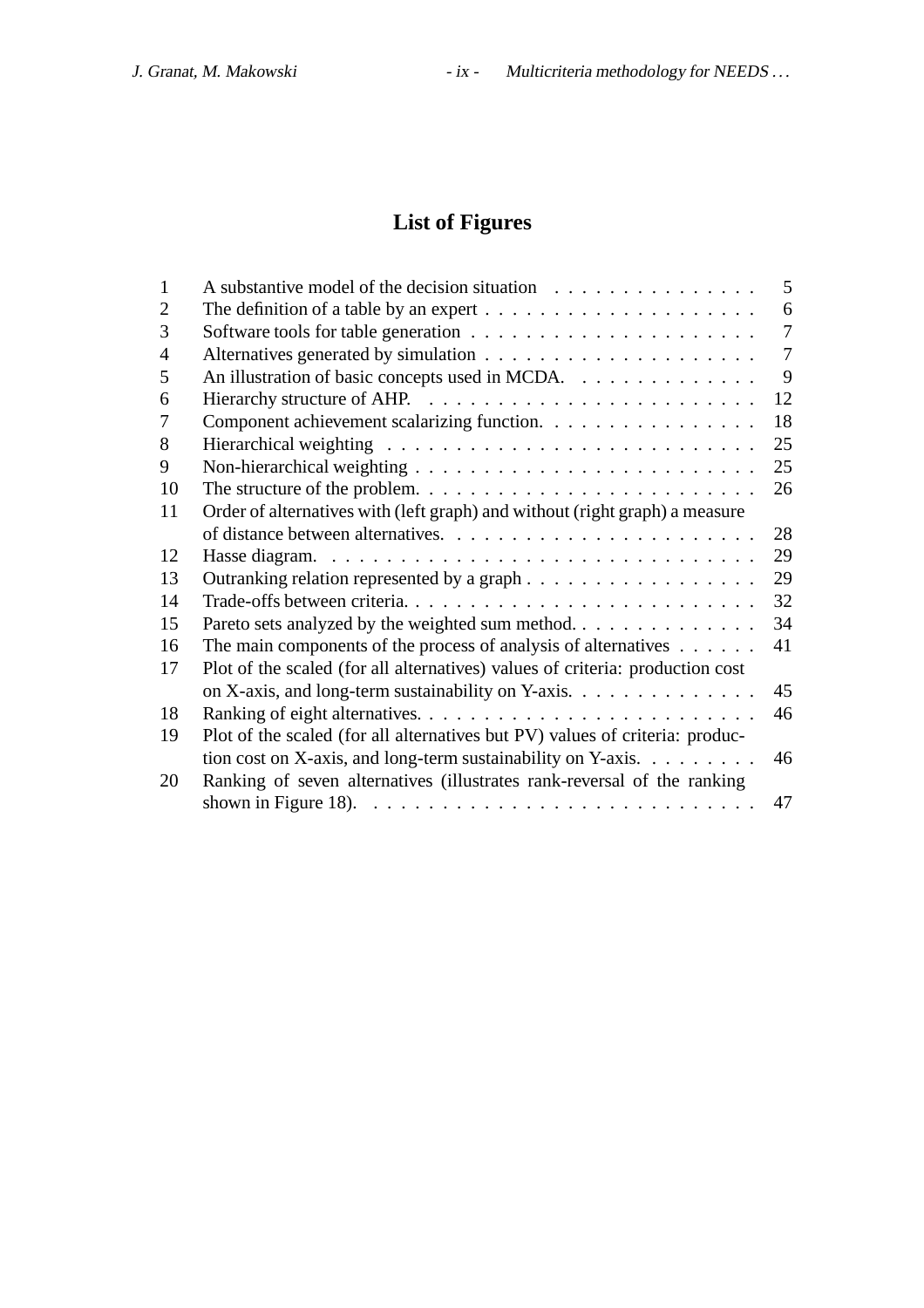# **List of Figures**

| 1              | A substantive model of the decision situation                                                | 5              |
|----------------|----------------------------------------------------------------------------------------------|----------------|
| $\overline{2}$ | The definition of a table by an expert $\dots \dots \dots \dots \dots \dots \dots \dots$     | 6              |
| 3              |                                                                                              | $\tau$         |
| $\overline{4}$ |                                                                                              | $\overline{7}$ |
| 5              | An illustration of basic concepts used in MCDA.                                              | 9              |
| 6              |                                                                                              | 12             |
| 7              | Component achievement scalarizing function.                                                  | 18             |
| 8              |                                                                                              | 25             |
| 9              |                                                                                              | 25             |
| 10             |                                                                                              | 26             |
| 11             | Order of alternatives with (left graph) and without (right graph) a measure                  |                |
|                |                                                                                              | 28             |
| 12             |                                                                                              | 29             |
| 13             |                                                                                              | 29             |
| 14             |                                                                                              | 32             |
| 15             | Pareto sets analyzed by the weighted sum method                                              | 34             |
| 16             | The main components of the process of analysis of alternatives $\dots \dots$                 | 41             |
| 17             | Plot of the scaled (for all alternatives) values of criteria: production cost                |                |
|                | on X-axis, and long-term sustainability on Y-axis.                                           | 45             |
| 18             |                                                                                              | 46             |
| 19             | Plot of the scaled (for all alternatives but PV) values of criteria: produc-                 |                |
|                | tion cost on X-axis, and long-term sustainability on Y-axis. $\dots \dots \dots$             | 46             |
| 20             | Ranking of seven alternatives (illustrates rank-reversal of the ranking                      |                |
|                | shown in Figure 18). $\ldots \ldots \ldots \ldots \ldots \ldots \ldots \ldots \ldots \ldots$ | 47             |
|                |                                                                                              |                |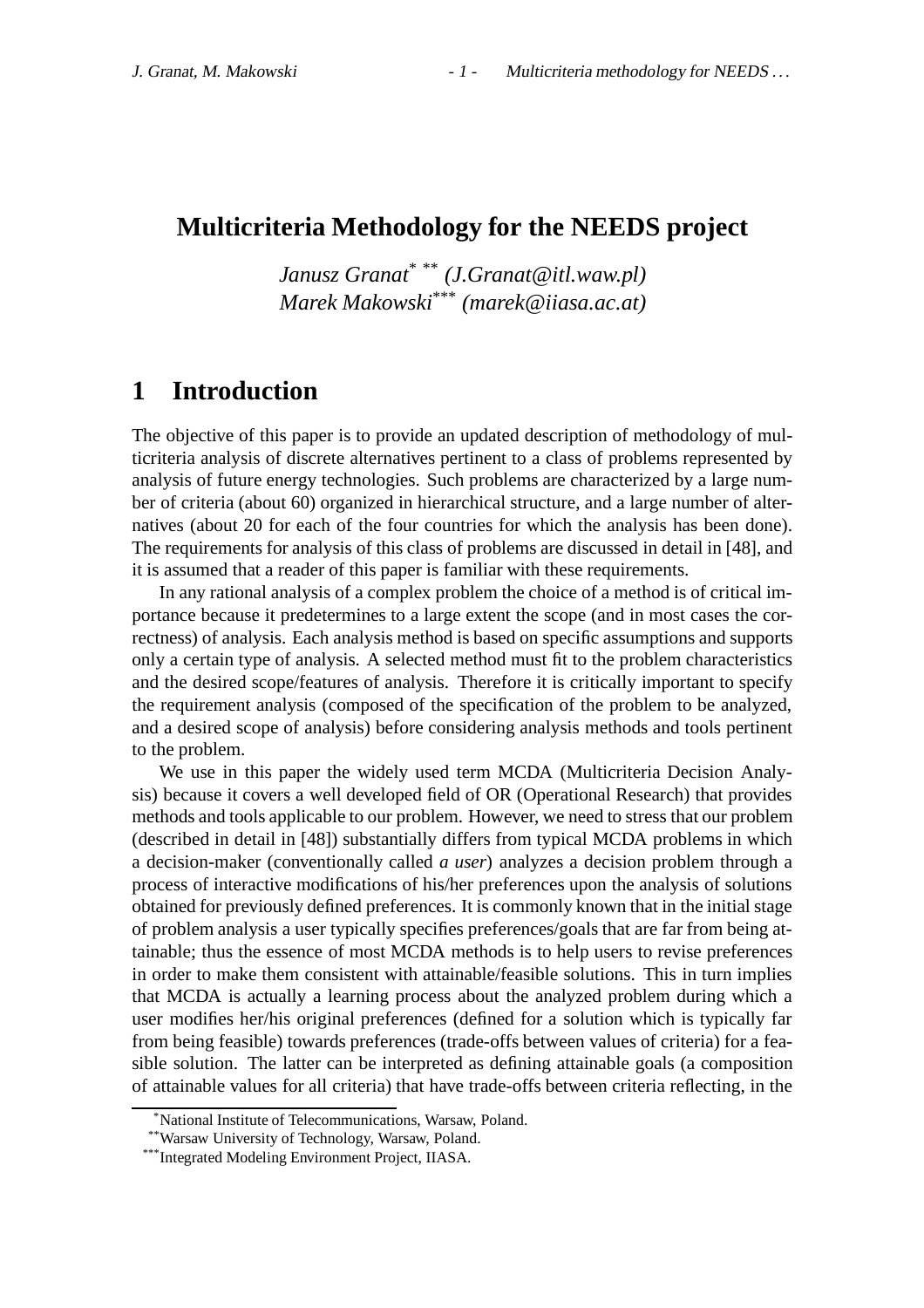## **Multicriteria Methodology for the NEEDS project**

*Janusz Granat*\* \*\* *(J.Granat@itl.waw.pl) Marek Makowski*\*\*\* *(marek@iiasa.ac.at)*

# **1 Introduction**

The objective of this paper is to provide an updated description of methodology of multicriteria analysis of discrete alternatives pertinent to a class of problems represented by analysis of future energy technologies. Such problems are characterized by a large number of criteria (about 60) organized in hierarchical structure, and a large number of alternatives (about 20 for each of the four countries for which the analysis has been done). The requirements for analysis of this class of problems are discussed in detail in [48], and it is assumed that a reader of this paper is familiar with these requirements.

In any rational analysis of a complex problem the choice of a method is of critical importance because it predetermines to a large extent the scope (and in most cases the correctness) of analysis. Each analysis method is based on specific assumptions and supports only a certain type of analysis. A selected method must fit to the problem characteristics and the desired scope/features of analysis. Therefore it is critically important to specify the requirement analysis (composed of the specification of the problem to be analyzed, and a desired scope of analysis) before considering analysis methods and tools pertinent to the problem.

We use in this paper the widely used term MCDA (Multicriteria Decision Analysis) because it covers a well developed field of OR (Operational Research) that provides methods and tools applicable to our problem. However, we need to stress that our problem (described in detail in [48]) substantially differs from typical MCDA problems in which a decision-maker (conventionally called *a user*) analyzes a decision problem through a process of interactive modifications of his/her preferences upon the analysis of solutions obtained for previously defined preferences. It is commonly known that in the initial stage of problem analysis a user typically specifies preferences/goals that are far from being attainable; thus the essence of most MCDA methods is to help users to revise preferences in order to make them consistent with attainable/feasible solutions. This in turn implies that MCDA is actually a learning process about the analyzed problem during which a user modifies her/his original preferences (defined for a solution which is typically far from being feasible) towards preferences (trade-offs between values of criteria) for a feasible solution. The latter can be interpreted as defining attainable goals (a composition of attainable values for all criteria) that have trade-offs between criteria reflecting, in the

<sup>\*</sup>National Institute of Telecommunications, Warsaw, Poland.

<sup>\*\*</sup>Warsaw University of Technology, Warsaw, Poland.

<sup>\*\*\*</sup>Integrated Modeling Environment Project, IIASA.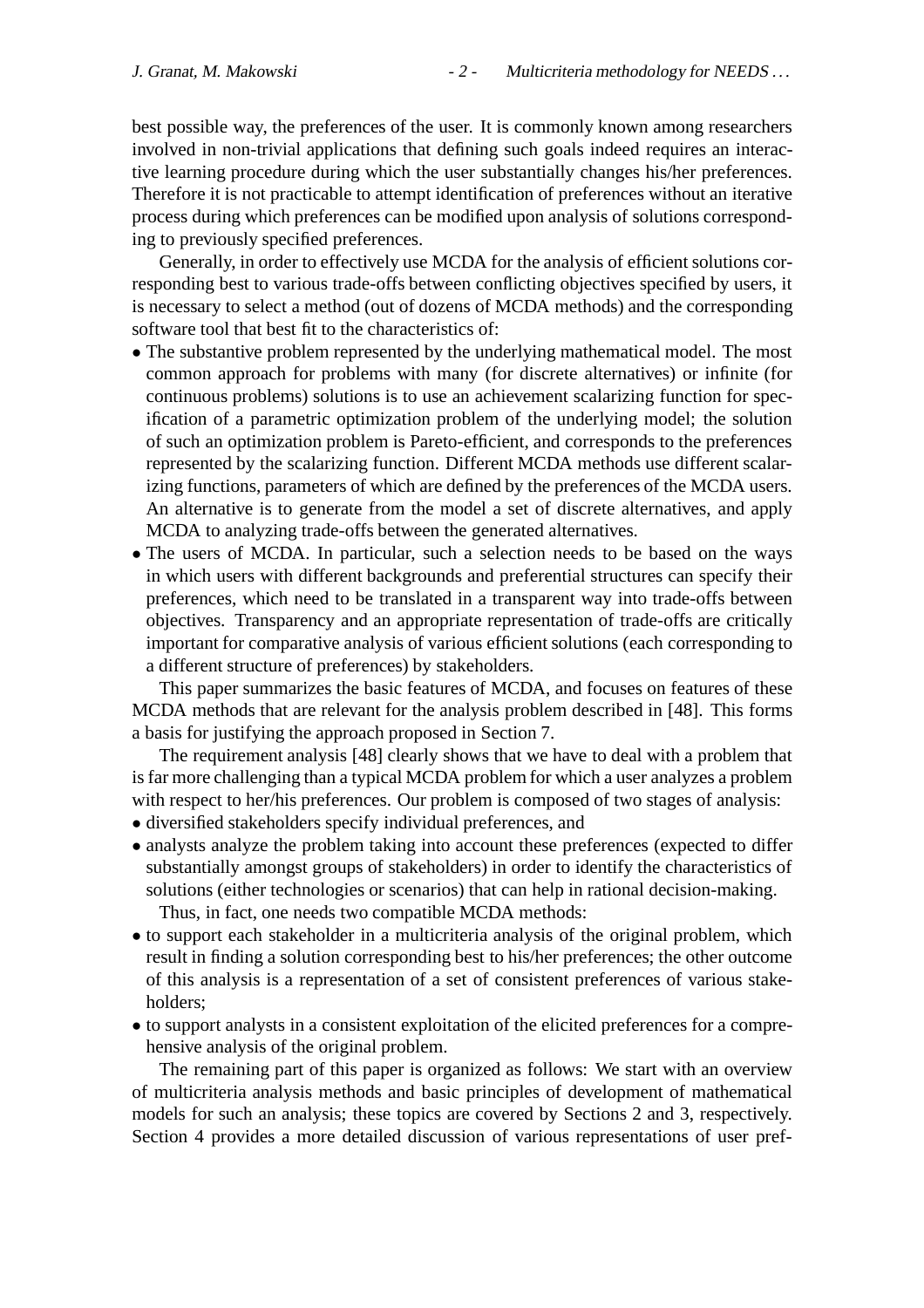best possible way, the preferences of the user. It is commonly known among researchers involved in non-trivial applications that defining such goals indeed requires an interactive learning procedure during which the user substantially changes his/her preferences. Therefore it is not practicable to attempt identification of preferences without an iterative process during which preferences can be modified upon analysis of solutions corresponding to previously specified preferences.

Generally, in order to effectively use MCDA for the analysis of efficient solutions corresponding best to various trade-offs between conflicting objectives specified by users, it is necessary to select a method (out of dozens of MCDA methods) and the corresponding software tool that best fit to the characteristics of:

- The substantive problem represented by the underlying mathematical model. The most common approach for problems with many (for discrete alternatives) or infinite (for continuous problems) solutions is to use an achievement scalarizing function for specification of a parametric optimization problem of the underlying model; the solution of such an optimization problem is Pareto-efficient, and corresponds to the preferences represented by the scalarizing function. Different MCDA methods use different scalarizing functions, parameters of which are defined by the preferences of the MCDA users. An alternative is to generate from the model a set of discrete alternatives, and apply MCDA to analyzing trade-offs between the generated alternatives.
- The users of MCDA. In particular, such a selection needs to be based on the ways in which users with different backgrounds and preferential structures can specify their preferences, which need to be translated in a transparent way into trade-offs between objectives. Transparency and an appropriate representation of trade-offs are critically important for comparative analysis of various efficient solutions (each corresponding to a different structure of preferences) by stakeholders.

This paper summarizes the basic features of MCDA, and focuses on features of these MCDA methods that are relevant for the analysis problem described in [48]. This forms a basis for justifying the approach proposed in Section 7.

The requirement analysis [48] clearly shows that we have to deal with a problem that is far more challenging than a typical MCDA problem for which a user analyzes a problem with respect to her/his preferences. Our problem is composed of two stages of analysis:

- diversified stakeholders specify individual preferences, and
- analysts analyze the problem taking into account these preferences (expected to differ substantially amongst groups of stakeholders) in order to identify the characteristics of solutions (either technologies or scenarios) that can help in rational decision-making. Thus, in fact, one needs two compatible MCDA methods:
- to support each stakeholder in a multicriteria analysis of the original problem, which result in finding a solution corresponding best to his/her preferences; the other outcome of this analysis is a representation of a set of consistent preferences of various stakeholders;
- to support analysts in a consistent exploitation of the elicited preferences for a comprehensive analysis of the original problem.

The remaining part of this paper is organized as follows: We start with an overview of multicriteria analysis methods and basic principles of development of mathematical models for such an analysis; these topics are covered by Sections 2 and 3, respectively. Section 4 provides a more detailed discussion of various representations of user pref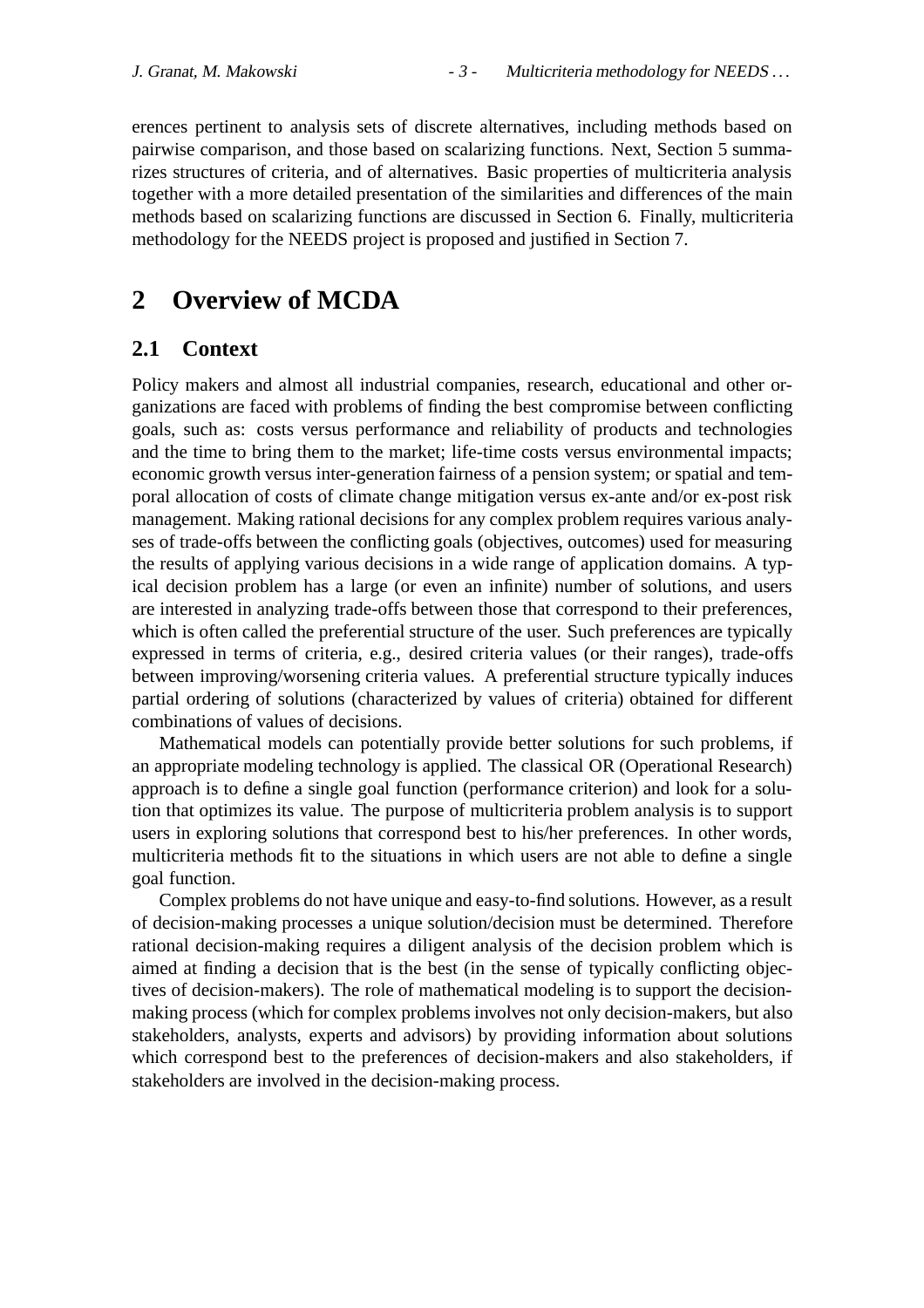erences pertinent to analysis sets of discrete alternatives, including methods based on pairwise comparison, and those based on scalarizing functions. Next, Section 5 summarizes structures of criteria, and of alternatives. Basic properties of multicriteria analysis together with a more detailed presentation of the similarities and differences of the main methods based on scalarizing functions are discussed in Section 6. Finally, multicriteria methodology for the NEEDS project is proposed and justified in Section 7.

# **2 Overview of MCDA**

## **2.1 Context**

Policy makers and almost all industrial companies, research, educational and other organizations are faced with problems of finding the best compromise between conflicting goals, such as: costs versus performance and reliability of products and technologies and the time to bring them to the market; life-time costs versus environmental impacts; economic growth versus inter-generation fairness of a pension system; or spatial and temporal allocation of costs of climate change mitigation versus ex-ante and/or ex-post risk management. Making rational decisions for any complex problem requires various analyses of trade-offs between the conflicting goals (objectives, outcomes) used for measuring the results of applying various decisions in a wide range of application domains. A typical decision problem has a large (or even an infinite) number of solutions, and users are interested in analyzing trade-offs between those that correspond to their preferences, which is often called the preferential structure of the user. Such preferences are typically expressed in terms of criteria, e.g., desired criteria values (or their ranges), trade-offs between improving/worsening criteria values. A preferential structure typically induces partial ordering of solutions (characterized by values of criteria) obtained for different combinations of values of decisions.

Mathematical models can potentially provide better solutions for such problems, if an appropriate modeling technology is applied. The classical OR (Operational Research) approach is to define a single goal function (performance criterion) and look for a solution that optimizes its value. The purpose of multicriteria problem analysis is to support users in exploring solutions that correspond best to his/her preferences. In other words, multicriteria methods fit to the situations in which users are not able to define a single goal function.

Complex problems do not have unique and easy-to-find solutions. However, as a result of decision-making processes a unique solution/decision must be determined. Therefore rational decision-making requires a diligent analysis of the decision problem which is aimed at finding a decision that is the best (in the sense of typically conflicting objectives of decision-makers). The role of mathematical modeling is to support the decisionmaking process (which for complex problems involves not only decision-makers, but also stakeholders, analysts, experts and advisors) by providing information about solutions which correspond best to the preferences of decision-makers and also stakeholders, if stakeholders are involved in the decision-making process.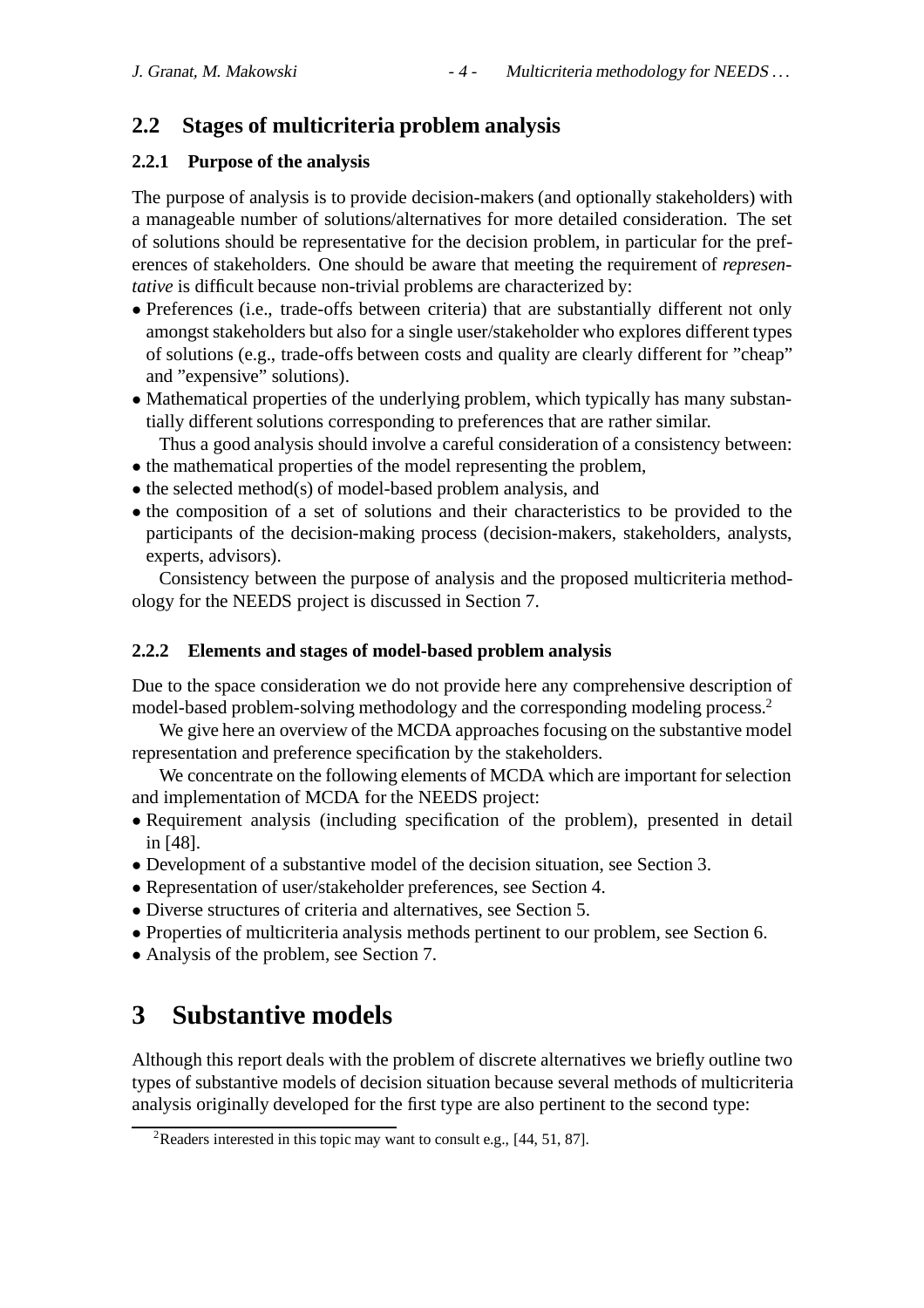## **2.2 Stages of multicriteria problem analysis**

## **2.2.1 Purpose of the analysis**

The purpose of analysis is to provide decision-makers (and optionally stakeholders) with a manageable number of solutions/alternatives for more detailed consideration. The set of solutions should be representative for the decision problem, in particular for the preferences of stakeholders. One should be aware that meeting the requirement of *representative* is difficult because non-trivial problems are characterized by:

- Preferences (i.e., trade-offs between criteria) that are substantially different not only amongst stakeholders but also for a single user/stakeholder who explores different types of solutions (e.g., trade-offs between costs and quality are clearly different for "cheap" and "expensive" solutions).
- Mathematical properties of the underlying problem, which typically has many substantially different solutions corresponding to preferences that are rather similar.

Thus a good analysis should involve a careful consideration of a consistency between:

- the mathematical properties of the model representing the problem,
- the selected method(s) of model-based problem analysis, and
- the composition of a set of solutions and their characteristics to be provided to the participants of the decision-making process (decision-makers, stakeholders, analysts, experts, advisors).

Consistency between the purpose of analysis and the proposed multicriteria methodology for the NEEDS project is discussed in Section 7.

## **2.2.2 Elements and stages of model-based problem analysis**

Due to the space consideration we do not provide here any comprehensive description of model-based problem-solving methodology and the corresponding modeling process.2

We give here an overview of the MCDA approaches focusing on the substantive model representation and preference specification by the stakeholders.

We concentrate on the following elements of MCDA which are important for selection and implementation of MCDA for the NEEDS project:

- Requirement analysis (including specification of the problem), presented in detail in [48].
- Development of a substantive model of the decision situation, see Section 3.
- Representation of user/stakeholder preferences, see Section 4.
- Diverse structures of criteria and alternatives, see Section 5.
- Properties of multicriteria analysis methods pertinent to our problem, see Section 6.
- Analysis of the problem, see Section 7.

# **3 Substantive models**

Although this report deals with the problem of discrete alternatives we briefly outline two types of substantive models of decision situation because several methods of multicriteria analysis originally developed for the first type are also pertinent to the second type:

<sup>&</sup>lt;sup>2</sup>Readers interested in this topic may want to consult e.g., [44, 51, 87].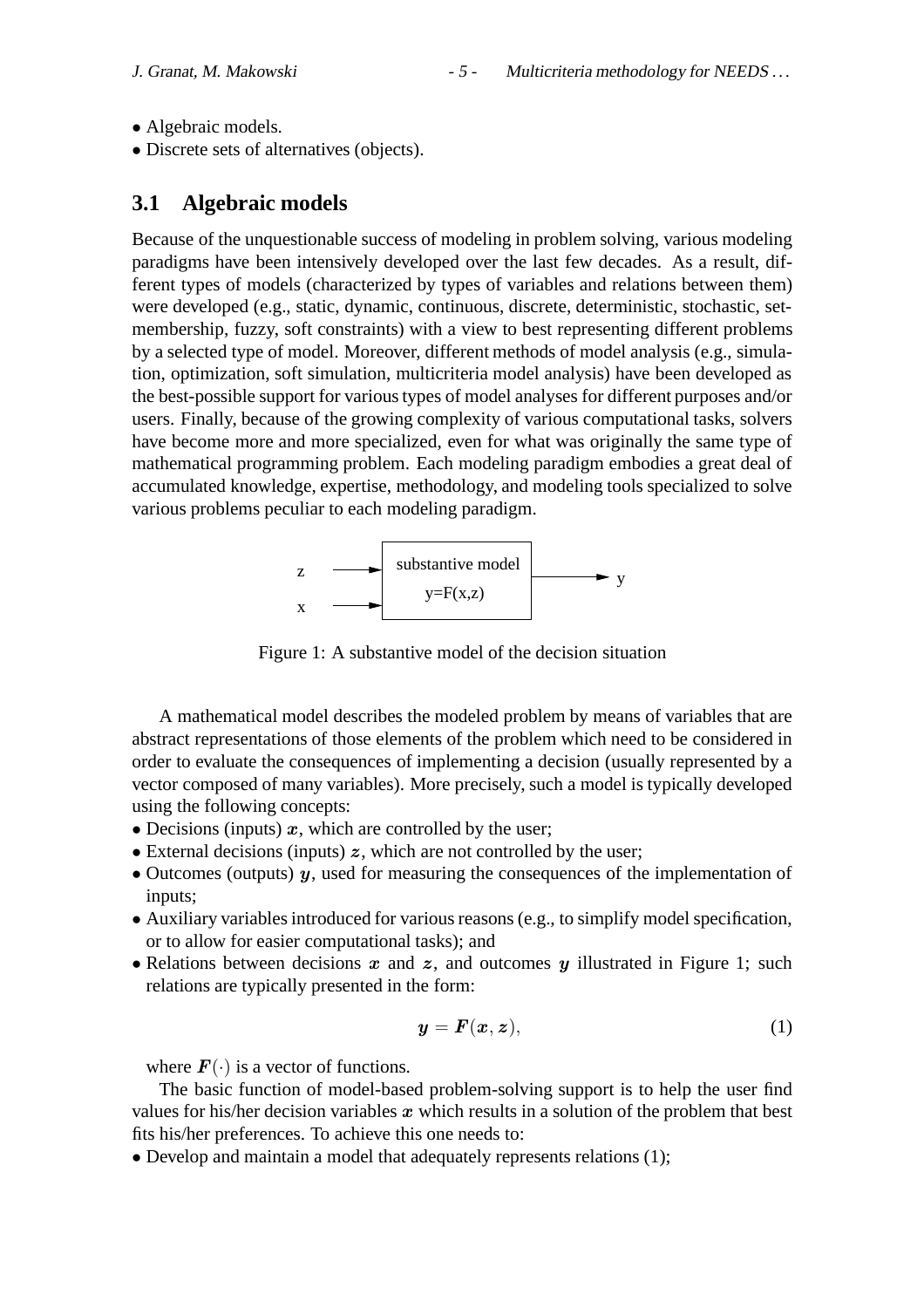- Algebraic models.
- Discrete sets of alternatives (objects).

## **3.1 Algebraic models**

Because of the unquestionable success of modeling in problem solving, various modeling paradigms have been intensively developed over the last few decades. As a result, different types of models (characterized by types of variables and relations between them) were developed (e.g., static, dynamic, continuous, discrete, deterministic, stochastic, setmembership, fuzzy, soft constraints) with a view to best representing different problems by a selected type of model. Moreover, different methods of model analysis (e.g., simulation, optimization, soft simulation, multicriteria model analysis) have been developed as the best-possible support for various types of model analyses for different purposes and/or users. Finally, because of the growing complexity of various computational tasks, solvers have become more and more specialized, even for what was originally the same type of mathematical programming problem. Each modeling paradigm embodies a great deal of accumulated knowledge, expertise, methodology, and modeling tools specialized to solve various problems peculiar to each modeling paradigm.



Figure 1: A substantive model of the decision situation

A mathematical model describes the modeled problem by means of variables that are abstract representations of those elements of the problem which need to be considered in order to evaluate the consequences of implementing a decision (usually represented by a vector composed of many variables). More precisely, such a model is typically developed using the following concepts:

- Decisions (inputs)  $x$ , which are controlled by the user;
- External decisions (inputs)  $z$ , which are not controlled by the user;
- Outcomes (outputs)  $y$ , used for measuring the consequences of the implementation of inputs;
- Auxiliary variables introduced for various reasons (e.g., to simplify model specification, or to allow for easier computational tasks); and
- Relations between decisions  $x$  and  $z$ , and outcomes  $y$  illustrated in Figure 1; such relations are typically presented in the form:

$$
\mathbf{y} = \mathbf{F}(\mathbf{x}, \mathbf{z}),\tag{1}
$$

where  $\mathbf{F}(\cdot)$  is a vector of functions.

The basic function of model-based problem-solving support is to help the user find values for his/her decision variables  $x$  which results in a solution of the problem that best fits his/her preferences. To achieve this one needs to:

• Develop and maintain a model that adequately represents relations (1);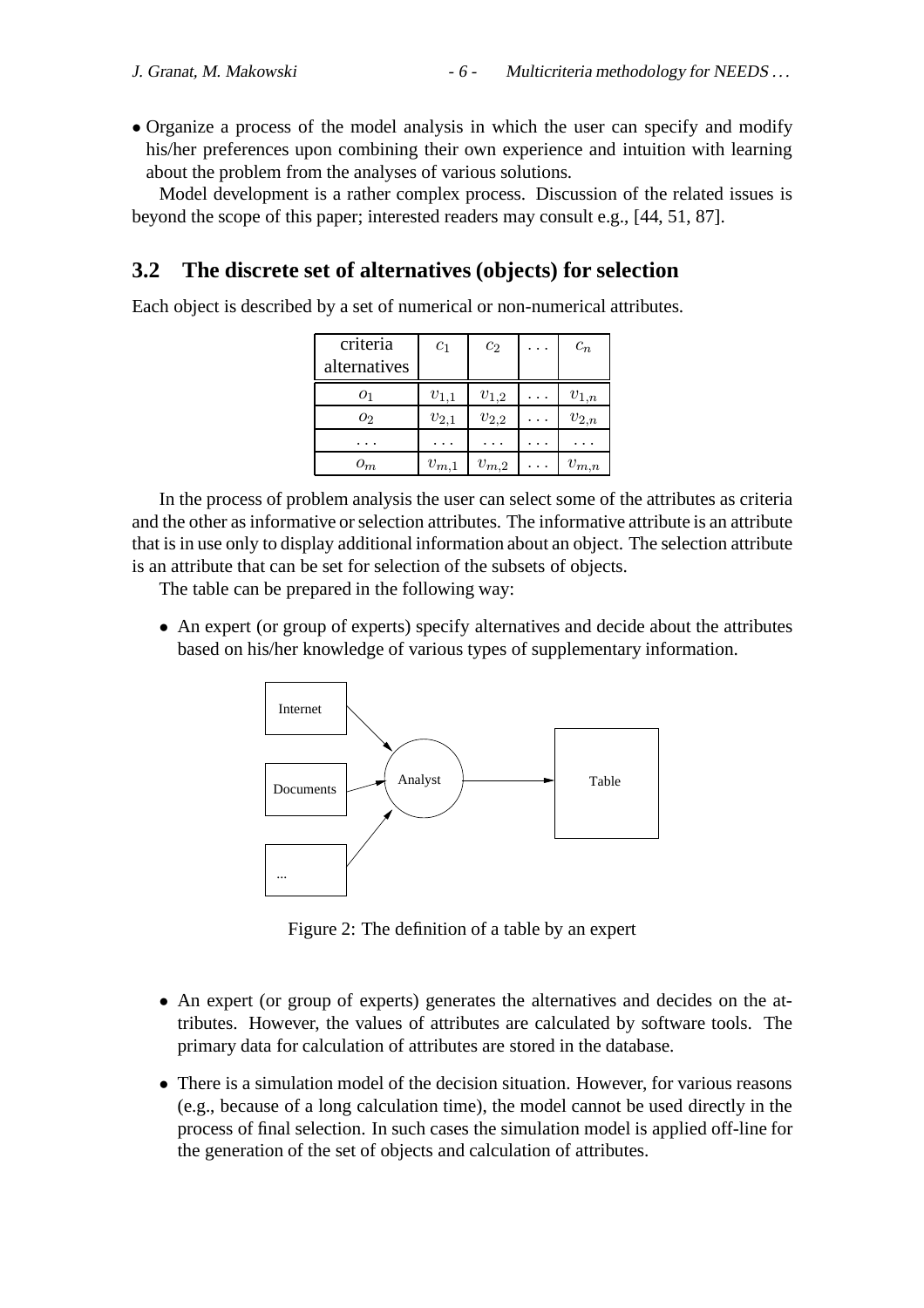• Organize a process of the model analysis in which the user can specify and modify his/her preferences upon combining their own experience and intuition with learning about the problem from the analyses of various solutions.

Model development is a rather complex process. Discussion of the related issues is beyond the scope of this paper; interested readers may consult e.g., [44, 51, 87].

## **3.2 The discrete set of alternatives (objects) for selection**

Each object is described by a set of numerical or non-numerical attributes.

| criteria     | $c_1$     | $c_2$     | $\ddots$ | $c_n$     |
|--------------|-----------|-----------|----------|-----------|
| alternatives |           |           |          |           |
| 01           | $v_{1,1}$ | $v_{1,2}$ |          | $v_{1,n}$ |
| О2           | $v_{2,1}$ | $v_{2,2}$ |          | $v_{2,n}$ |
|              |           |           |          |           |
| $o_m$        | $v_{m,1}$ | $v_{m,2}$ |          | $v_{m,n}$ |

In the process of problem analysis the user can select some of the attributes as criteria and the other as informative or selection attributes. The informative attribute is an attribute that is in use only to display additional information about an object. The selection attribute is an attribute that can be set for selection of the subsets of objects.

The table can be prepared in the following way:

• An expert (or group of experts) specify alternatives and decide about the attributes based on his/her knowledge of various types of supplementary information.



Figure 2: The definition of a table by an expert

- An expert (or group of experts) generates the alternatives and decides on the attributes. However, the values of attributes are calculated by software tools. The primary data for calculation of attributes are stored in the database.
- There is a simulation model of the decision situation. However, for various reasons (e.g., because of a long calculation time), the model cannot be used directly in the process of final selection. In such cases the simulation model is applied off-line for the generation of the set of objects and calculation of attributes.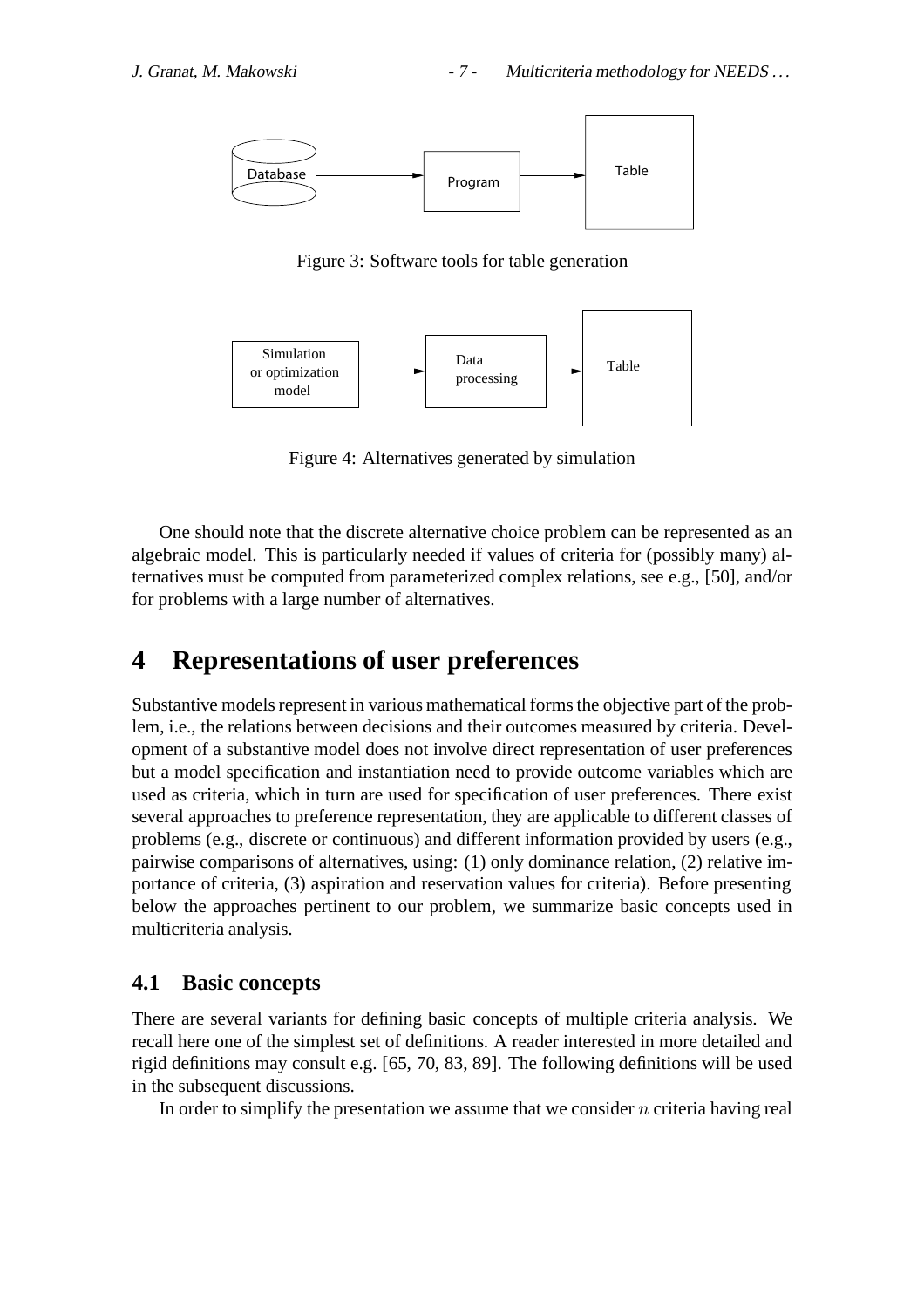

Figure 3: Software tools for table generation



Figure 4: Alternatives generated by simulation

One should note that the discrete alternative choice problem can be represented as an algebraic model. This is particularly needed if values of criteria for (possibly many) alternatives must be computed from parameterized complex relations, see e.g., [50], and/or for problems with a large number of alternatives.

# **4 Representations of user preferences**

Substantive models represent in various mathematical forms the objective part of the problem, i.e., the relations between decisions and their outcomes measured by criteria. Development of a substantive model does not involve direct representation of user preferences but a model specification and instantiation need to provide outcome variables which are used as criteria, which in turn are used for specification of user preferences. There exist several approaches to preference representation, they are applicable to different classes of problems (e.g., discrete or continuous) and different information provided by users (e.g., pairwise comparisons of alternatives, using: (1) only dominance relation, (2) relative importance of criteria, (3) aspiration and reservation values for criteria). Before presenting below the approaches pertinent to our problem, we summarize basic concepts used in multicriteria analysis.

## **4.1 Basic concepts**

There are several variants for defining basic concepts of multiple criteria analysis. We recall here one of the simplest set of definitions. A reader interested in more detailed and rigid definitions may consult e.g. [65, 70, 83, 89]. The following definitions will be used in the subsequent discussions.

In order to simplify the presentation we assume that we consider  $n$  criteria having real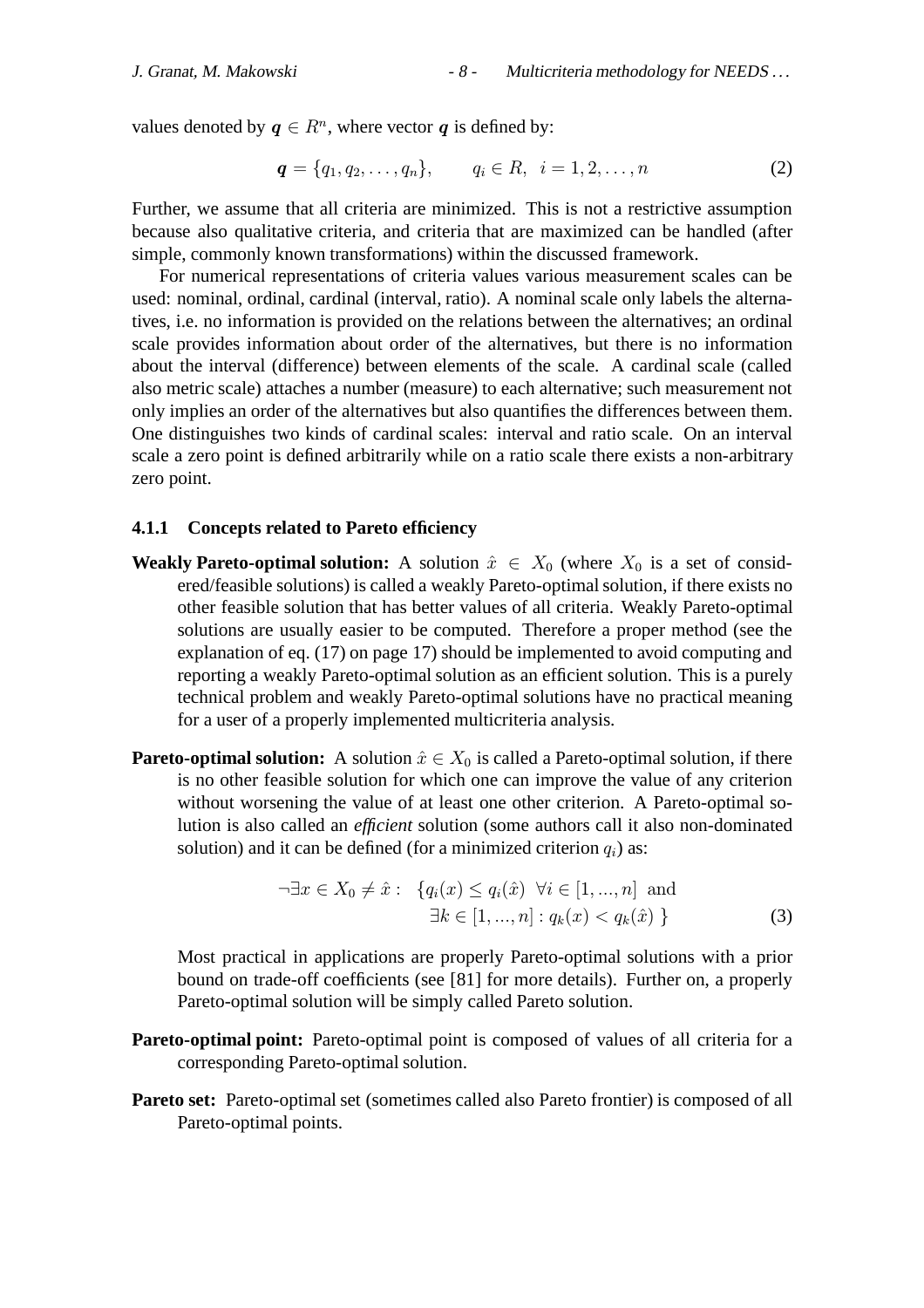values denoted by  $q \in \mathbb{R}^n$ , where vector q is defined by:

$$
\mathbf{q} = \{q_1, q_2, \dots, q_n\}, \qquad q_i \in R, \ \ i = 1, 2, \dots, n \tag{2}
$$

Further, we assume that all criteria are minimized. This is not a restrictive assumption because also qualitative criteria, and criteria that are maximized can be handled (after simple, commonly known transformations) within the discussed framework.

For numerical representations of criteria values various measurement scales can be used: nominal, ordinal, cardinal (interval, ratio). A nominal scale only labels the alternatives, i.e. no information is provided on the relations between the alternatives; an ordinal scale provides information about order of the alternatives, but there is no information about the interval (difference) between elements of the scale. A cardinal scale (called also metric scale) attaches a number (measure) to each alternative; such measurement not only implies an order of the alternatives but also quantifies the differences between them. One distinguishes two kinds of cardinal scales: interval and ratio scale. On an interval scale a zero point is defined arbitrarily while on a ratio scale there exists a non-arbitrary zero point.

#### **4.1.1 Concepts related to Pareto efficiency**

- **Weakly Pareto-optimal solution:** A solution  $\hat{x} \in X_0$  (where  $X_0$  is a set of considered/feasible solutions) is called a weakly Pareto-optimal solution, if there exists no other feasible solution that has better values of all criteria. Weakly Pareto-optimal solutions are usually easier to be computed. Therefore a proper method (see the explanation of eq. (17) on page 17) should be implemented to avoid computing and reporting a weakly Pareto-optimal solution as an efficient solution. This is a purely technical problem and weakly Pareto-optimal solutions have no practical meaning for a user of a properly implemented multicriteria analysis.
- **Pareto-optimal solution:** A solution  $\hat{x} \in X_0$  is called a Pareto-optimal solution, if there is no other feasible solution for which one can improve the value of any criterion without worsening the value of at least one other criterion. A Pareto-optimal solution is also called an *efficient* solution (some authors call it also non-dominated solution) and it can be defined (for a minimized criterion  $q_i$ ) as:

$$
\neg \exists x \in X_0 \neq \hat{x} : \{ q_i(x) \le q_i(\hat{x}) \ \forall i \in [1, ..., n] \text{ and} \exists k \in [1, ..., n] : q_k(x) < q_k(\hat{x}) \}
$$
\n
$$
(3)
$$

Most practical in applications are properly Pareto-optimal solutions with a prior bound on trade-off coefficients (see [81] for more details). Further on, a properly Pareto-optimal solution will be simply called Pareto solution.

- **Pareto-optimal point:** Pareto-optimal point is composed of values of all criteria for a corresponding Pareto-optimal solution.
- **Pareto set:** Pareto-optimal set (sometimes called also Pareto frontier) is composed of all Pareto-optimal points.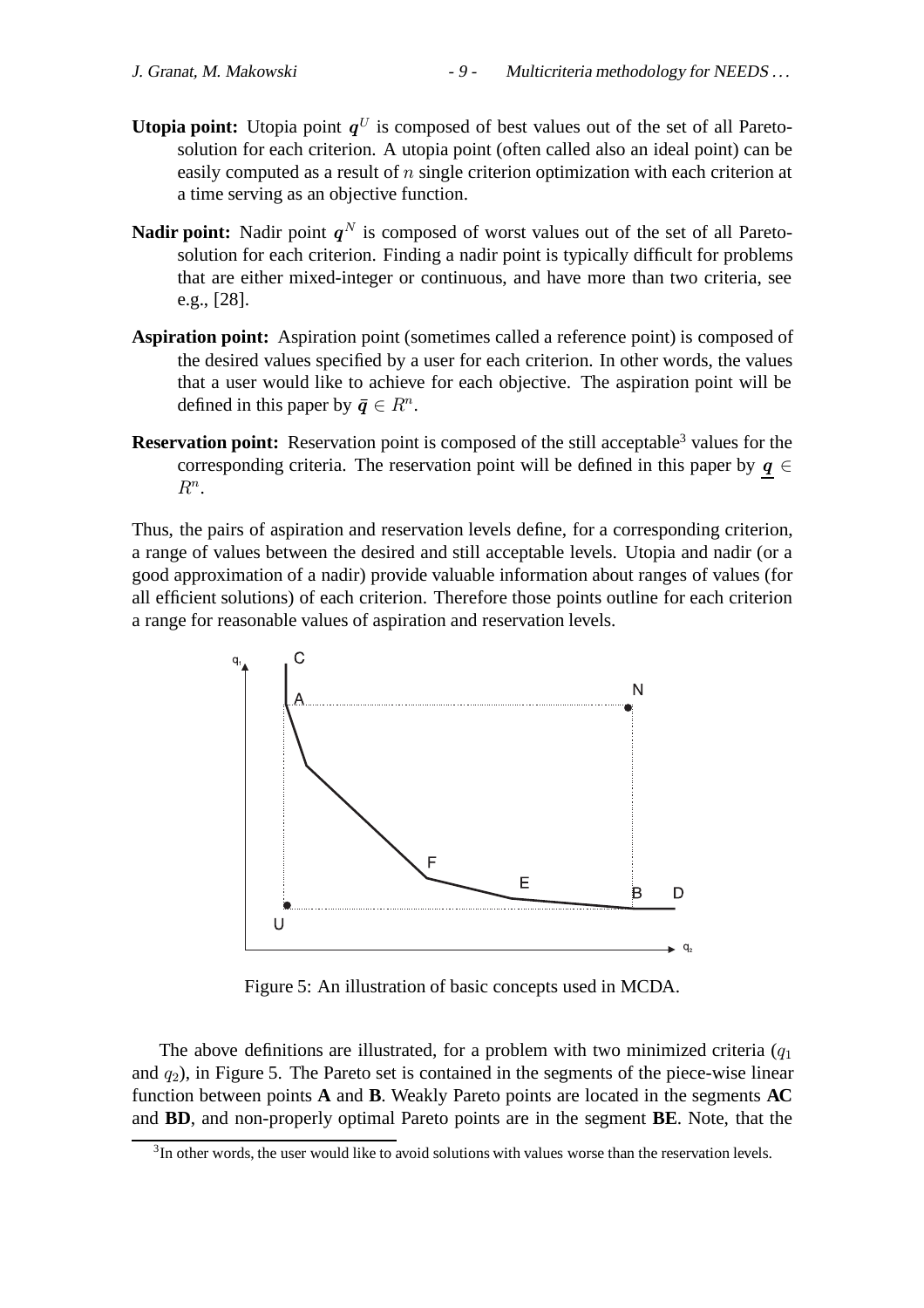- **Utopia point:** Utopia point  $q^U$  is composed of best values out of the set of all Paretosolution for each criterion. A utopia point (often called also an ideal point) can be easily computed as a result of n single criterion optimization with each criterion at a time serving as an objective function.
- **Nadir point:** Nadir point  $q^N$  is composed of worst values out of the set of all Paretosolution for each criterion. Finding a nadir point is typically difficult for problems that are either mixed-integer or continuous, and have more than two criteria, see e.g., [28].
- **Aspiration point:** Aspiration point (sometimes called a reference point) is composed of the desired values specified by a user for each criterion. In other words, the values that a user would like to achieve for each objective. The aspiration point will be defined in this paper by  $\bar{q} \in R^n$ .
- **Reservation point:** Reservation point is composed of the still acceptable<sup>3</sup> values for the corresponding criteria. The reservation point will be defined in this paper by  $q \in$  $R^n$ .

Thus, the pairs of aspiration and reservation levels define, for a corresponding criterion, a range of values between the desired and still acceptable levels. Utopia and nadir (or a good approximation of a nadir) provide valuable information about ranges of values (for all efficient solutions) of each criterion. Therefore those points outline for each criterion a range for reasonable values of aspiration and reservation levels.



Figure 5: An illustration of basic concepts used in MCDA.

The above definitions are illustrated, for a problem with two minimized criteria  $(q_1)$ and  $q_2$ ), in Figure 5. The Pareto set is contained in the segments of the piece-wise linear function between points **A** and **B**. Weakly Pareto points are located in the segments **AC** and **BD**, and non-properly optimal Pareto points are in the segment **BE**. Note, that the

 $3<sup>3</sup>$ In other words, the user would like to avoid solutions with values worse than the reservation levels.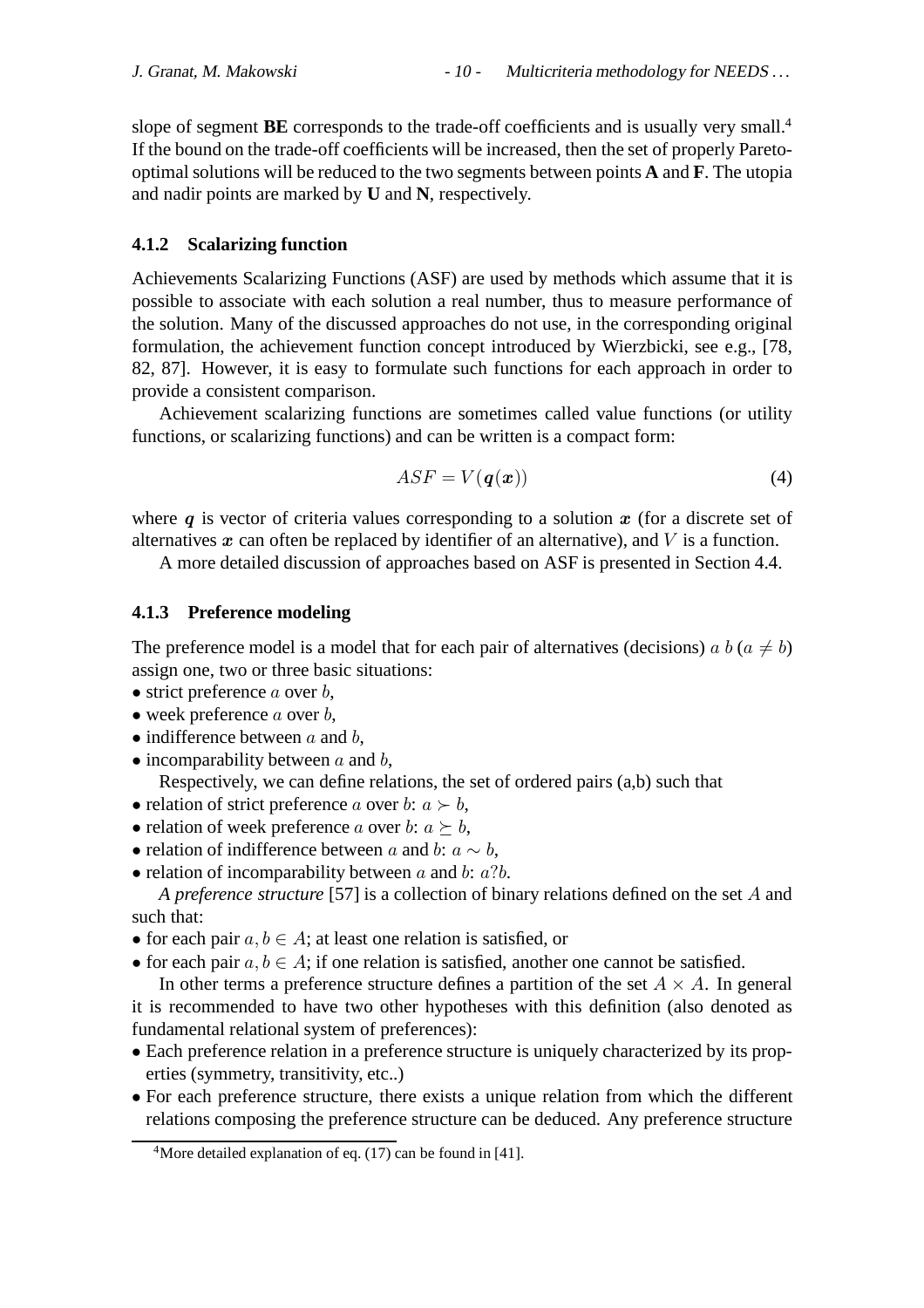slope of segment **BE** corresponds to the trade-off coefficients and is usually very small.<sup>4</sup> If the bound on the trade-off coefficients will be increased, then the set of properly Paretooptimal solutions will be reduced to the two segments between points **A** and **F**. The utopia and nadir points are marked by **U** and **N**, respectively.

#### **4.1.2 Scalarizing function**

Achievements Scalarizing Functions (ASF) are used by methods which assume that it is possible to associate with each solution a real number, thus to measure performance of the solution. Many of the discussed approaches do not use, in the corresponding original formulation, the achievement function concept introduced by Wierzbicki, see e.g., [78, 82, 87]. However, it is easy to formulate such functions for each approach in order to provide a consistent comparison.

Achievement scalarizing functions are sometimes called value functions (or utility functions, or scalarizing functions) and can be written is a compact form:

$$
ASF = V(\boldsymbol{q}(\boldsymbol{x}))
$$
\n(4)

where  $q$  is vector of criteria values corresponding to a solution  $x$  (for a discrete set of alternatives  $x$  can often be replaced by identifier of an alternative), and  $V$  is a function.

A more detailed discussion of approaches based on ASF is presented in Section 4.4.

#### **4.1.3 Preference modeling**

The preference model is a model that for each pair of alternatives (decisions) a b ( $a \neq b$ ) assign one, two or three basic situations:

- strict preference  $a$  over  $b$ ,
- week preference  $a$  over  $b$ ,
- indifference between  $a$  and  $b$ ,
- $\bullet$  incomparability between a and b,

Respectively, we can define relations, the set of ordered pairs (a,b) such that

- relation of strict preference a over b:  $a \succ b$ ,
- relation of week preference a over b:  $a \succeq b$ ,
- relation of indifference between a and b:  $a \sim b$ ,
- relation of incomparability between  $a$  and  $b$ :  $a$ ? $b$ .

*A preference structure* [57] is a collection of binary relations defined on the set A and such that:

- for each pair  $a, b \in A$ ; at least one relation is satisfied, or
- for each pair  $a, b \in A$ ; if one relation is satisfied, another one cannot be satisfied.

In other terms a preference structure defines a partition of the set  $A \times A$ . In general it is recommended to have two other hypotheses with this definition (also denoted as fundamental relational system of preferences):

- Each preference relation in a preference structure is uniquely characterized by its properties (symmetry, transitivity, etc..)
- For each preference structure, there exists a unique relation from which the different relations composing the preference structure can be deduced. Any preference structure

<sup>&</sup>lt;sup>4</sup>More detailed explanation of eq. (17) can be found in [41].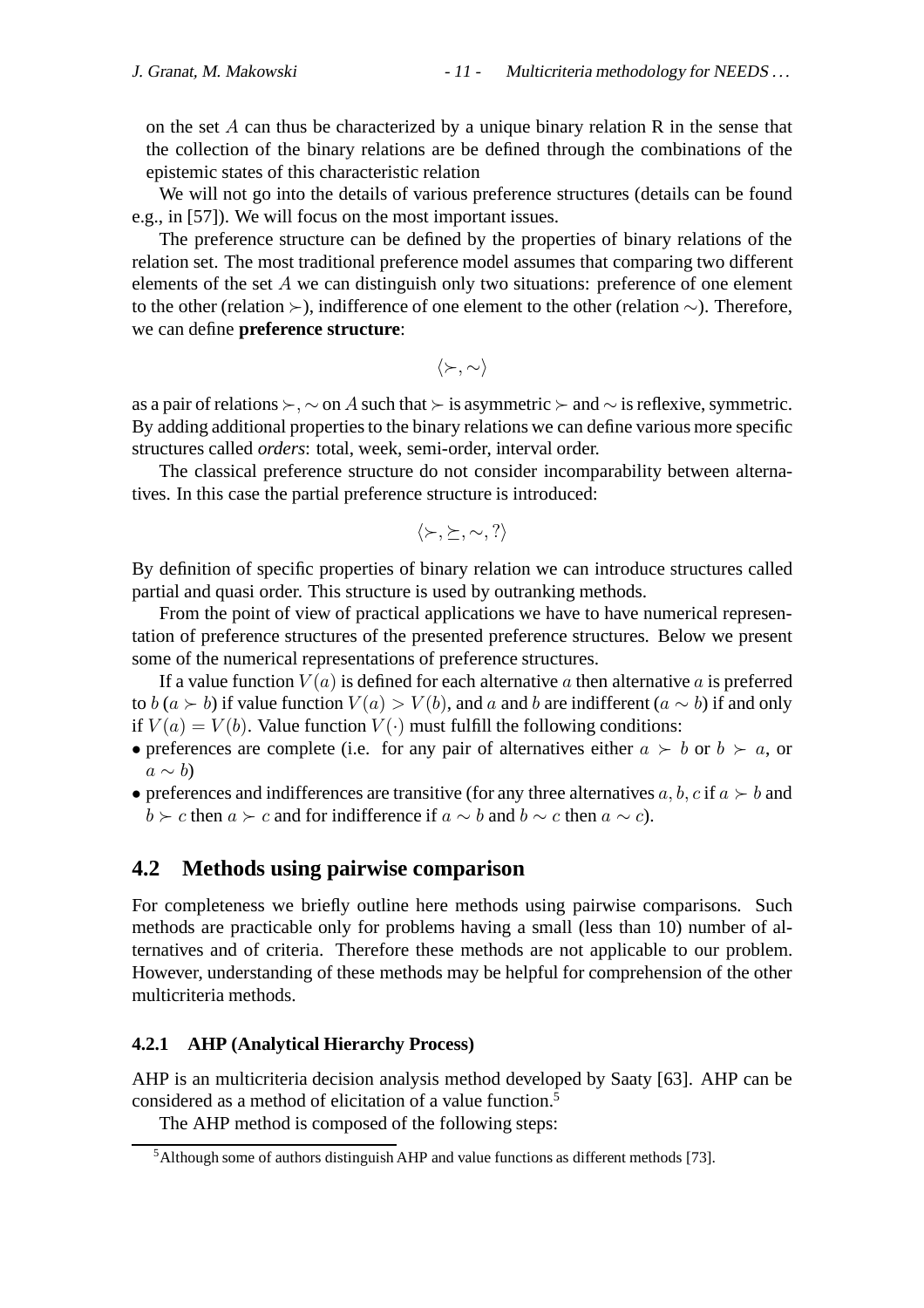on the set A can thus be characterized by a unique binary relation R in the sense that the collection of the binary relations are be defined through the combinations of the epistemic states of this characteristic relation

We will not go into the details of various preference structures (details can be found e.g., in [57]). We will focus on the most important issues.

The preference structure can be defined by the properties of binary relations of the relation set. The most traditional preference model assumes that comparing two different elements of the set A we can distinguish only two situations: preference of one element to the other (relation ≻), indifference of one element to the other (relation  $\sim$ ). Therefore, we can define **preference structure**:

$$
\langle \succ, \sim \rangle
$$

as a pair of relations  $\succ$ ,  $\sim$  on A such that  $\succ$  is asymmetric  $\succ$  and  $\sim$  is reflexive, symmetric. By adding additional properties to the binary relations we can define various more specific structures called *orders*: total, week, semi-order, interval order.

The classical preference structure do not consider incomparability between alternatives. In this case the partial preference structure is introduced:

$$
\langle \succ, \succeq, \sim, ? \rangle
$$

By definition of specific properties of binary relation we can introduce structures called partial and quasi order. This structure is used by outranking methods.

From the point of view of practical applications we have to have numerical representation of preference structures of the presented preference structures. Below we present some of the numerical representations of preference structures.

If a value function  $V(a)$  is defined for each alternative a then alternative a is preferred to b (a ≻ b) if value function  $V(a) > V(b)$ , and a and b are indifferent (a  $\sim$  b) if and only if  $V(a) = V(b)$ . Value function  $V(\cdot)$  must fulfill the following conditions:

- preferences are complete (i.e. for any pair of alternatives either  $a \succ b$  or  $b \succ a$ , or  $a \sim b$
- preferences and indifferences are transitive (for any three alternatives  $a, b, c$  if  $a \succ b$  and  $b \succ c$  then  $a \succ c$  and for indifference if  $a \sim b$  and  $b \sim c$  then  $a \sim c$ ).

## **4.2 Methods using pairwise comparison**

For completeness we briefly outline here methods using pairwise comparisons. Such methods are practicable only for problems having a small (less than 10) number of alternatives and of criteria. Therefore these methods are not applicable to our problem. However, understanding of these methods may be helpful for comprehension of the other multicriteria methods.

#### **4.2.1 AHP (Analytical Hierarchy Process)**

AHP is an multicriteria decision analysis method developed by Saaty [63]. AHP can be considered as a method of elicitation of a value function.5

The AHP method is composed of the following steps:

<sup>5</sup>Although some of authors distinguish AHP and value functions as different methods [73].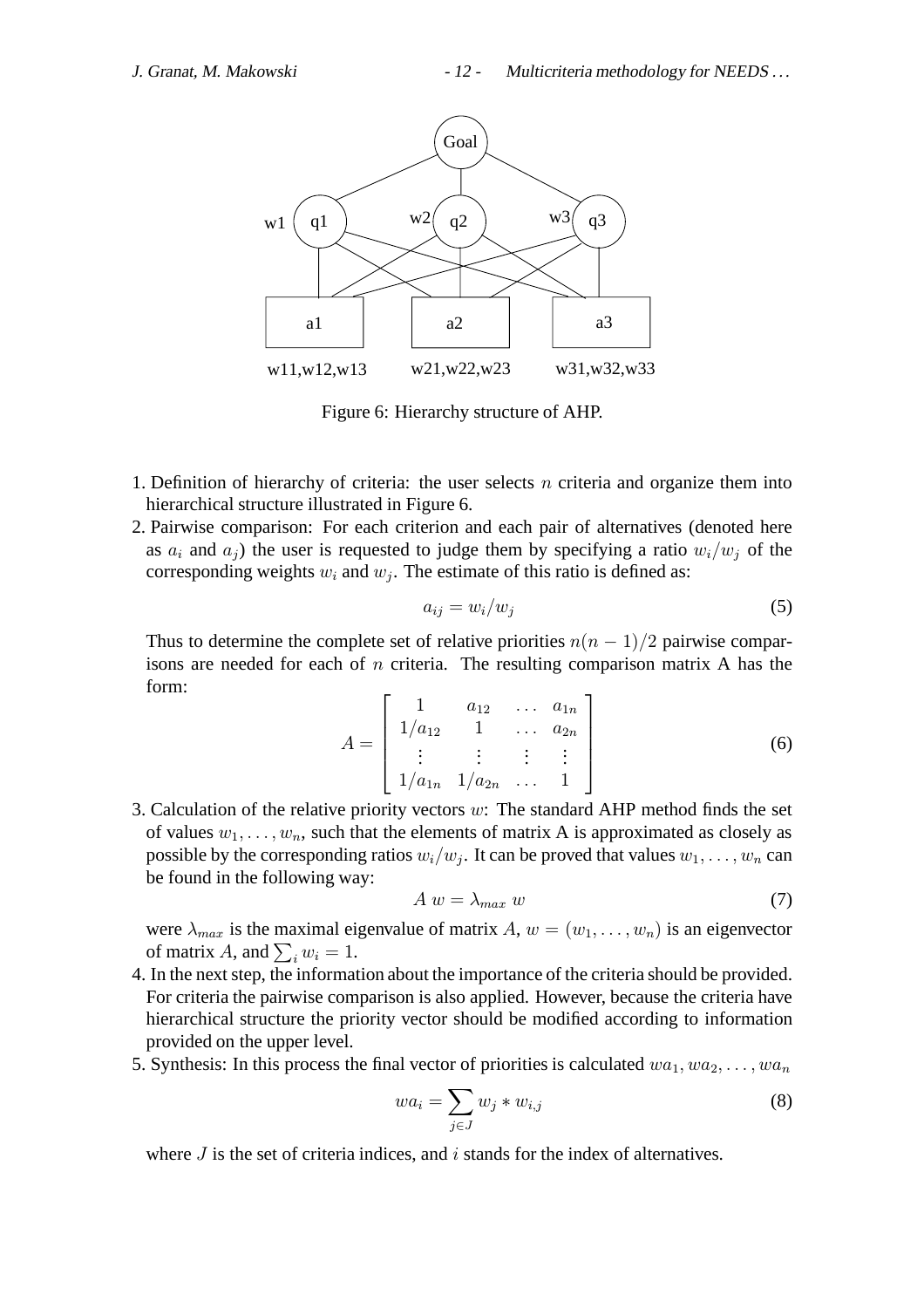

Figure 6: Hierarchy structure of AHP.

- 1. Definition of hierarchy of criteria: the user selects  $n$  criteria and organize them into hierarchical structure illustrated in Figure 6.
- 2. Pairwise comparison: For each criterion and each pair of alternatives (denoted here as  $a_i$  and  $a_j$ ) the user is requested to judge them by specifying a ratio  $w_i/w_j$  of the corresponding weights  $w_i$  and  $w_j$ . The estimate of this ratio is defined as:

$$
a_{ij} = w_i/w_j \tag{5}
$$

Thus to determine the complete set of relative priorities  $n(n-1)/2$  pairwise comparisons are needed for each of  $n$  criteria. The resulting comparison matrix A has the form:

$$
A = \begin{bmatrix} 1 & a_{12} & \dots & a_{1n} \\ 1/a_{12} & 1 & \dots & a_{2n} \\ \vdots & \vdots & \vdots & \vdots \\ 1/a_{1n} & 1/a_{2n} & \dots & 1 \end{bmatrix}
$$
(6)

3. Calculation of the relative priority vectors  $w$ : The standard AHP method finds the set of values  $w_1, \ldots, w_n$ , such that the elements of matrix A is approximated as closely as possible by the corresponding ratios  $w_i/w_j$ . It can be proved that values  $w_1, \ldots, w_n$  can be found in the following way:

$$
A w = \lambda_{max} w \tag{7}
$$

were  $\lambda_{max}$  is the maximal eigenvalue of matrix A,  $w = (w_1, \ldots, w_n)$  is an eigenvector of matrix A, and  $\sum_i w_i = 1$ .

- 4. In the next step, the information about the importance of the criteria should be provided. For criteria the pairwise comparison is also applied. However, because the criteria have hierarchical structure the priority vector should be modified according to information provided on the upper level.
- 5. Synthesis: In this process the final vector of priorities is calculated  $wa_1, wa_2, \ldots, wa_n$

$$
wa_i = \sum_{j \in J} w_j * w_{i,j} \tag{8}
$$

where  $J$  is the set of criteria indices, and  $i$  stands for the index of alternatives.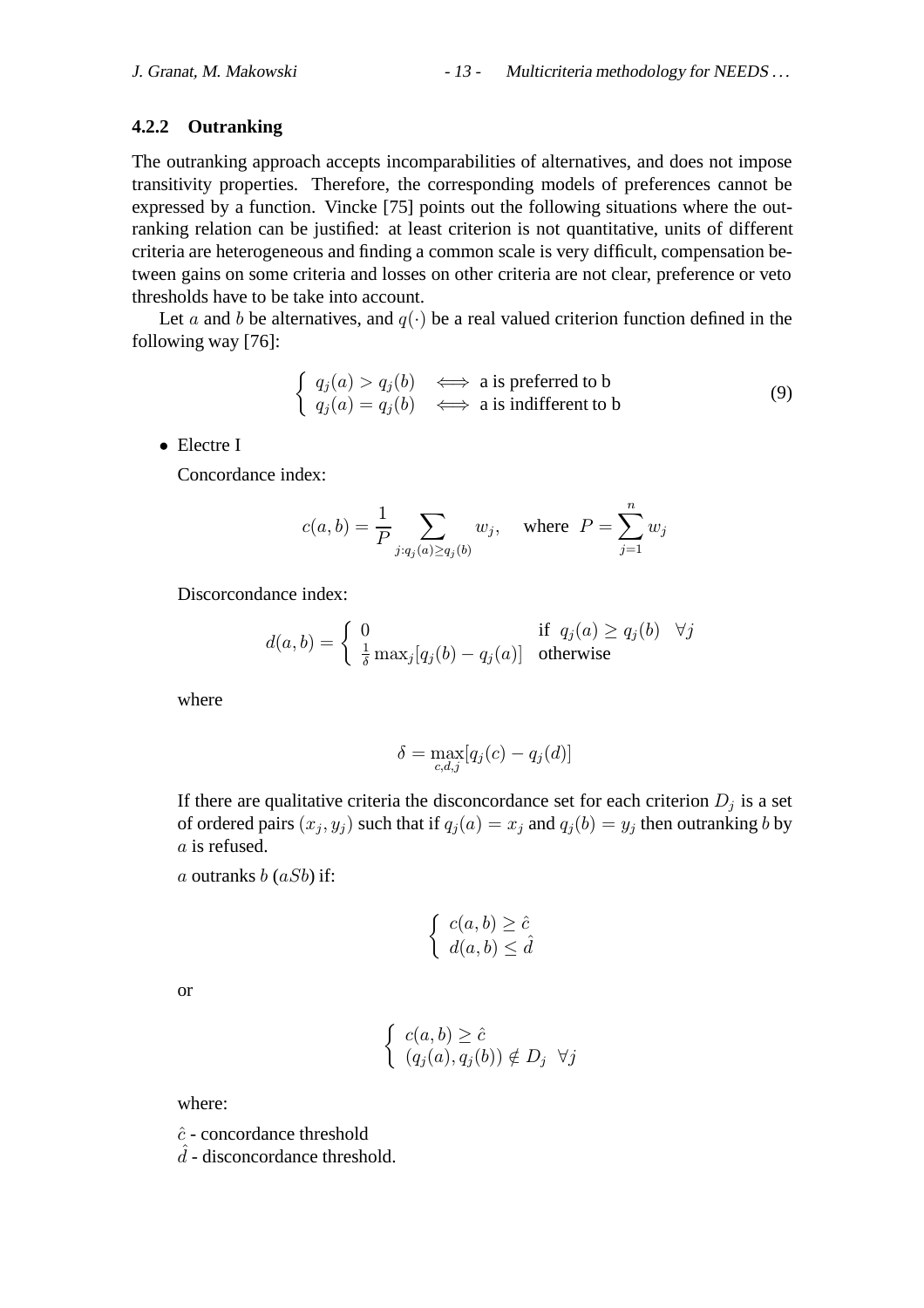#### **4.2.2 Outranking**

The outranking approach accepts incomparabilities of alternatives, and does not impose transitivity properties. Therefore, the corresponding models of preferences cannot be expressed by a function. Vincke [75] points out the following situations where the outranking relation can be justified: at least criterion is not quantitative, units of different criteria are heterogeneous and finding a common scale is very difficult, compensation between gains on some criteria and losses on other criteria are not clear, preference or veto thresholds have to be take into account.

Let a and b be alternatives, and  $q(.)$  be a real valued criterion function defined in the following way [76]:

$$
\begin{cases}\n q_j(a) > q_j(b) \iff a \text{ is preferred to b} \\
q_j(a) = q_j(b) \iff a \text{ is indifferent to b}\n\end{cases}
$$
\n(9)

• Electre I

Concordance index:

$$
c(a,b) = \frac{1}{P} \sum_{j:q_j(a) \ge q_j(b)} w_j, \quad \text{where} \ \ P = \sum_{j=1}^n w_j
$$

Discorcondance index:

$$
d(a,b) = \begin{cases} 0 & \text{if } q_j(a) \ge q_j(b) \quad \forall j \\ \frac{1}{\delta} \max_j [q_j(b) - q_j(a)] & \text{otherwise} \end{cases}
$$

where

$$
\delta = \max_{c,d,j} [q_j(c) - q_j(d)]
$$

If there are qualitative criteria the disconcordance set for each criterion  $D_j$  is a set of ordered pairs  $(x_j, y_j)$  such that if  $q_j(a) = x_j$  and  $q_j(b) = y_j$  then outranking b by a is refused.

a outranks  $b$  ( $aSb$ ) if:

$$
\begin{cases} c(a,b) \geq \hat{c} \\ d(a,b) \leq \hat{d} \end{cases}
$$

or

$$
\begin{cases} c(a,b) \geq \hat{c} \\ (q_j(a), q_j(b)) \notin D_j \ \forall j \end{cases}
$$

where:

 $\hat{c}$  - concordance threshold

 $\hat{d}$  - disconcordance threshold.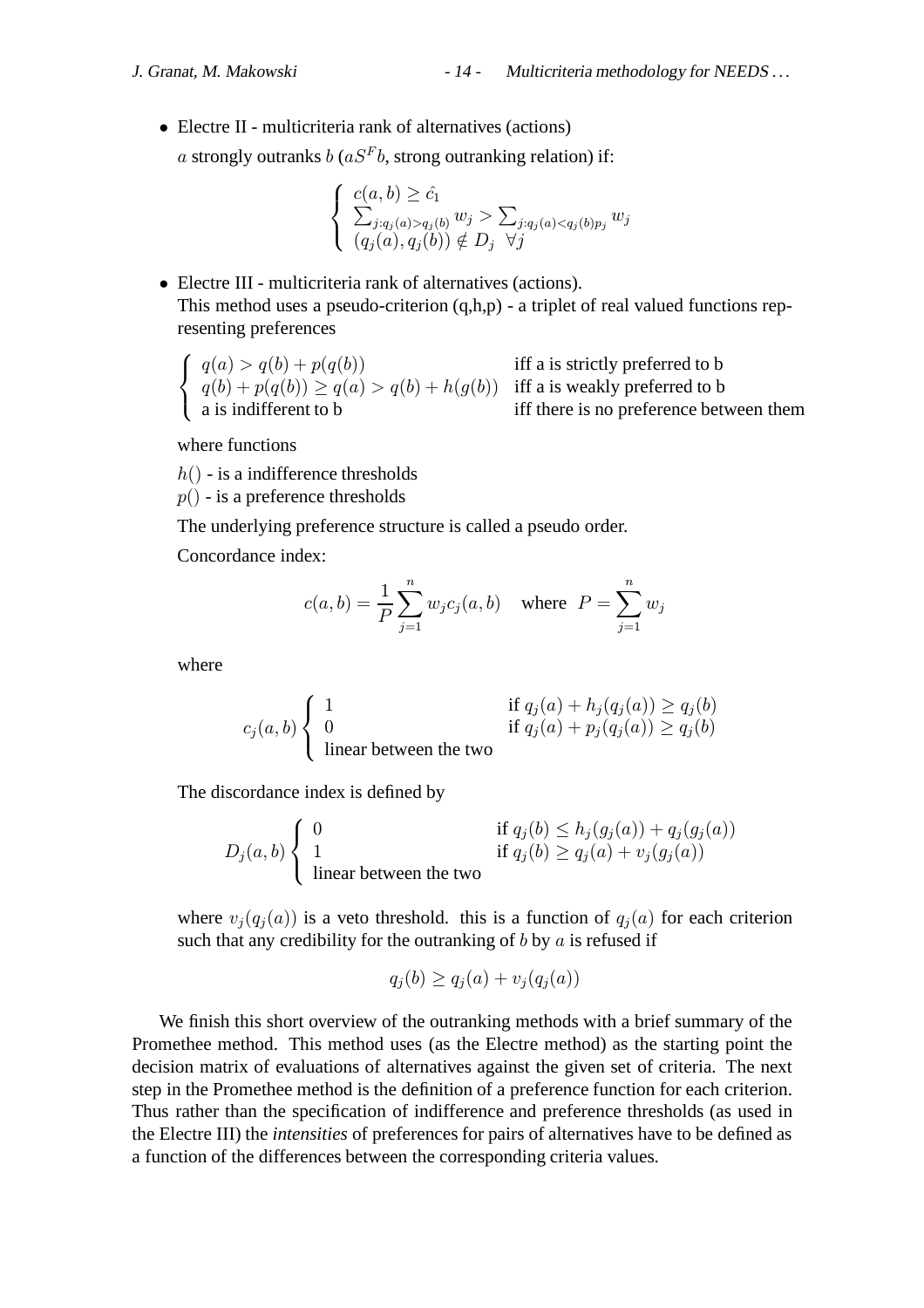• Electre II - multicriteria rank of alternatives (actions)

a strongly outranks  $b$  ( $aS<sup>F</sup>b$ , strong outranking relation) if:

$$
\begin{cases} c(a,b) \geq \hat{c}_1 \\ \sum_{j: q_j(a) > q_j(b)} w_j > \sum_{j: q_j(a) < q_j(b)p_j} w_j \\ (q_j(a), q_j(b)) \notin D_j \quad \forall j \end{cases}
$$

• Electre III - multicriteria rank of alternatives (actions). This method uses a pseudo-criterion  $(q,h,p)$  - a triplet of real valued functions representing preferences

$$
\begin{cases}\n q(a) > q(b) + p(q(b)) & \text{iff a is strictly preferred to b} \\
q(b) + p(q(b)) \ge q(a) > q(b) + h(g(b)) & \text{iff a is weakly preferred to b} \\
a \text{ is indifferent to b} & \text{iff there is no preference between them}\n\end{cases}
$$

where functions

 $h()$  - is a indifference thresholds

 $p()$  - is a preference thresholds

The underlying preference structure is called a pseudo order.

Concordance index:

$$
c(a, b) = \frac{1}{P} \sum_{j=1}^{n} w_j c_j(a, b)
$$
 where  $P = \sum_{j=1}^{n} w_j$ 

where

$$
c_j(a, b) \begin{cases} 1 & \text{if } q_j(a) + h_j(q_j(a)) \ge q_j(b) \\ 0 & \text{if } q_j(a) + p_j(q_j(a)) \ge q_j(b) \\ \text{linear between the two} \end{cases}
$$

The discordance index is defined by

$$
D_j(a, b) \begin{cases} 0 & \text{if } q_j(b) \le h_j(g_j(a)) + q_j(g_j(a)) \\ 1 & \text{if } q_j(b) \ge q_j(a) + v_j(g_j(a)) \end{cases}
$$
linear between the two

where  $v_j(q_j(a))$  is a veto threshold. this is a function of  $q_j(a)$  for each criterion such that any credibility for the outranking of  $b$  by  $a$  is refused if

$$
q_j(b) \ge q_j(a) + v_j(q_j(a))
$$

We finish this short overview of the outranking methods with a brief summary of the Promethee method. This method uses (as the Electre method) as the starting point the decision matrix of evaluations of alternatives against the given set of criteria. The next step in the Promethee method is the definition of a preference function for each criterion. Thus rather than the specification of indifference and preference thresholds (as used in the Electre III) the *intensities* of preferences for pairs of alternatives have to be defined as a function of the differences between the corresponding criteria values.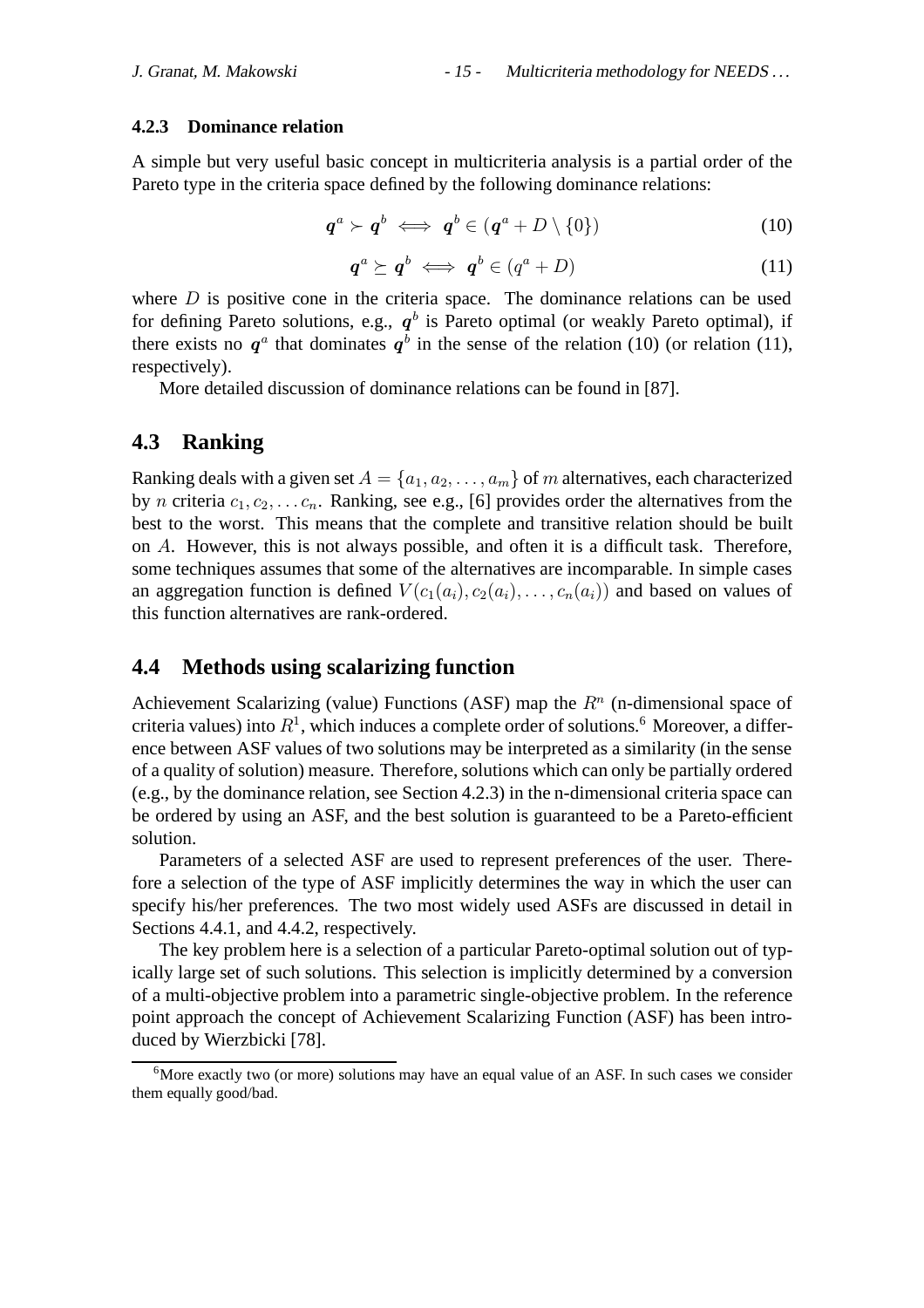#### **4.2.3 Dominance relation**

A simple but very useful basic concept in multicriteria analysis is a partial order of the Pareto type in the criteria space defined by the following dominance relations:

$$
\boldsymbol{q}^a \succ \boldsymbol{q}^b \iff \boldsymbol{q}^b \in (\boldsymbol{q}^a + D \setminus \{0\}) \tag{10}
$$

$$
\boldsymbol{q}^a \succeq \boldsymbol{q}^b \iff \boldsymbol{q}^b \in (q^a + D) \tag{11}
$$

where  $D$  is positive cone in the criteria space. The dominance relations can be used for defining Pareto solutions, e.g.,  $q<sup>b</sup>$  is Pareto optimal (or weakly Pareto optimal), if there exists no  $q^a$  that dominates  $q^b$  in the sense of the relation (10) (or relation (11), respectively).

More detailed discussion of dominance relations can be found in [87].

## **4.3 Ranking**

Ranking deals with a given set  $A = \{a_1, a_2, \ldots, a_m\}$  of m alternatives, each characterized by n criteria  $c_1, c_2, \ldots c_n$ . Ranking, see e.g., [6] provides order the alternatives from the best to the worst. This means that the complete and transitive relation should be built on A. However, this is not always possible, and often it is a difficult task. Therefore, some techniques assumes that some of the alternatives are incomparable. In simple cases an aggregation function is defined  $V(c_1(a_i), c_2(a_i), \ldots, c_n(a_i))$  and based on values of this function alternatives are rank-ordered.

## **4.4 Methods using scalarizing function**

Achievement Scalarizing (value) Functions (ASF) map the  $R<sup>n</sup>$  (n-dimensional space of criteria values) into  $R<sup>1</sup>$ , which induces a complete order of solutions.<sup>6</sup> Moreover, a difference between ASF values of two solutions may be interpreted as a similarity (in the sense of a quality of solution) measure. Therefore, solutions which can only be partially ordered (e.g., by the dominance relation, see Section 4.2.3) in the n-dimensional criteria space can be ordered by using an ASF, and the best solution is guaranteed to be a Pareto-efficient solution.

Parameters of a selected ASF are used to represent preferences of the user. Therefore a selection of the type of ASF implicitly determines the way in which the user can specify his/her preferences. The two most widely used ASFs are discussed in detail in Sections 4.4.1, and 4.4.2, respectively.

The key problem here is a selection of a particular Pareto-optimal solution out of typically large set of such solutions. This selection is implicitly determined by a conversion of a multi-objective problem into a parametric single-objective problem. In the reference point approach the concept of Achievement Scalarizing Function (ASF) has been introduced by Wierzbicki [78].

<sup>&</sup>lt;sup>6</sup>More exactly two (or more) solutions may have an equal value of an ASF. In such cases we consider them equally good/bad.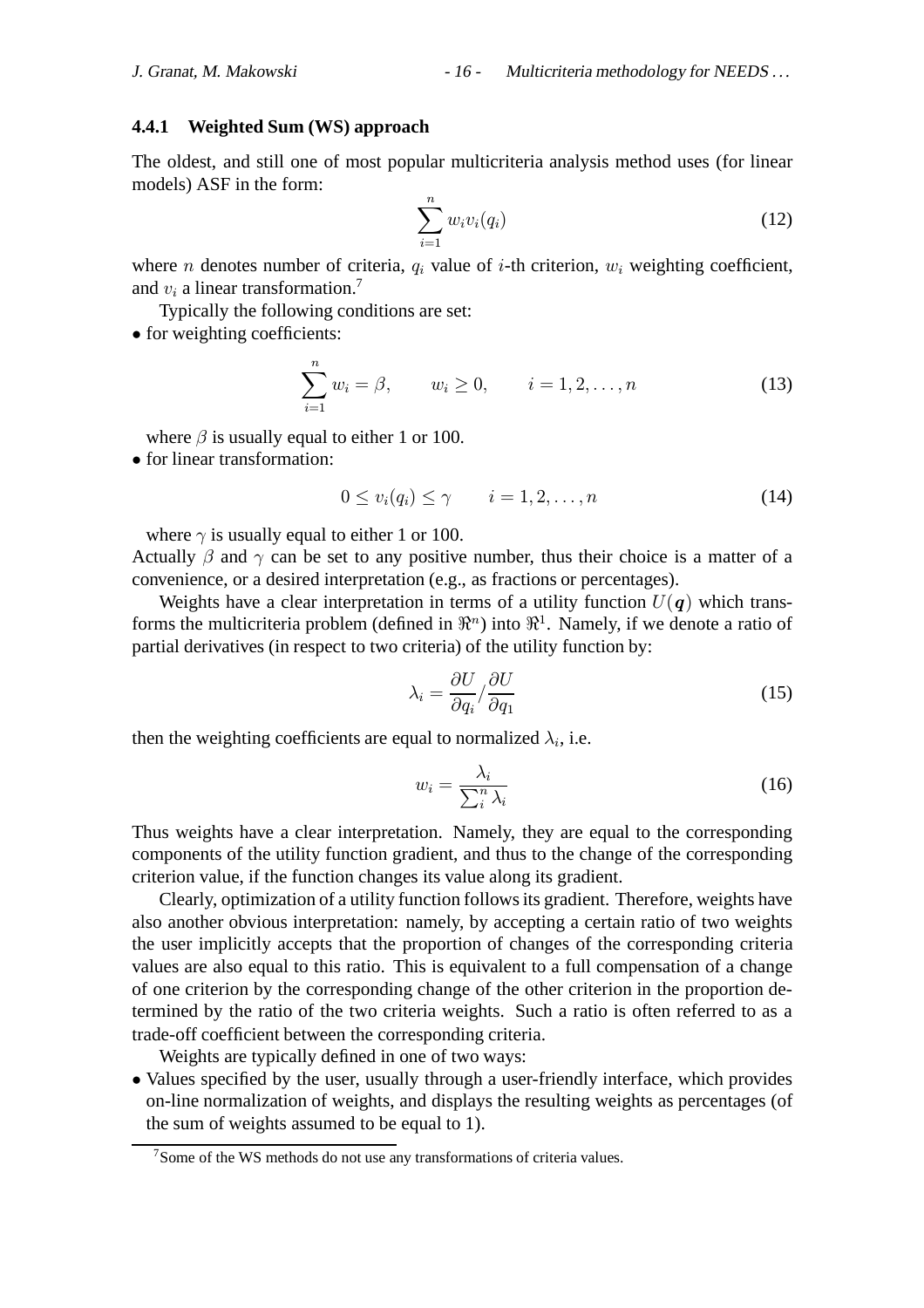#### **4.4.1 Weighted Sum (WS) approach**

The oldest, and still one of most popular multicriteria analysis method uses (for linear models) ASF in the form:

$$
\sum_{i=1}^{n} w_i v_i(q_i) \tag{12}
$$

where *n* denotes number of criteria,  $q_i$  value of *i*-th criterion,  $w_i$  weighting coefficient, and  $v_i$  a linear transformation.<sup>7</sup>

Typically the following conditions are set:

• for weighting coefficients:

$$
\sum_{i=1}^{n} w_i = \beta, \qquad w_i \ge 0, \qquad i = 1, 2, \dots, n \tag{13}
$$

where  $\beta$  is usually equal to either 1 or 100.

• for linear transformation:

$$
0 \le v_i(q_i) \le \gamma \qquad i = 1, 2, \dots, n \tag{14}
$$

where  $\gamma$  is usually equal to either 1 or 100.

Actually  $\beta$  and  $\gamma$  can be set to any positive number, thus their choice is a matter of a convenience, or a desired interpretation (e.g., as fractions or percentages).

Weights have a clear interpretation in terms of a utility function  $U(q)$  which transforms the multicriteria problem (defined in  $\mathbb{R}^n$ ) into  $\mathbb{R}^1$ . Namely, if we denote a ratio of partial derivatives (in respect to two criteria) of the utility function by:

$$
\lambda_i = \frac{\partial U}{\partial q_i} / \frac{\partial U}{\partial q_1} \tag{15}
$$

then the weighting coefficients are equal to normalized  $\lambda_i$ , i.e.

$$
w_i = \frac{\lambda_i}{\sum_i^n \lambda_i} \tag{16}
$$

Thus weights have a clear interpretation. Namely, they are equal to the corresponding components of the utility function gradient, and thus to the change of the corresponding criterion value, if the function changes its value along its gradient.

Clearly, optimization of a utility function follows its gradient. Therefore, weights have also another obvious interpretation: namely, by accepting a certain ratio of two weights the user implicitly accepts that the proportion of changes of the corresponding criteria values are also equal to this ratio. This is equivalent to a full compensation of a change of one criterion by the corresponding change of the other criterion in the proportion determined by the ratio of the two criteria weights. Such a ratio is often referred to as a trade-off coefficient between the corresponding criteria.

Weights are typically defined in one of two ways:

• Values specified by the user, usually through a user-friendly interface, which provides on-line normalization of weights, and displays the resulting weights as percentages (of the sum of weights assumed to be equal to 1).

<sup>7</sup>Some of the WS methods do not use any transformations of criteria values.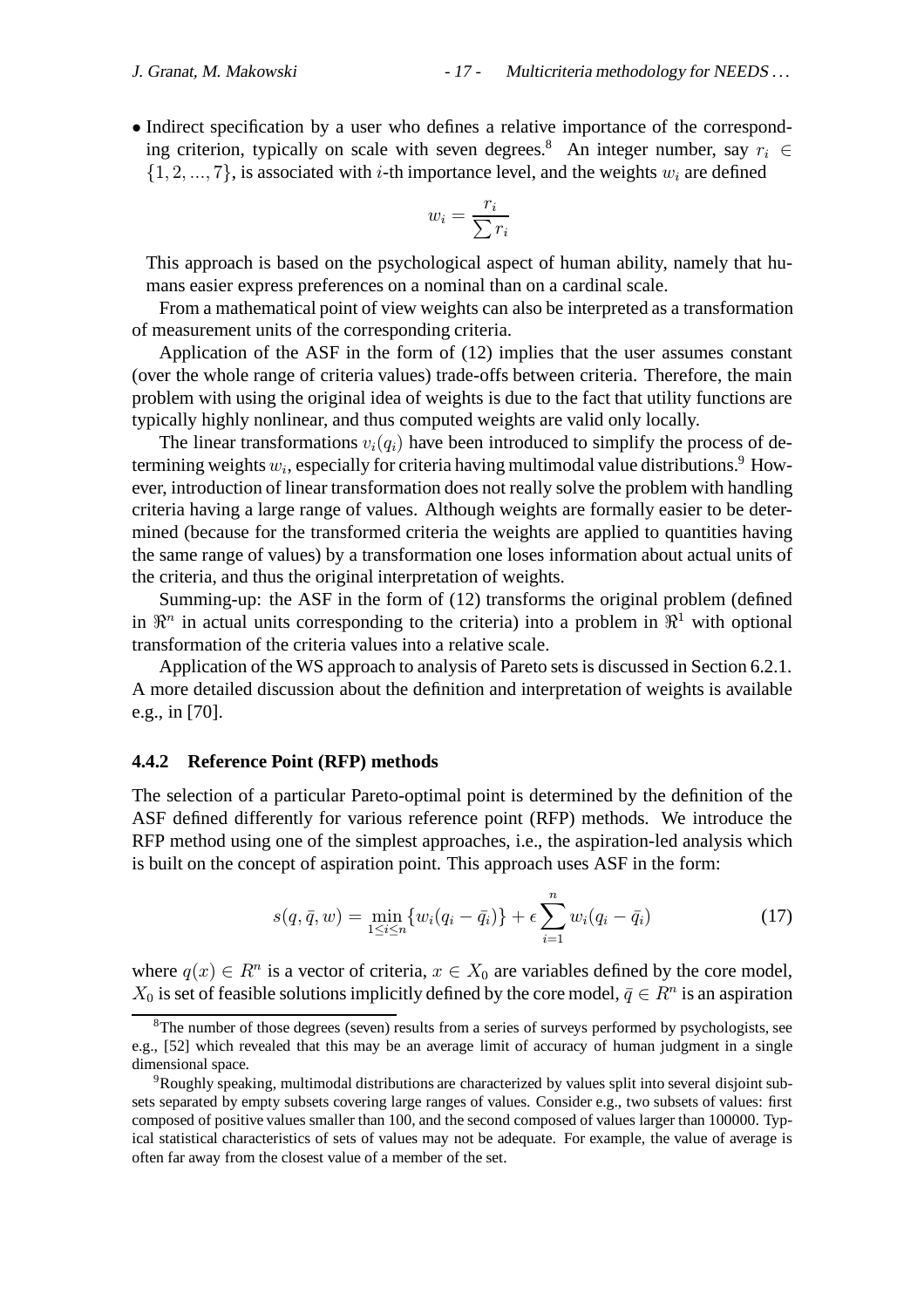• Indirect specification by a user who defines a relative importance of the corresponding criterion, typically on scale with seven degrees.<sup>8</sup> An integer number, say  $r_i \in$  $\{1, 2, ..., 7\}$ , is associated with *i*-th importance level, and the weights  $w_i$  are defined

$$
w_i = \frac{r_i}{\sum r_i}
$$

This approach is based on the psychological aspect of human ability, namely that humans easier express preferences on a nominal than on a cardinal scale.

From a mathematical point of view weights can also be interpreted as a transformation of measurement units of the corresponding criteria.

Application of the ASF in the form of (12) implies that the user assumes constant (over the whole range of criteria values) trade-offs between criteria. Therefore, the main problem with using the original idea of weights is due to the fact that utility functions are typically highly nonlinear, and thus computed weights are valid only locally.

The linear transformations  $v_i(q_i)$  have been introduced to simplify the process of determining weights  $w_i$ , especially for criteria having multimodal value distributions.<sup>9</sup> However, introduction of linear transformation does not really solve the problem with handling criteria having a large range of values. Although weights are formally easier to be determined (because for the transformed criteria the weights are applied to quantities having the same range of values) by a transformation one loses information about actual units of the criteria, and thus the original interpretation of weights.

Summing-up: the ASF in the form of (12) transforms the original problem (defined in  $\mathbb{R}^n$  in actual units corresponding to the criteria) into a problem in  $\mathbb{R}^1$  with optional transformation of the criteria values into a relative scale.

Application of the WS approach to analysis of Pareto sets is discussed in Section 6.2.1. A more detailed discussion about the definition and interpretation of weights is available e.g., in [70].

#### **4.4.2 Reference Point (RFP) methods**

The selection of a particular Pareto-optimal point is determined by the definition of the ASF defined differently for various reference point (RFP) methods. We introduce the RFP method using one of the simplest approaches, i.e., the aspiration-led analysis which is built on the concept of aspiration point. This approach uses ASF in the form:

$$
s(q, \bar{q}, w) = \min_{1 \leq i \leq n} \{w_i(q_i - \bar{q}_i)\} + \epsilon \sum_{i=1}^n w_i(q_i - \bar{q}_i)
$$
(17)

where  $q(x) \in R^n$  is a vector of criteria,  $x \in X_0$  are variables defined by the core model,  $X_0$  is set of feasible solutions implicitly defined by the core model,  $\bar{q} \in \mathbb{R}^n$  is an aspiration

 $8$ The number of those degrees (seven) results from a series of surveys performed by psychologists, see e.g., [52] which revealed that this may be an average limit of accuracy of human judgment in a single dimensional space.

<sup>9</sup>Roughly speaking, multimodal distributions are characterized by values split into several disjoint subsets separated by empty subsets covering large ranges of values. Consider e.g., two subsets of values: first composed of positive values smaller than 100, and the second composed of values larger than 100000. Typical statistical characteristics of sets of values may not be adequate. For example, the value of average is often far away from the closest value of a member of the set.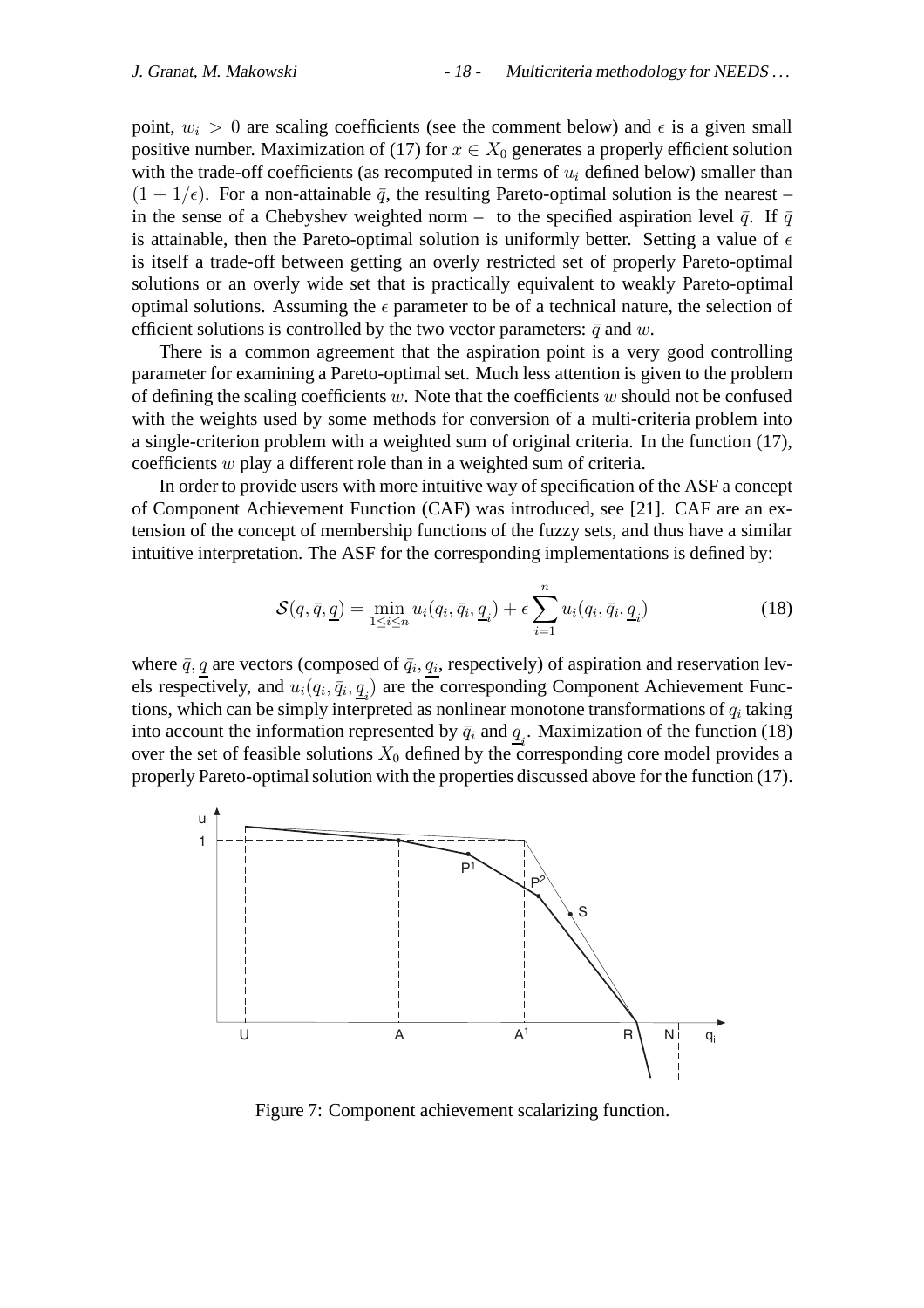point,  $w_i > 0$  are scaling coefficients (see the comment below) and  $\epsilon$  is a given small positive number. Maximization of (17) for  $x \in X_0$  generates a properly efficient solution with the trade-off coefficients (as recomputed in terms of  $u_i$  defined below) smaller than  $(1 + 1/\epsilon)$ . For a non-attainable  $\bar{q}$ , the resulting Pareto-optimal solution is the nearest – in the sense of a Chebyshev weighted norm – to the specified aspiration level  $\bar{q}$ . If  $\bar{q}$ is attainable, then the Pareto-optimal solution is uniformly better. Setting a value of  $\epsilon$ is itself a trade-off between getting an overly restricted set of properly Pareto-optimal solutions or an overly wide set that is practically equivalent to weakly Pareto-optimal optimal solutions. Assuming the  $\epsilon$  parameter to be of a technical nature, the selection of efficient solutions is controlled by the two vector parameters:  $\bar{q}$  and w.

There is a common agreement that the aspiration point is a very good controlling parameter for examining a Pareto-optimal set. Much less attention is given to the problem of defining the scaling coefficients  $w$ . Note that the coefficients  $w$  should not be confused with the weights used by some methods for conversion of a multi-criteria problem into a single-criterion problem with a weighted sum of original criteria. In the function (17), coefficients w play a different role than in a weighted sum of criteria.

In order to provide users with more intuitive way of specification of the ASF a concept of Component Achievement Function (CAF) was introduced, see [21]. CAF are an extension of the concept of membership functions of the fuzzy sets, and thus have a similar intuitive interpretation. The ASF for the corresponding implementations is defined by:

$$
\mathcal{S}(q,\bar{q},\underline{q}) = \min_{1 \leq i \leq n} u_i(q_i,\bar{q}_i,\underline{q}_i) + \epsilon \sum_{i=1}^n u_i(q_i,\bar{q}_i,\underline{q}_i)
$$
(18)

where  $\bar{q}$ ,  $q$  are vectors (composed of  $\bar{q}_i$ ,  $q_i$ , respectively) of aspiration and reservation levels respectively, and  $u_i(q_i, \bar{q}_i, \underline{q}_i)$  are the corresponding Component Achievement Functions, which can be simply interpreted as nonlinear monotone transformations of  $q_i$  taking into account the information represented by  $\bar{q}_i$  and  $\underline{q}_i$ . Maximization of the function (18) over the set of feasible solutions  $X_0$  defined by the corresponding core model provides a properly Pareto-optimal solution with the properties discussed above for the function (17).



Figure 7: Component achievement scalarizing function.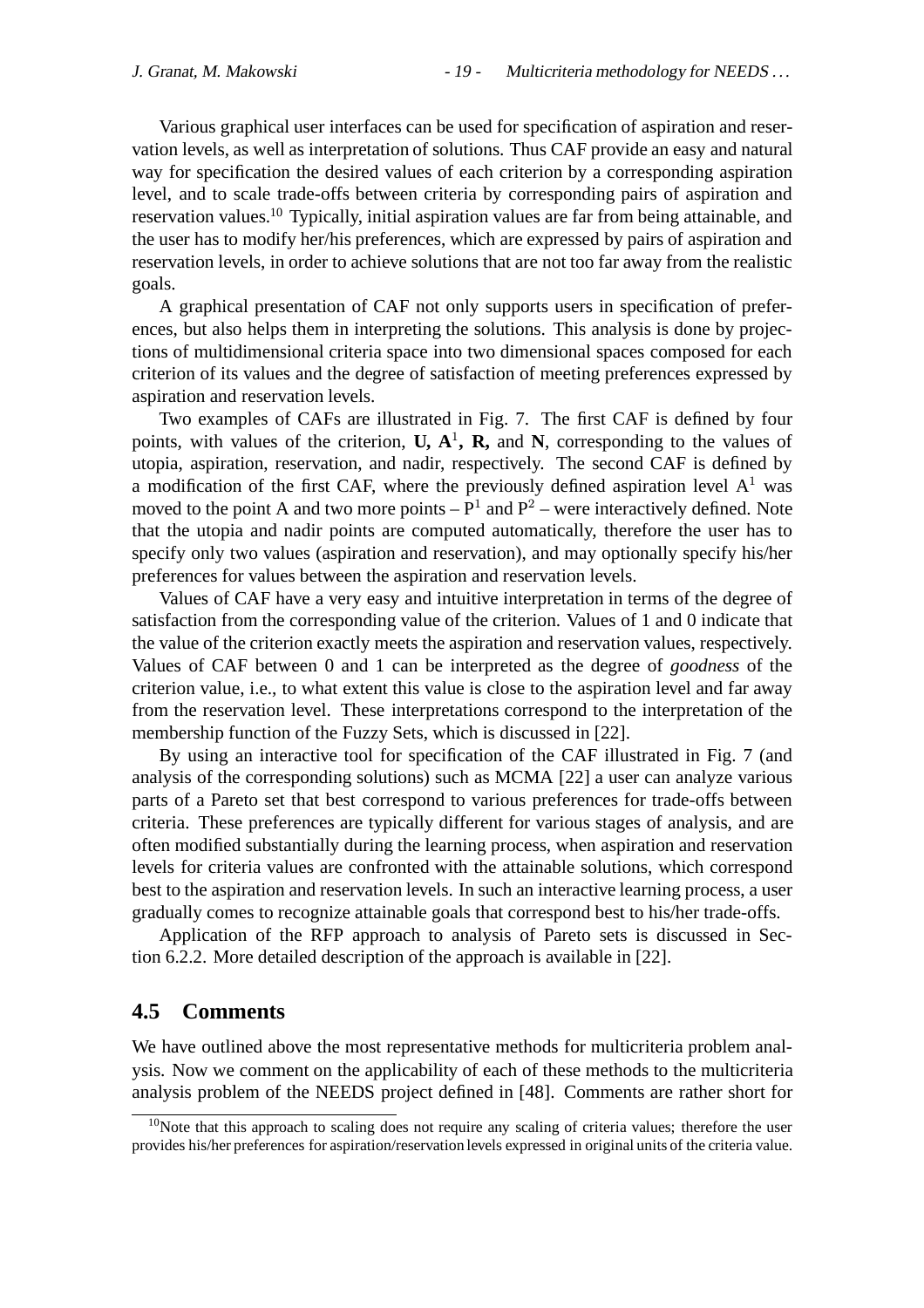Various graphical user interfaces can be used for specification of aspiration and reservation levels, as well as interpretation of solutions. Thus CAF provide an easy and natural way for specification the desired values of each criterion by a corresponding aspiration level, and to scale trade-offs between criteria by corresponding pairs of aspiration and reservation values.10 Typically, initial aspiration values are far from being attainable, and the user has to modify her/his preferences, which are expressed by pairs of aspiration and reservation levels, in order to achieve solutions that are not too far away from the realistic goals.

A graphical presentation of CAF not only supports users in specification of preferences, but also helps them in interpreting the solutions. This analysis is done by projections of multidimensional criteria space into two dimensional spaces composed for each criterion of its values and the degree of satisfaction of meeting preferences expressed by aspiration and reservation levels.

Two examples of CAFs are illustrated in Fig. 7. The first CAF is defined by four points, with values of the criterion,  $U, A<sup>1</sup>, R$ , and N, corresponding to the values of utopia, aspiration, reservation, and nadir, respectively. The second CAF is defined by a modification of the first CAF, where the previously defined aspiration level  $A<sup>1</sup>$  was moved to the point A and two more points  $-P<sup>1</sup>$  and  $P<sup>2</sup>$  – were interactively defined. Note that the utopia and nadir points are computed automatically, therefore the user has to specify only two values (aspiration and reservation), and may optionally specify his/her preferences for values between the aspiration and reservation levels.

Values of CAF have a very easy and intuitive interpretation in terms of the degree of satisfaction from the corresponding value of the criterion. Values of 1 and 0 indicate that the value of the criterion exactly meets the aspiration and reservation values, respectively. Values of CAF between 0 and 1 can be interpreted as the degree of *goodness* of the criterion value, i.e., to what extent this value is close to the aspiration level and far away from the reservation level. These interpretations correspond to the interpretation of the membership function of the Fuzzy Sets, which is discussed in [22].

By using an interactive tool for specification of the CAF illustrated in Fig. 7 (and analysis of the corresponding solutions) such as MCMA [22] a user can analyze various parts of a Pareto set that best correspond to various preferences for trade-offs between criteria. These preferences are typically different for various stages of analysis, and are often modified substantially during the learning process, when aspiration and reservation levels for criteria values are confronted with the attainable solutions, which correspond best to the aspiration and reservation levels. In such an interactive learning process, a user gradually comes to recognize attainable goals that correspond best to his/her trade-offs.

Application of the RFP approach to analysis of Pareto sets is discussed in Section 6.2.2. More detailed description of the approach is available in [22].

## **4.5 Comments**

We have outlined above the most representative methods for multicriteria problem analysis. Now we comment on the applicability of each of these methods to the multicriteria analysis problem of the NEEDS project defined in [48]. Comments are rather short for

 $10$ Note that this approach to scaling does not require any scaling of criteria values; therefore the user provides his/her preferences for aspiration/reservation levels expressed in original units of the criteria value.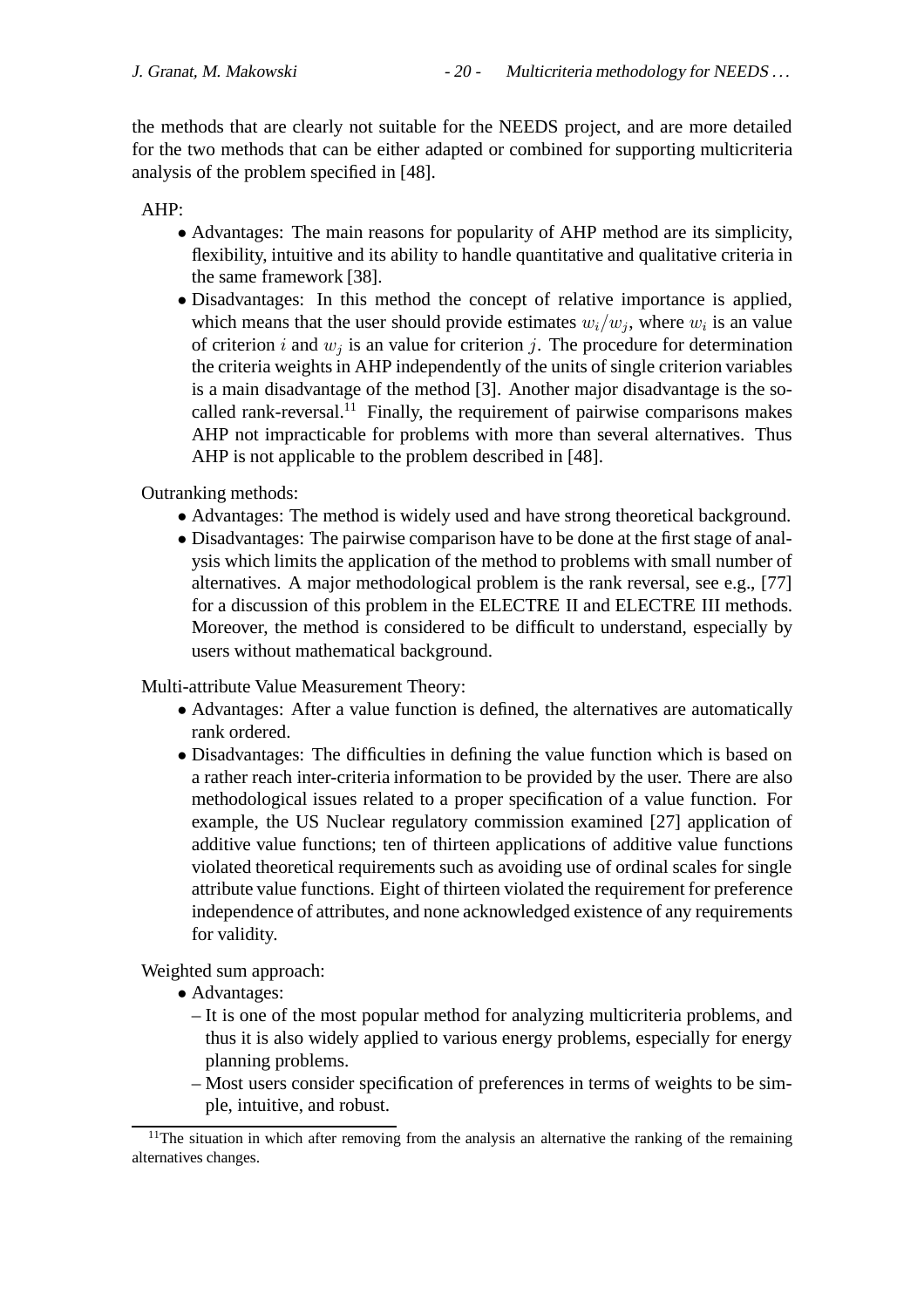the methods that are clearly not suitable for the NEEDS project, and are more detailed for the two methods that can be either adapted or combined for supporting multicriteria analysis of the problem specified in [48].

AHP:

- Advantages: The main reasons for popularity of AHP method are its simplicity, flexibility, intuitive and its ability to handle quantitative and qualitative criteria in the same framework [38].
- Disadvantages: In this method the concept of relative importance is applied, which means that the user should provide estimates  $w_i/w_j$ , where  $w_i$  is an value of criterion i and  $w_i$  is an value for criterion j. The procedure for determination the criteria weights in AHP independently of the units of single criterion variables is a main disadvantage of the method [3]. Another major disadvantage is the socalled rank-reversal.<sup>11</sup> Finally, the requirement of pairwise comparisons makes AHP not impracticable for problems with more than several alternatives. Thus AHP is not applicable to the problem described in [48].

Outranking methods:

- Advantages: The method is widely used and have strong theoretical background.
- Disadvantages: The pairwise comparison have to be done at the first stage of analysis which limits the application of the method to problems with small number of alternatives. A major methodological problem is the rank reversal, see e.g., [77] for a discussion of this problem in the ELECTRE II and ELECTRE III methods. Moreover, the method is considered to be difficult to understand, especially by users without mathematical background.

Multi-attribute Value Measurement Theory:

- Advantages: After a value function is defined, the alternatives are automatically rank ordered.
- Disadvantages: The difficulties in defining the value function which is based on a rather reach inter-criteria information to be provided by the user. There are also methodological issues related to a proper specification of a value function. For example, the US Nuclear regulatory commission examined [27] application of additive value functions; ten of thirteen applications of additive value functions violated theoretical requirements such as avoiding use of ordinal scales for single attribute value functions. Eight of thirteen violated the requirement for preference independence of attributes, and none acknowledged existence of any requirements for validity.

Weighted sum approach:

- Advantages:
	- It is one of the most popular method for analyzing multicriteria problems, and thus it is also widely applied to various energy problems, especially for energy planning problems.
	- Most users consider specification of preferences in terms of weights to be simple, intuitive, and robust.

 $11$ The situation in which after removing from the analysis an alternative the ranking of the remaining alternatives changes.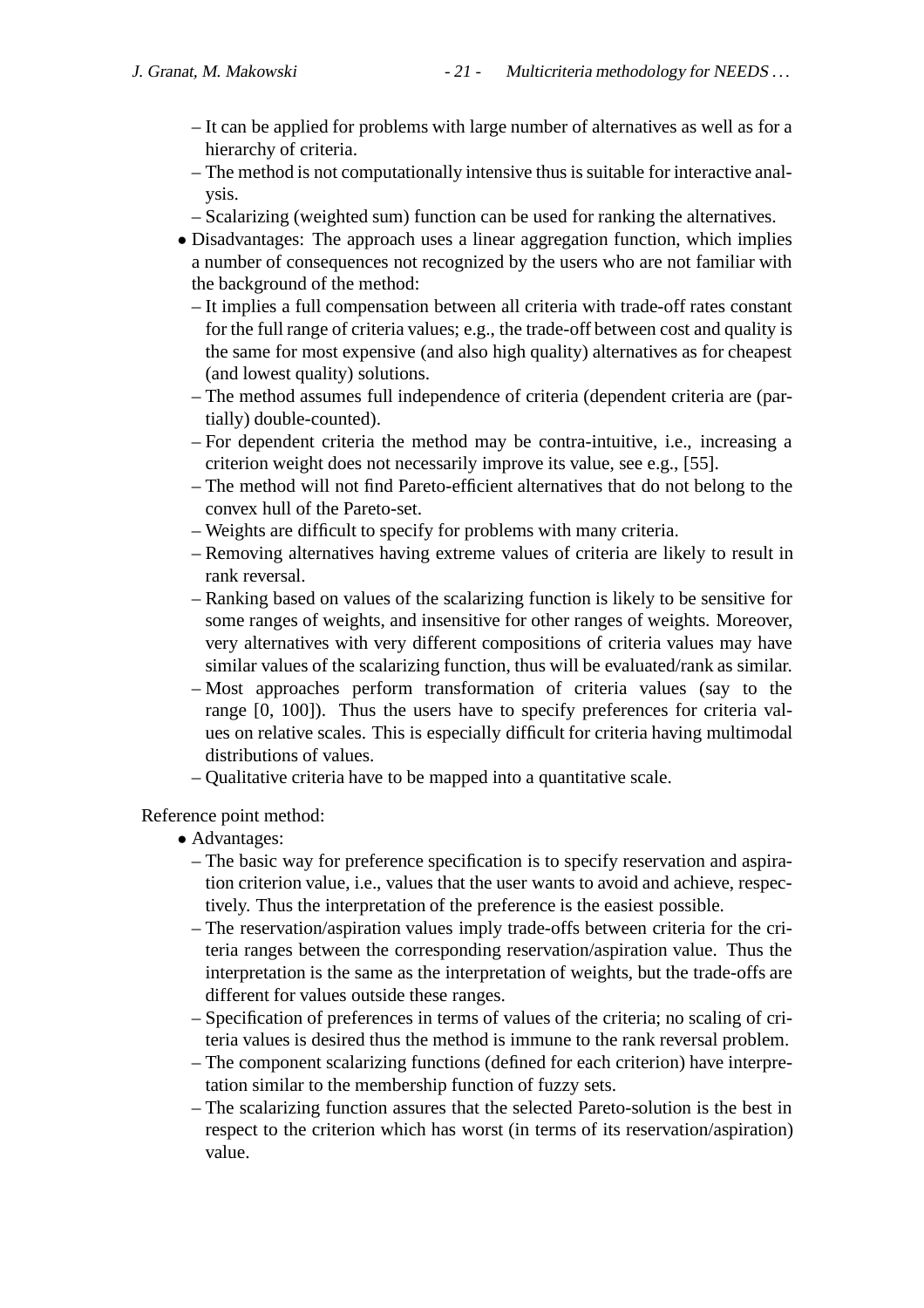- It can be applied for problems with large number of alternatives as well as for a hierarchy of criteria.
- The method is not computationally intensive thus is suitable for interactive analysis.
- Scalarizing (weighted sum) function can be used for ranking the alternatives.
- Disadvantages: The approach uses a linear aggregation function, which implies a number of consequences not recognized by the users who are not familiar with the background of the method:
	- It implies a full compensation between all criteria with trade-off rates constant for the full range of criteria values; e.g., the trade-off between cost and quality is the same for most expensive (and also high quality) alternatives as for cheapest (and lowest quality) solutions.
	- The method assumes full independence of criteria (dependent criteria are (partially) double-counted).
	- For dependent criteria the method may be contra-intuitive, i.e., increasing a criterion weight does not necessarily improve its value, see e.g., [55].
	- The method will not find Pareto-efficient alternatives that do not belong to the convex hull of the Pareto-set.
	- Weights are difficult to specify for problems with many criteria.
	- Removing alternatives having extreme values of criteria are likely to result in rank reversal.
	- Ranking based on values of the scalarizing function is likely to be sensitive for some ranges of weights, and insensitive for other ranges of weights. Moreover, very alternatives with very different compositions of criteria values may have similar values of the scalarizing function, thus will be evaluated/rank as similar.
	- Most approaches perform transformation of criteria values (say to the range [0, 100]). Thus the users have to specify preferences for criteria values on relative scales. This is especially difficult for criteria having multimodal distributions of values.
	- Qualitative criteria have to be mapped into a quantitative scale.

## Reference point method:

- Advantages:
	- The basic way for preference specification is to specify reservation and aspiration criterion value, i.e., values that the user wants to avoid and achieve, respectively. Thus the interpretation of the preference is the easiest possible.
	- The reservation/aspiration values imply trade-offs between criteria for the criteria ranges between the corresponding reservation/aspiration value. Thus the interpretation is the same as the interpretation of weights, but the trade-offs are different for values outside these ranges.
	- Specification of preferences in terms of values of the criteria; no scaling of criteria values is desired thus the method is immune to the rank reversal problem.
	- The component scalarizing functions (defined for each criterion) have interpretation similar to the membership function of fuzzy sets.
	- The scalarizing function assures that the selected Pareto-solution is the best in respect to the criterion which has worst (in terms of its reservation/aspiration) value.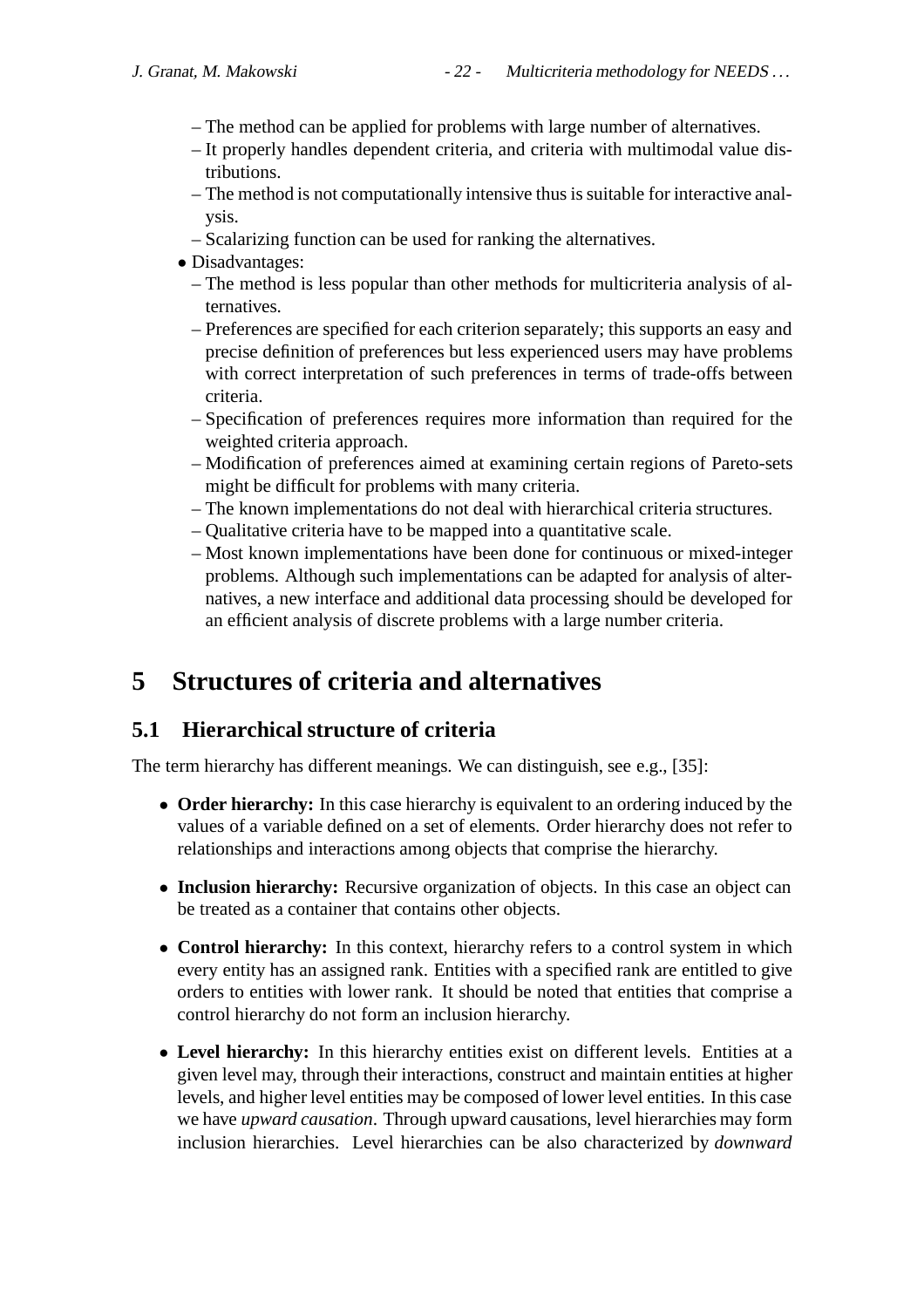- The method can be applied for problems with large number of alternatives.
- It properly handles dependent criteria, and criteria with multimodal value distributions.
- The method is not computationally intensive thus is suitable for interactive analysis.
- Scalarizing function can be used for ranking the alternatives.
- Disadvantages:
	- The method is less popular than other methods for multicriteria analysis of alternatives.
	- Preferences are specified for each criterion separately; this supports an easy and precise definition of preferences but less experienced users may have problems with correct interpretation of such preferences in terms of trade-offs between criteria.
	- Specification of preferences requires more information than required for the weighted criteria approach.
	- Modification of preferences aimed at examining certain regions of Pareto-sets might be difficult for problems with many criteria.
	- The known implementations do not deal with hierarchical criteria structures.
	- Qualitative criteria have to be mapped into a quantitative scale.
	- Most known implementations have been done for continuous or mixed-integer problems. Although such implementations can be adapted for analysis of alternatives, a new interface and additional data processing should be developed for an efficient analysis of discrete problems with a large number criteria.

# **5 Structures of criteria and alternatives**

## **5.1 Hierarchical structure of criteria**

The term hierarchy has different meanings. We can distinguish, see e.g., [35]:

- **Order hierarchy:** In this case hierarchy is equivalent to an ordering induced by the values of a variable defined on a set of elements. Order hierarchy does not refer to relationships and interactions among objects that comprise the hierarchy.
- **Inclusion hierarchy:** Recursive organization of objects. In this case an object can be treated as a container that contains other objects.
- **Control hierarchy:** In this context, hierarchy refers to a control system in which every entity has an assigned rank. Entities with a specified rank are entitled to give orders to entities with lower rank. It should be noted that entities that comprise a control hierarchy do not form an inclusion hierarchy.
- **Level hierarchy:** In this hierarchy entities exist on different levels. Entities at a given level may, through their interactions, construct and maintain entities at higher levels, and higher level entities may be composed of lower level entities. In this case we have *upward causation*. Through upward causations, level hierarchies may form inclusion hierarchies. Level hierarchies can be also characterized by *downward*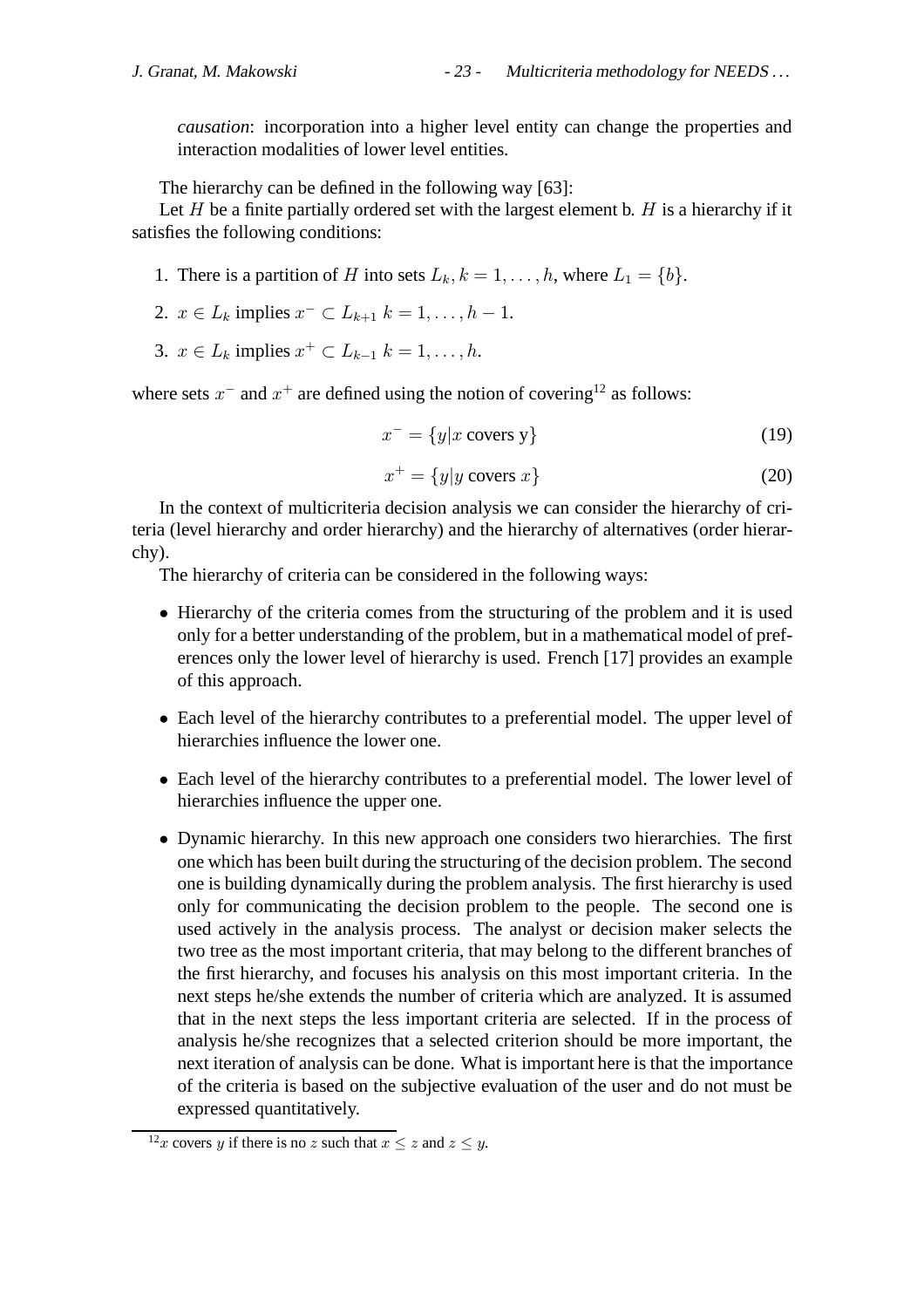*causation*: incorporation into a higher level entity can change the properties and interaction modalities of lower level entities.

The hierarchy can be defined in the following way [63]:

Let  $H$  be a finite partially ordered set with the largest element b.  $H$  is a hierarchy if it satisfies the following conditions:

- 1. There is a partition of H into sets  $L_k$ ,  $k = 1, \ldots, h$ , where  $L_1 = \{b\}$ .
- 2.  $x \in L_k$  implies  $x^- \subset L_{k+1}$   $k = 1, ..., h 1$ .
- 3.  $x \in L_k$  implies  $x^+ \subset L_{k-1}$   $k = 1, \ldots, h$ .

where sets  $x^-$  and  $x^+$  are defined using the notion of covering<sup>12</sup> as follows:

$$
x^{-} = \{y|x \text{ covers } y\}
$$
 (19)

$$
x^{+} = \{y | y \text{ covers } x\}
$$
 (20)

In the context of multicriteria decision analysis we can consider the hierarchy of criteria (level hierarchy and order hierarchy) and the hierarchy of alternatives (order hierarchy).

The hierarchy of criteria can be considered in the following ways:

- Hierarchy of the criteria comes from the structuring of the problem and it is used only for a better understanding of the problem, but in a mathematical model of preferences only the lower level of hierarchy is used. French [17] provides an example of this approach.
- Each level of the hierarchy contributes to a preferential model. The upper level of hierarchies influence the lower one.
- Each level of the hierarchy contributes to a preferential model. The lower level of hierarchies influence the upper one.
- Dynamic hierarchy. In this new approach one considers two hierarchies. The first one which has been built during the structuring of the decision problem. The second one is building dynamically during the problem analysis. The first hierarchy is used only for communicating the decision problem to the people. The second one is used actively in the analysis process. The analyst or decision maker selects the two tree as the most important criteria, that may belong to the different branches of the first hierarchy, and focuses his analysis on this most important criteria. In the next steps he/she extends the number of criteria which are analyzed. It is assumed that in the next steps the less important criteria are selected. If in the process of analysis he/she recognizes that a selected criterion should be more important, the next iteration of analysis can be done. What is important here is that the importance of the criteria is based on the subjective evaluation of the user and do not must be expressed quantitatively.

<sup>&</sup>lt;sup>12</sup>x covers y if there is no z such that  $x \le z$  and  $z \le y$ .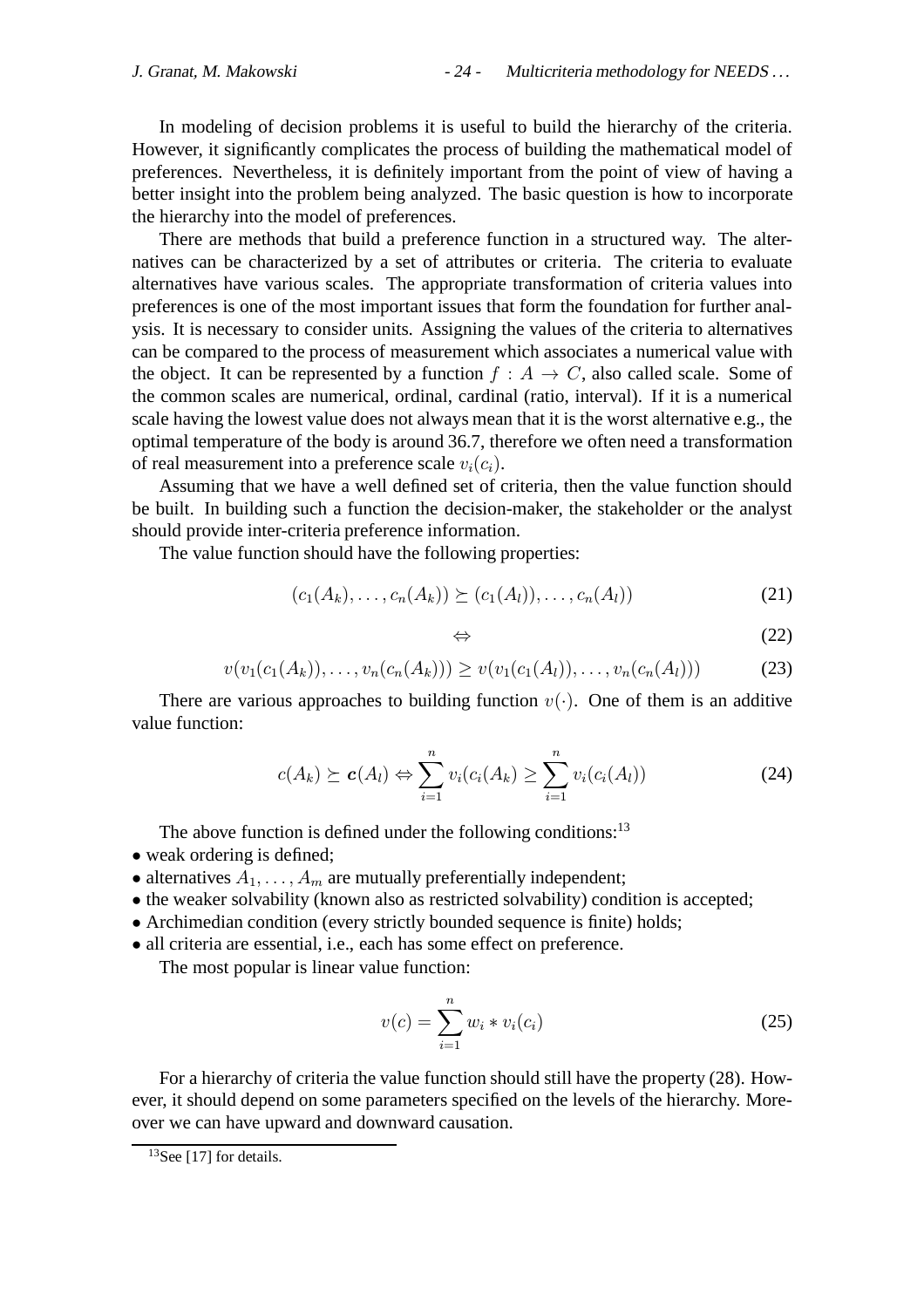In modeling of decision problems it is useful to build the hierarchy of the criteria. However, it significantly complicates the process of building the mathematical model of preferences. Nevertheless, it is definitely important from the point of view of having a better insight into the problem being analyzed. The basic question is how to incorporate the hierarchy into the model of preferences.

There are methods that build a preference function in a structured way. The alternatives can be characterized by a set of attributes or criteria. The criteria to evaluate alternatives have various scales. The appropriate transformation of criteria values into preferences is one of the most important issues that form the foundation for further analysis. It is necessary to consider units. Assigning the values of the criteria to alternatives can be compared to the process of measurement which associates a numerical value with the object. It can be represented by a function  $f : A \rightarrow C$ , also called scale. Some of the common scales are numerical, ordinal, cardinal (ratio, interval). If it is a numerical scale having the lowest value does not always mean that it is the worst alternative e.g., the optimal temperature of the body is around 36.7, therefore we often need a transformation of real measurement into a preference scale  $v_i(c_i)$ .

Assuming that we have a well defined set of criteria, then the value function should be built. In building such a function the decision-maker, the stakeholder or the analyst should provide inter-criteria preference information.

The value function should have the following properties:

$$
(c_1(A_k), \ldots, c_n(A_k)) \succeq (c_1(A_l)), \ldots, c_n(A_l))
$$
 (21)

$$
\Leftrightarrow \qquad \qquad (22)
$$

$$
v(v_1(c_1(A_k)),\ldots,v_n(c_n(A_k))) \ge v(v_1(c_1(A_l)),\ldots,v_n(c_n(A_l)))
$$
 (23)

There are various approaches to building function  $v(\cdot)$ . One of them is an additive value function:

$$
c(A_k) \succeq c(A_l) \Leftrightarrow \sum_{i=1}^n v_i(c_i(A_k) \ge \sum_{i=1}^n v_i(c_i(A_l))
$$
\n(24)

The above function is defined under the following conditions: $13$ 

- weak ordering is defined;
- alternatives  $A_1, \ldots, A_m$  are mutually preferentially independent;
- the weaker solvability (known also as restricted solvability) condition is accepted;
- Archimedian condition (every strictly bounded sequence is finite) holds;
- all criteria are essential, i.e., each has some effect on preference.

The most popular is linear value function:

$$
v(c) = \sum_{i=1}^{n} w_i * v_i(c_i)
$$
 (25)

For a hierarchy of criteria the value function should still have the property (28). However, it should depend on some parameters specified on the levels of the hierarchy. Moreover we can have upward and downward causation.

<sup>&</sup>lt;sup>13</sup>See [17] for details.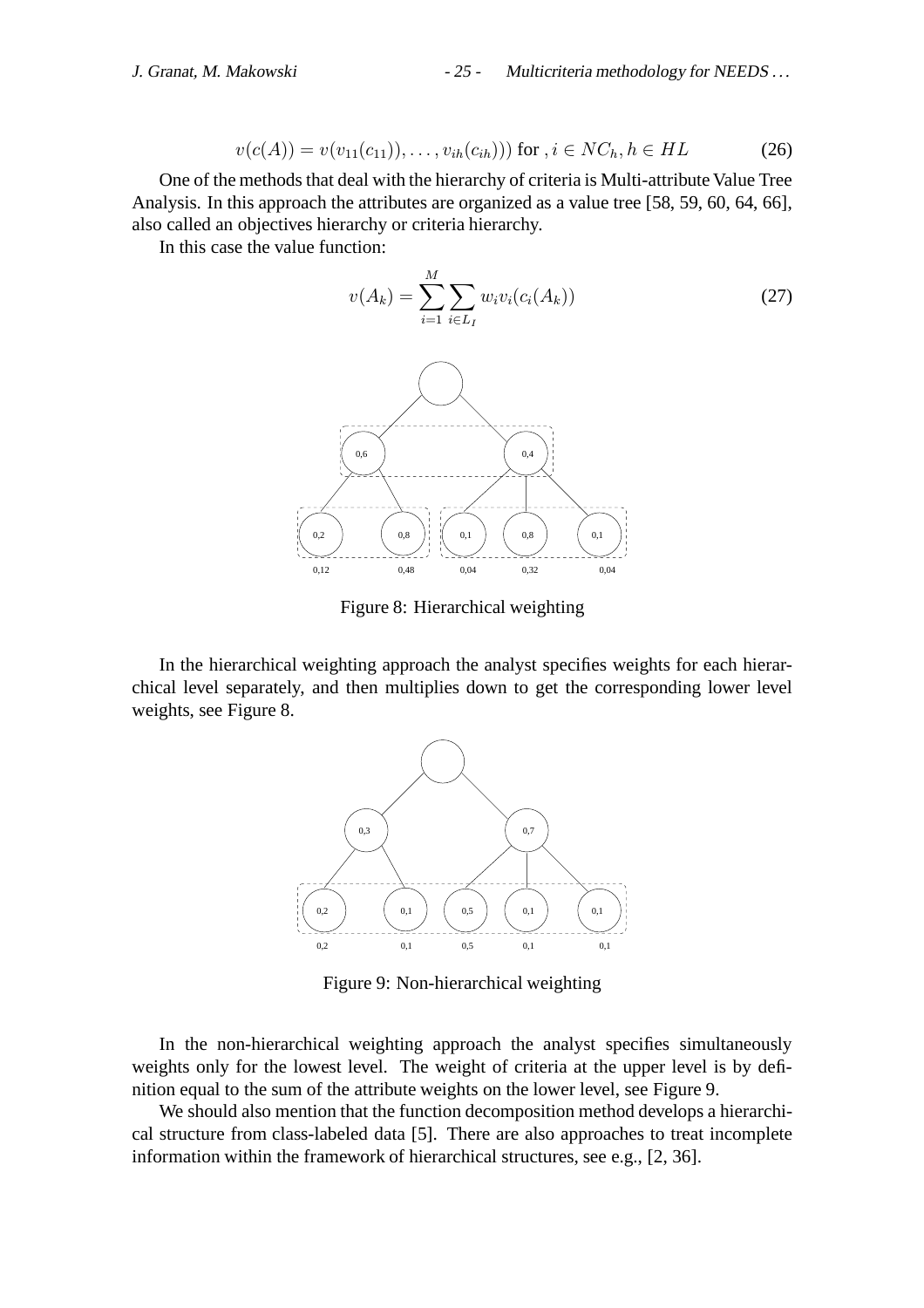$$
v(c(A)) = v(v_{11}(c_{11})), \dots, v_{ih}(c_{ih}))) \text{ for } i \in NC_h, h \in HL \tag{26}
$$

One of the methods that deal with the hierarchy of criteria is Multi-attribute Value Tree Analysis. In this approach the attributes are organized as a value tree [58, 59, 60, 64, 66], also called an objectives hierarchy or criteria hierarchy.

In this case the value function:

$$
v(A_k) = \sum_{i=1}^{M} \sum_{i \in L_I} w_i v_i (c_i(A_k))
$$
\n(27)



Figure 8: Hierarchical weighting

In the hierarchical weighting approach the analyst specifies weights for each hierarchical level separately, and then multiplies down to get the corresponding lower level weights, see Figure 8.



Figure 9: Non-hierarchical weighting

In the non-hierarchical weighting approach the analyst specifies simultaneously weights only for the lowest level. The weight of criteria at the upper level is by definition equal to the sum of the attribute weights on the lower level, see Figure 9.

We should also mention that the function decomposition method develops a hierarchical structure from class-labeled data [5]. There are also approaches to treat incomplete information within the framework of hierarchical structures, see e.g., [2, 36].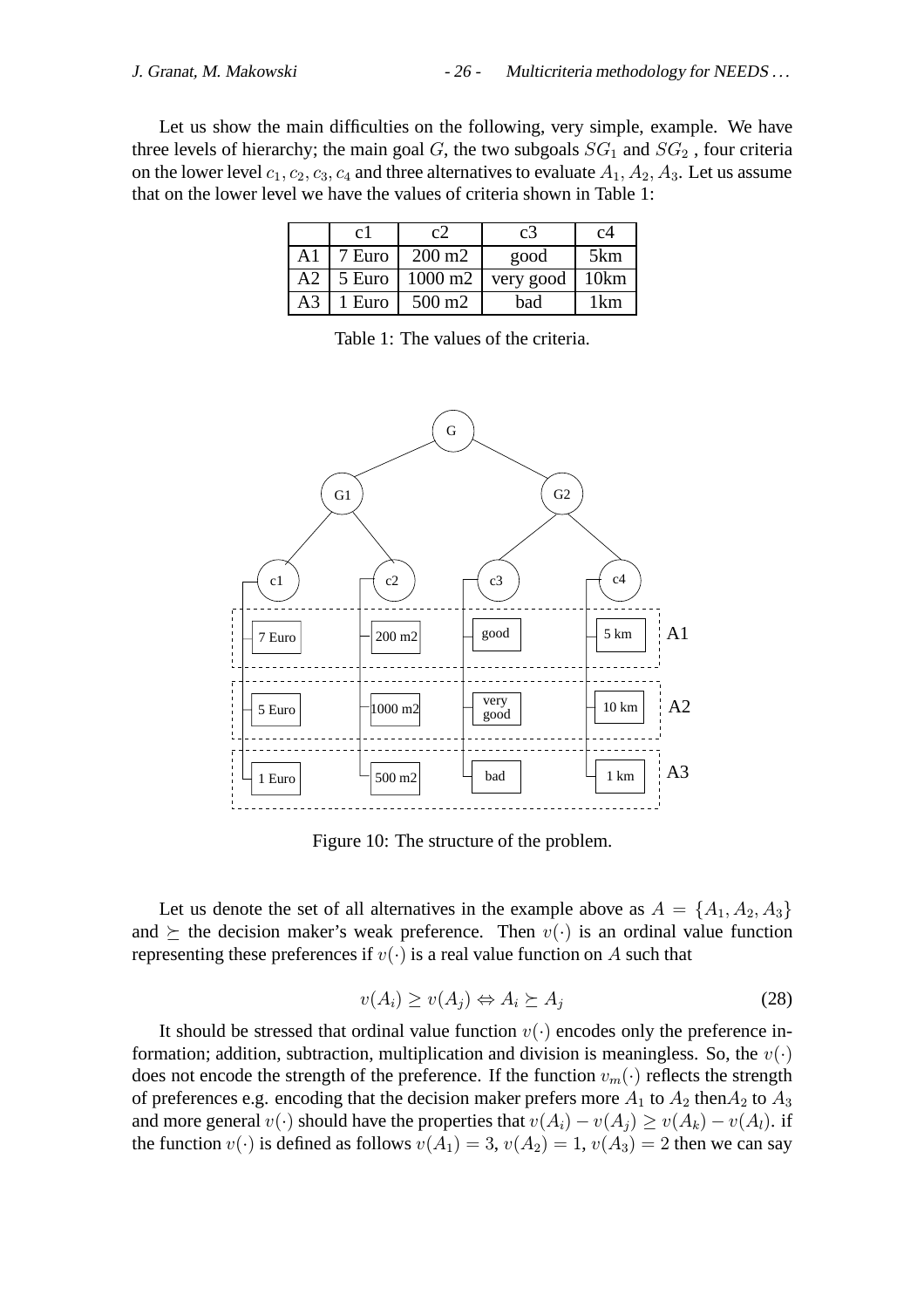Let us show the main difficulties on the following, very simple, example. We have three levels of hierarchy; the main goal  $G$ , the two subgoals  $SG_1$  and  $SG_2$ , four criteria on the lower level  $c_1, c_2, c_3, c_4$  and three alternatives to evaluate  $A_1, A_2, A_3$ . Let us assume that on the lower level we have the values of criteria shown in Table 1:

|                | c l            | C/                 | c3        | c4   |
|----------------|----------------|--------------------|-----------|------|
| A1             | 7 Euro         | $200 \text{ m}$    | good      | 5km  |
| A2             | $\vert$ 5 Euro | 1000 m2            | very good | 10km |
| A <sub>3</sub> | 1 Euro         | 500 m <sub>2</sub> | bad       |      |

Table 1: The values of the criteria.



Figure 10: The structure of the problem.

Let us denote the set of all alternatives in the example above as  $A = \{A_1, A_2, A_3\}$ and  $\succeq$  the decision maker's weak preference. Then  $v(\cdot)$  is an ordinal value function representing these preferences if  $v(\cdot)$  is a real value function on A such that

$$
v(A_i) \ge v(A_j) \Leftrightarrow A_i \succeq A_j \tag{28}
$$

It should be stressed that ordinal value function  $v(\cdot)$  encodes only the preference information; addition, subtraction, multiplication and division is meaningless. So, the  $v(\cdot)$ does not encode the strength of the preference. If the function  $v_m(\cdot)$  reflects the strength of preferences e.g. encoding that the decision maker prefers more  $A_1$  to  $A_2$  then  $A_2$  to  $A_3$ and more general  $v(\cdot)$  should have the properties that  $v(A_i) - v(A_i) \ge v(A_k) - v(A_l)$ . if the function  $v(\cdot)$  is defined as follows  $v(A_1)=3$ ,  $v(A_2)=1$ ,  $v(A_3)=2$  then we can say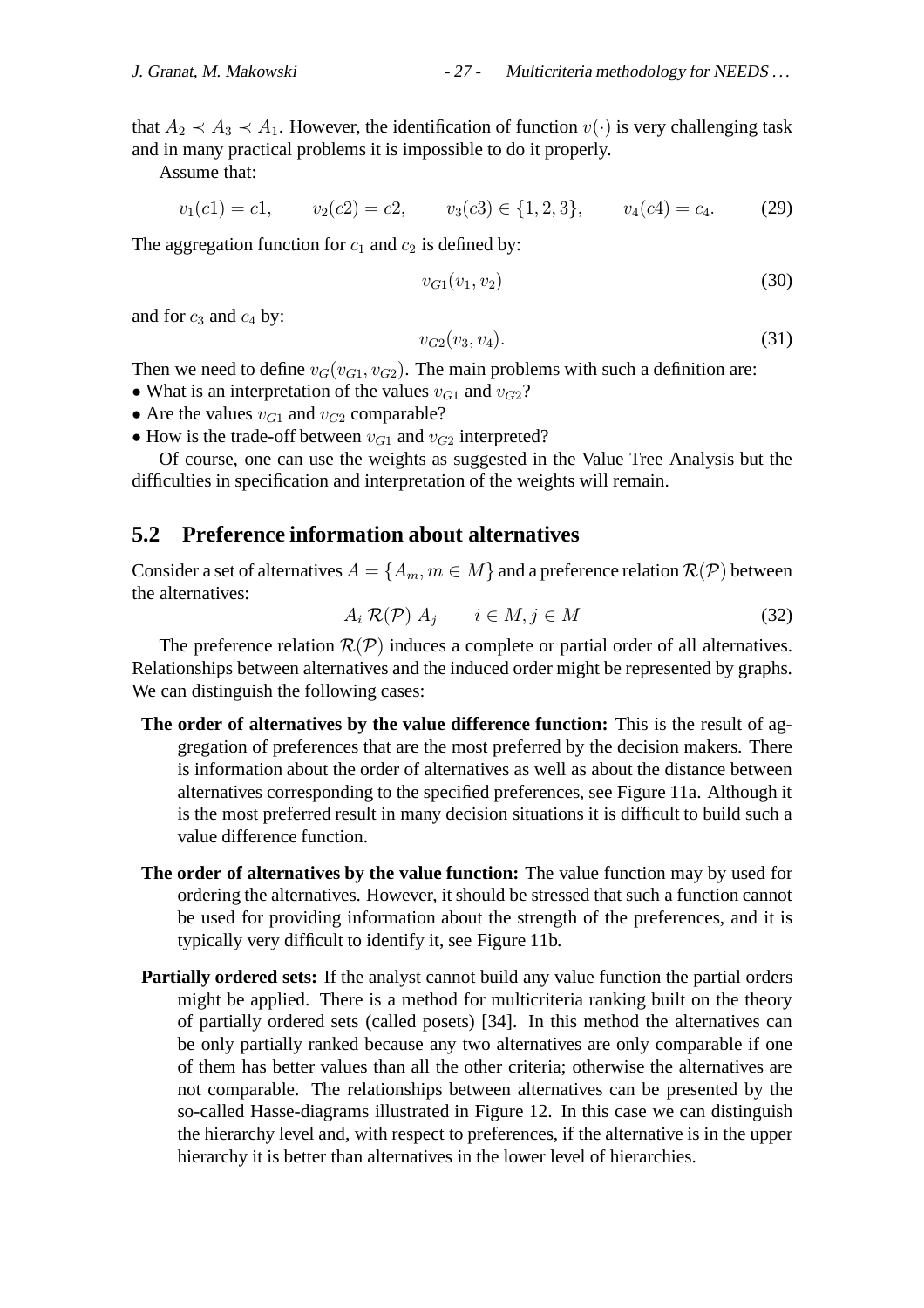that  $A_2 \prec A_3 \prec A_1$ . However, the identification of function  $v(\cdot)$  is very challenging task and in many practical problems it is impossible to do it properly.

Assume that:

$$
v_1(c1) = c1,
$$
  $v_2(c2) = c2,$   $v_3(c3) \in \{1, 2, 3\},$   $v_4(c4) = c_4.$  (29)

The aggregation function for  $c_1$  and  $c_2$  is defined by:

$$
v_{G1}(v_1, v_2) \tag{30}
$$

and for  $c_3$  and  $c_4$  by:

$$
v_{G2}(v_3, v_4). \t\t(31)
$$

Then we need to define  $v_G(v_{G1}, v_{G2})$ . The main problems with such a definition are:

- What is an interpretation of the values  $v_{G1}$  and  $v_{G2}$ ?
- Are the values  $v_{G1}$  and  $v_{G2}$  comparable?
- How is the trade-off between  $v_{G1}$  and  $v_{G2}$  interpreted?

Of course, one can use the weights as suggested in the Value Tree Analysis but the difficulties in specification and interpretation of the weights will remain.

## **5.2 Preference information about alternatives**

Consider a set of alternatives  $A = \{A_m, m \in M\}$  and a preference relation  $\mathcal{R}(\mathcal{P})$  between the alternatives:

$$
A_i \mathcal{R}(\mathcal{P}) A_j \qquad i \in M, j \in M \tag{32}
$$

The preference relation  $\mathcal{R}(\mathcal{P})$  induces a complete or partial order of all alternatives. Relationships between alternatives and the induced order might be represented by graphs. We can distinguish the following cases:

- **The order of alternatives by the value difference function:** This is the result of aggregation of preferences that are the most preferred by the decision makers. There is information about the order of alternatives as well as about the distance between alternatives corresponding to the specified preferences, see Figure 11a. Although it is the most preferred result in many decision situations it is difficult to build such a value difference function.
- **The order of alternatives by the value function:** The value function may by used for ordering the alternatives. However, it should be stressed that such a function cannot be used for providing information about the strength of the preferences, and it is typically very difficult to identify it, see Figure 11b.
- **Partially ordered sets:** If the analyst cannot build any value function the partial orders might be applied. There is a method for multicriteria ranking built on the theory of partially ordered sets (called posets) [34]. In this method the alternatives can be only partially ranked because any two alternatives are only comparable if one of them has better values than all the other criteria; otherwise the alternatives are not comparable. The relationships between alternatives can be presented by the so-called Hasse-diagrams illustrated in Figure 12. In this case we can distinguish the hierarchy level and, with respect to preferences, if the alternative is in the upper hierarchy it is better than alternatives in the lower level of hierarchies.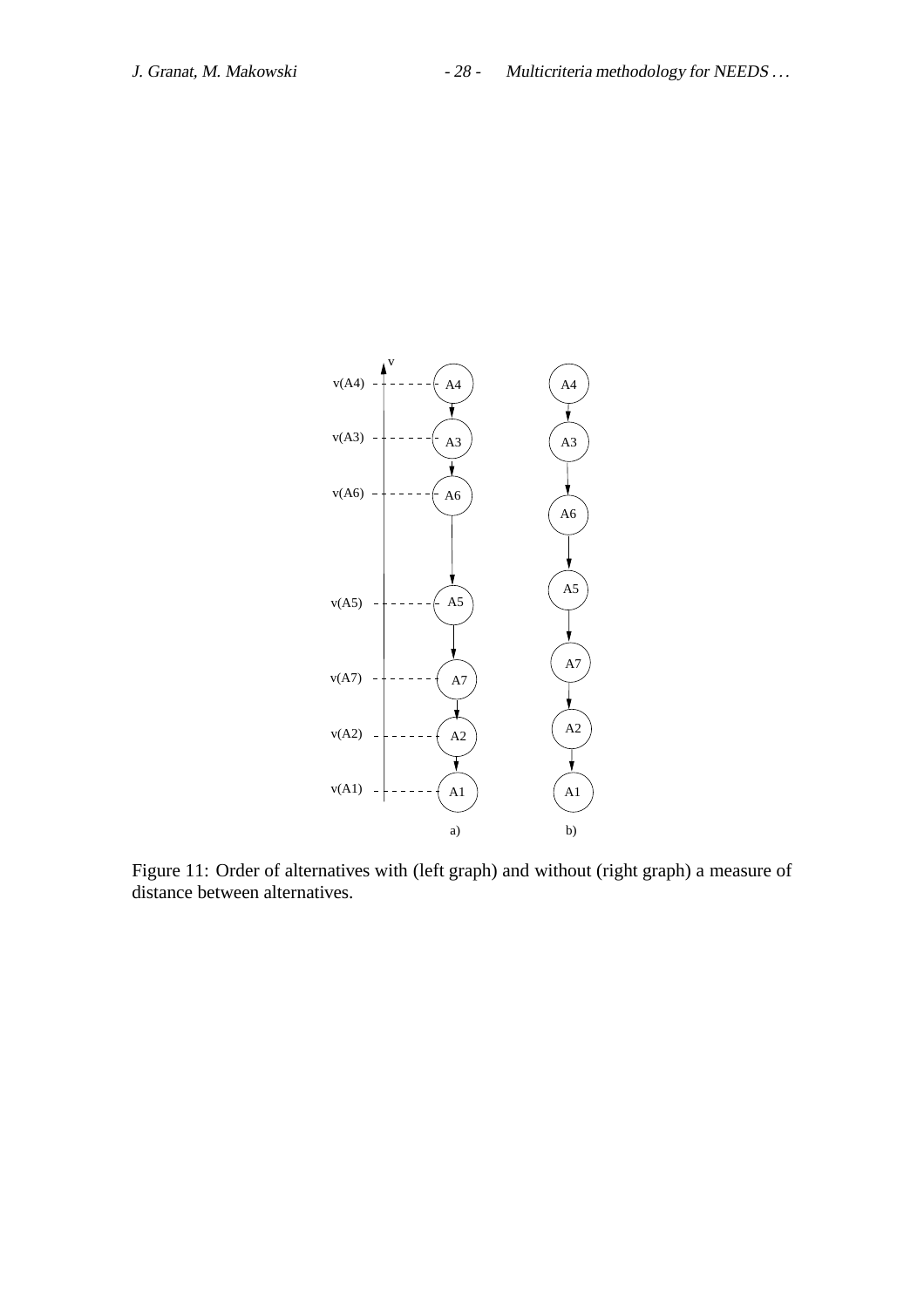

Figure 11: Order of alternatives with (left graph) and without (right graph) a measure of distance between alternatives.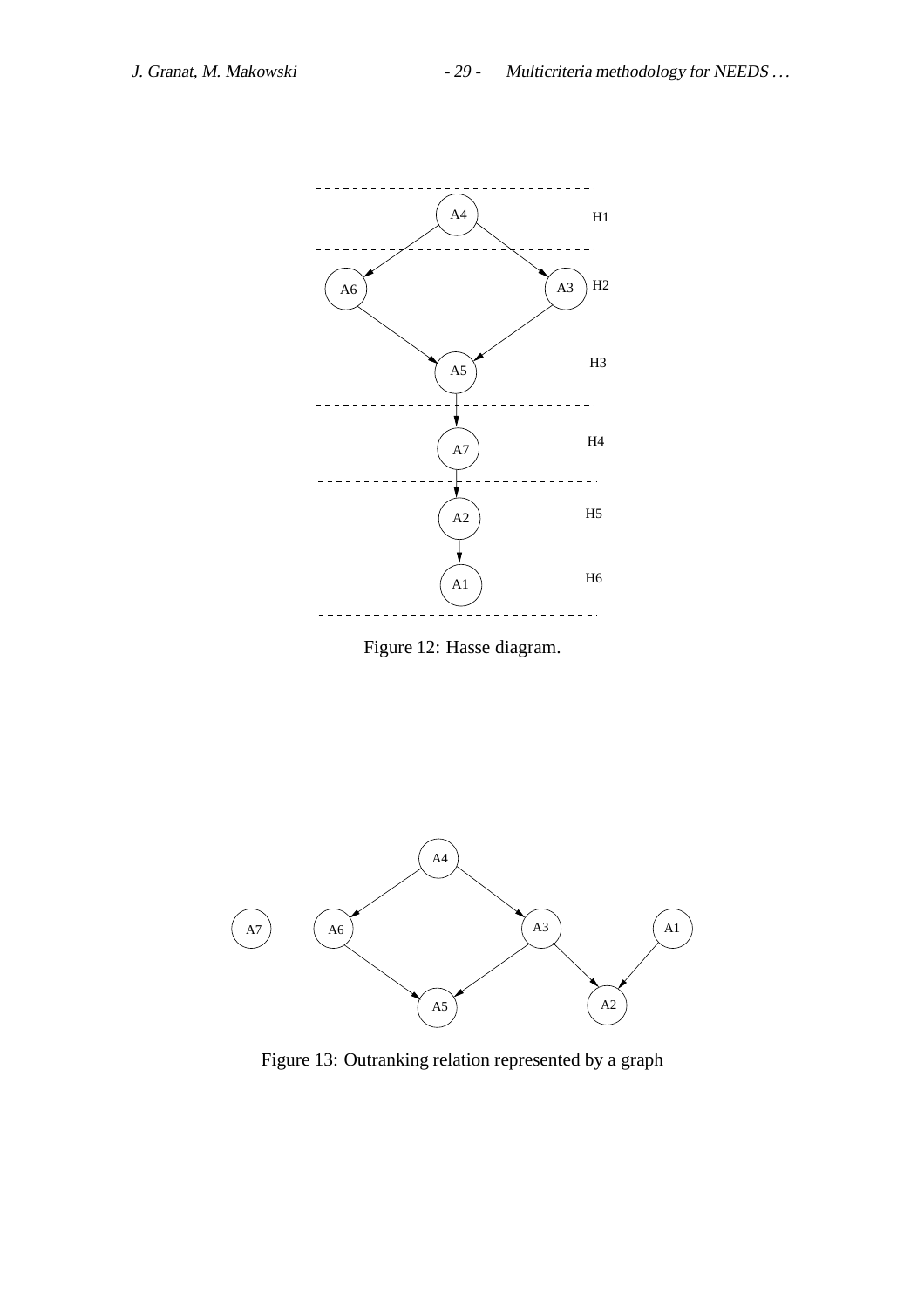

Figure 12: Hasse diagram.



Figure 13: Outranking relation represented by a graph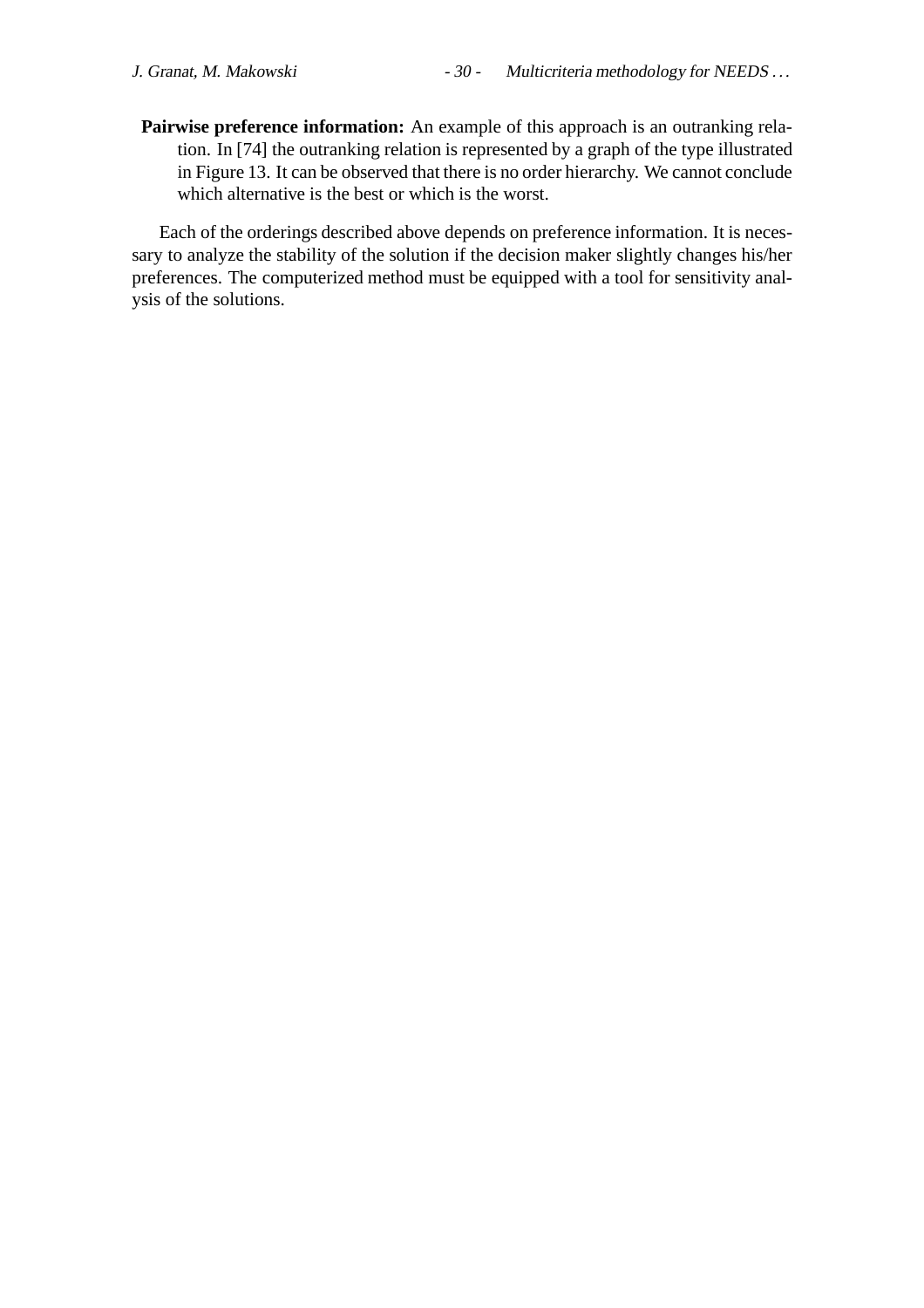**Pairwise preference information:** An example of this approach is an outranking relation. In [74] the outranking relation is represented by a graph of the type illustrated in Figure 13. It can be observed that there is no order hierarchy. We cannot conclude which alternative is the best or which is the worst.

Each of the orderings described above depends on preference information. It is necessary to analyze the stability of the solution if the decision maker slightly changes his/her preferences. The computerized method must be equipped with a tool for sensitivity analysis of the solutions.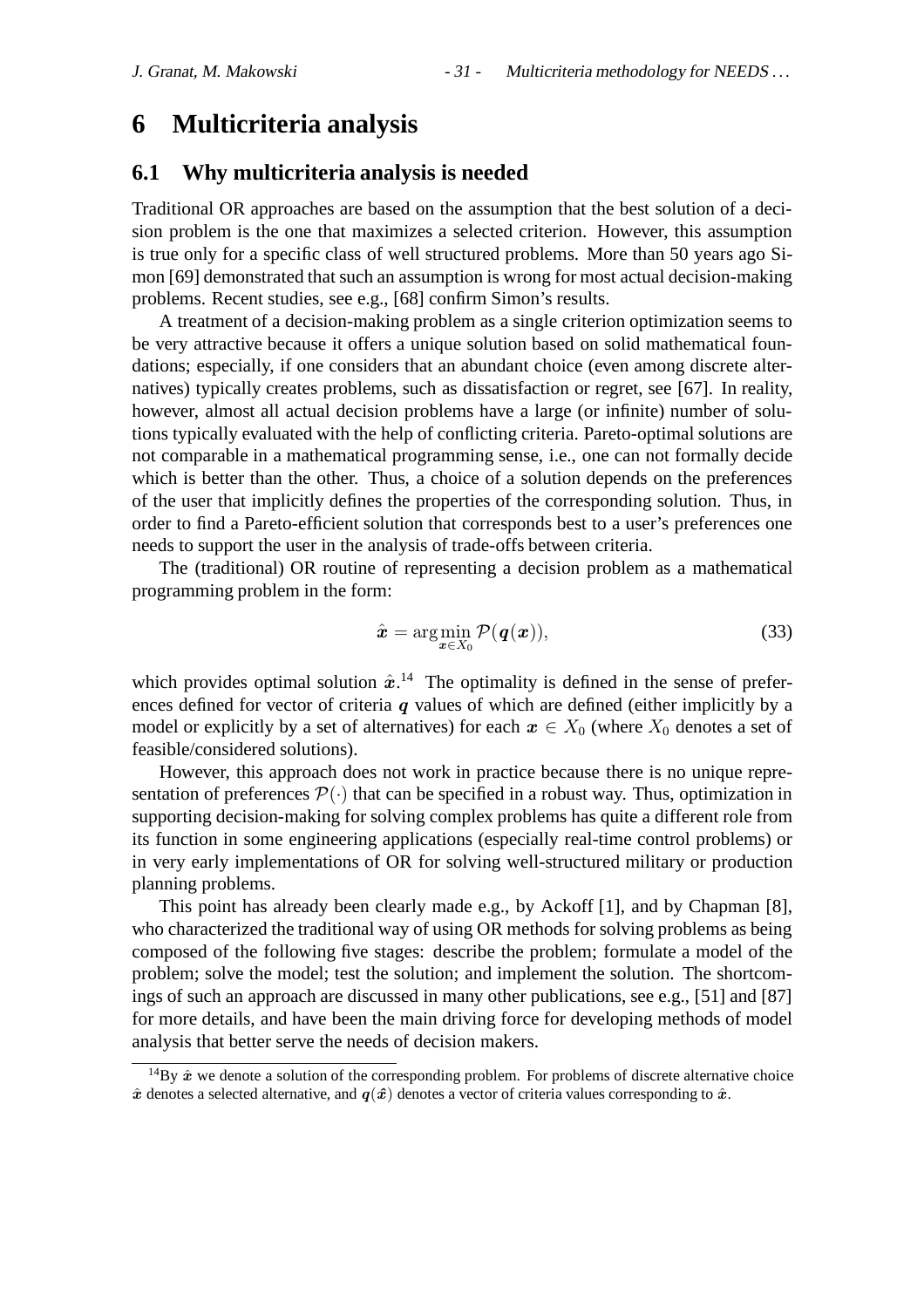# **6 Multicriteria analysis**

#### **6.1 Why multicriteria analysis is needed**

Traditional OR approaches are based on the assumption that the best solution of a decision problem is the one that maximizes a selected criterion. However, this assumption is true only for a specific class of well structured problems. More than 50 years ago Simon [69] demonstrated that such an assumption is wrong for most actual decision-making problems. Recent studies, see e.g., [68] confirm Simon's results.

A treatment of a decision-making problem as a single criterion optimization seems to be very attractive because it offers a unique solution based on solid mathematical foundations; especially, if one considers that an abundant choice (even among discrete alternatives) typically creates problems, such as dissatisfaction or regret, see [67]. In reality, however, almost all actual decision problems have a large (or infinite) number of solutions typically evaluated with the help of conflicting criteria. Pareto-optimal solutions are not comparable in a mathematical programming sense, i.e., one can not formally decide which is better than the other. Thus, a choice of a solution depends on the preferences of the user that implicitly defines the properties of the corresponding solution. Thus, in order to find a Pareto-efficient solution that corresponds best to a user's preferences one needs to support the user in the analysis of trade-offs between criteria.

The (traditional) OR routine of representing a decision problem as a mathematical programming problem in the form:

$$
\hat{\boldsymbol{x}} = \arg\min_{\boldsymbol{x} \in X_0} \mathcal{P}(\boldsymbol{q}(\boldsymbol{x})),
$$
\n(33)

which provides optimal solution  $\hat{x}$ .<sup>14</sup> The optimality is defined in the sense of preferences defined for vector of criteria  $q$  values of which are defined (either implicitly by a model or explicitly by a set of alternatives) for each  $x \in X_0$  (where  $X_0$  denotes a set of feasible/considered solutions).

However, this approach does not work in practice because there is no unique representation of preferences  $\mathcal{P}(\cdot)$  that can be specified in a robust way. Thus, optimization in supporting decision-making for solving complex problems has quite a different role from its function in some engineering applications (especially real-time control problems) or in very early implementations of OR for solving well-structured military or production planning problems.

This point has already been clearly made e.g., by Ackoff [1], and by Chapman [8], who characterized the traditional way of using OR methods for solving problems as being composed of the following five stages: describe the problem; formulate a model of the problem; solve the model; test the solution; and implement the solution. The shortcomings of such an approach are discussed in many other publications, see e.g., [51] and [87] for more details, and have been the main driving force for developing methods of model analysis that better serve the needs of decision makers.

<sup>&</sup>lt;sup>14</sup>By  $\hat{x}$  we denote a solution of the corresponding problem. For problems of discrete alternative choice  $\hat{x}$  denotes a selected alternative, and  $q(\hat{x})$  denotes a vector of criteria values corresponding to  $\hat{x}$ .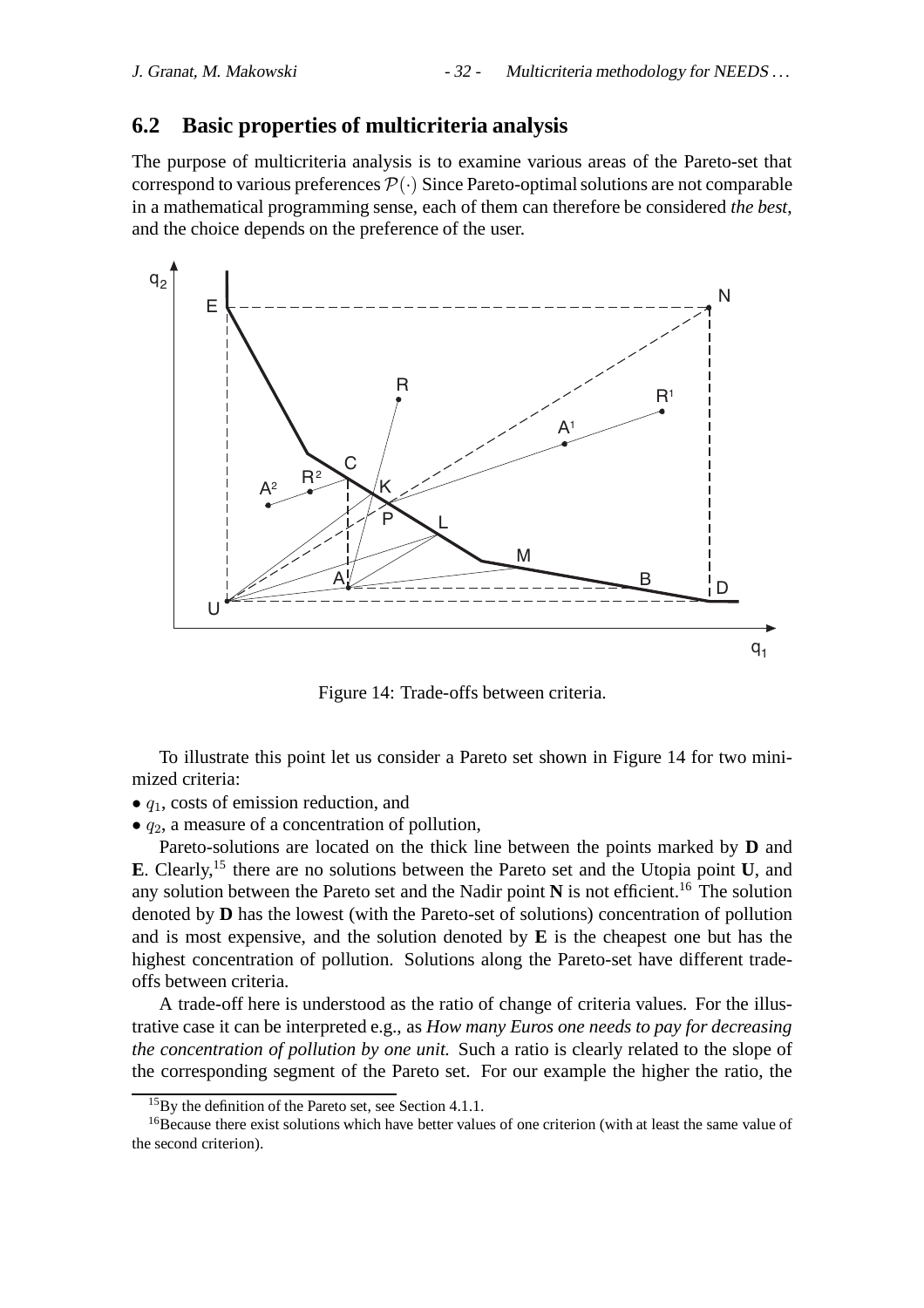## **6.2 Basic properties of multicriteria analysis**

The purpose of multicriteria analysis is to examine various areas of the Pareto-set that correspond to various preferences  $\mathcal{P}(\cdot)$  Since Pareto-optimal solutions are not comparable in a mathematical programming sense, each of them can therefore be considered *the best*, and the choice depends on the preference of the user.



Figure 14: Trade-offs between criteria.

To illustrate this point let us consider a Pareto set shown in Figure 14 for two minimized criteria:

- $\bullet$   $q_1$ , costs of emission reduction, and
- $q_2$ , a measure of a concentration of pollution,

Pareto-solutions are located on the thick line between the points marked by **D** and **E**. Clearly,15 there are no solutions between the Pareto set and the Utopia point **U**, and any solution between the Pareto set and the Nadir point  $N$  is not efficient.<sup>16</sup> The solution denoted by **D** has the lowest (with the Pareto-set of solutions) concentration of pollution and is most expensive, and the solution denoted by **E** is the cheapest one but has the highest concentration of pollution. Solutions along the Pareto-set have different tradeoffs between criteria.

A trade-off here is understood as the ratio of change of criteria values. For the illustrative case it can be interpreted e.g., as *How many Euros one needs to pay for decreasing the concentration of pollution by one unit.* Such a ratio is clearly related to the slope of the corresponding segment of the Pareto set. For our example the higher the ratio, the

<sup>&</sup>lt;sup>15</sup>By the definition of the Pareto set, see Section 4.1.1.

<sup>&</sup>lt;sup>16</sup>Because there exist solutions which have better values of one criterion (with at least the same value of the second criterion).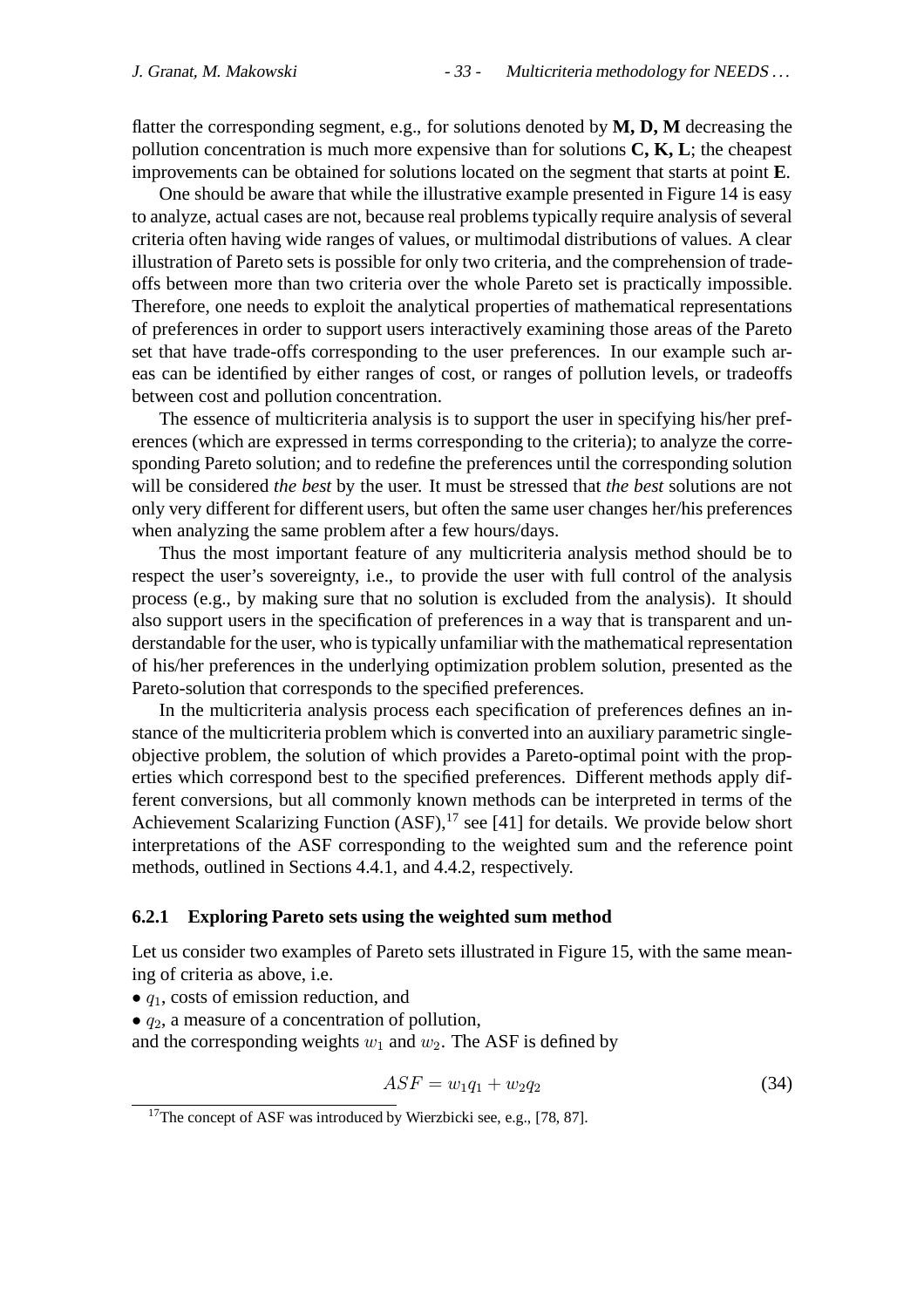flatter the corresponding segment, e.g., for solutions denoted by **M, D, M** decreasing the pollution concentration is much more expensive than for solutions **C, K, L**; the cheapest improvements can be obtained for solutions located on the segment that starts at point **E**.

One should be aware that while the illustrative example presented in Figure 14 is easy to analyze, actual cases are not, because real problems typically require analysis of several criteria often having wide ranges of values, or multimodal distributions of values. A clear illustration of Pareto sets is possible for only two criteria, and the comprehension of tradeoffs between more than two criteria over the whole Pareto set is practically impossible. Therefore, one needs to exploit the analytical properties of mathematical representations of preferences in order to support users interactively examining those areas of the Pareto set that have trade-offs corresponding to the user preferences. In our example such areas can be identified by either ranges of cost, or ranges of pollution levels, or tradeoffs between cost and pollution concentration.

The essence of multicriteria analysis is to support the user in specifying his/her preferences (which are expressed in terms corresponding to the criteria); to analyze the corresponding Pareto solution; and to redefine the preferences until the corresponding solution will be considered *the best* by the user. It must be stressed that *the best* solutions are not only very different for different users, but often the same user changes her/his preferences when analyzing the same problem after a few hours/days.

Thus the most important feature of any multicriteria analysis method should be to respect the user's sovereignty, i.e., to provide the user with full control of the analysis process (e.g., by making sure that no solution is excluded from the analysis). It should also support users in the specification of preferences in a way that is transparent and understandable for the user, who is typically unfamiliar with the mathematical representation of his/her preferences in the underlying optimization problem solution, presented as the Pareto-solution that corresponds to the specified preferences.

In the multicriteria analysis process each specification of preferences defines an instance of the multicriteria problem which is converted into an auxiliary parametric singleobjective problem, the solution of which provides a Pareto-optimal point with the properties which correspond best to the specified preferences. Different methods apply different conversions, but all commonly known methods can be interpreted in terms of the Achievement Scalarizing Function  $(ASF)$ ,<sup>17</sup> see [41] for details. We provide below short interpretations of the ASF corresponding to the weighted sum and the reference point methods, outlined in Sections 4.4.1, and 4.4.2, respectively.

#### **6.2.1 Exploring Pareto sets using the weighted sum method**

Let us consider two examples of Pareto sets illustrated in Figure 15, with the same meaning of criteria as above, i.e.

- $\bullet$   $q_1$ , costs of emission reduction, and
- $\bullet$   $q_2$ , a measure of a concentration of pollution,

and the corresponding weights  $w_1$  and  $w_2$ . The ASF is defined by

$$
ASF = w_1 q_1 + w_2 q_2 \tag{34}
$$

<sup>&</sup>lt;sup>17</sup>The concept of ASF was introduced by Wierzbicki see, e.g., [78, 87].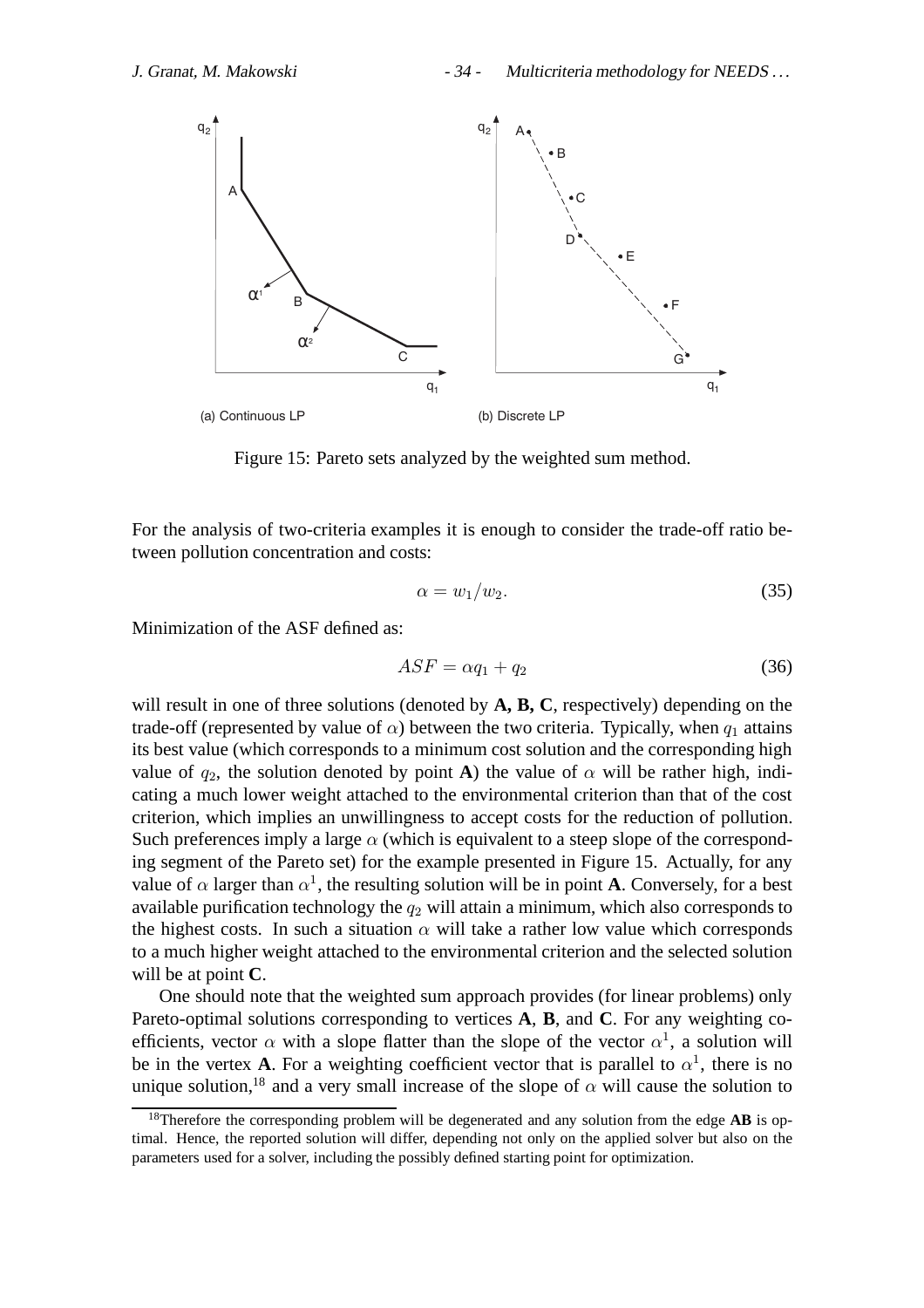

Figure 15: Pareto sets analyzed by the weighted sum method.

For the analysis of two-criteria examples it is enough to consider the trade-off ratio between pollution concentration and costs:

$$
\alpha = w_1/w_2. \tag{35}
$$

Minimization of the ASF defined as:

$$
ASF = \alpha q_1 + q_2 \tag{36}
$$

will result in one of three solutions (denoted by **A, B, C**, respectively) depending on the trade-off (represented by value of  $\alpha$ ) between the two criteria. Typically, when  $q_1$  attains its best value (which corresponds to a minimum cost solution and the corresponding high value of  $q_2$ , the solution denoted by point **A**) the value of  $\alpha$  will be rather high, indicating a much lower weight attached to the environmental criterion than that of the cost criterion, which implies an unwillingness to accept costs for the reduction of pollution. Such preferences imply a large  $\alpha$  (which is equivalent to a steep slope of the corresponding segment of the Pareto set) for the example presented in Figure 15. Actually, for any value of  $\alpha$  larger than  $\alpha^1$ , the resulting solution will be in point **A**. Conversely, for a best available purification technology the  $q_2$  will attain a minimum, which also corresponds to the highest costs. In such a situation  $\alpha$  will take a rather low value which corresponds to a much higher weight attached to the environmental criterion and the selected solution will be at point **C**.

One should note that the weighted sum approach provides (for linear problems) only Pareto-optimal solutions corresponding to vertices **A**, **B**, and **C**. For any weighting coefficients, vector  $\alpha$  with a slope flatter than the slope of the vector  $\alpha^1$ , a solution will be in the vertex **A**. For a weighting coefficient vector that is parallel to  $\alpha^1$ , there is no unique solution,<sup>18</sup> and a very small increase of the slope of  $\alpha$  will cause the solution to

<sup>18</sup>Therefore the corresponding problem will be degenerated and any solution from the edge **AB** is optimal. Hence, the reported solution will differ, depending not only on the applied solver but also on the parameters used for a solver, including the possibly defined starting point for optimization.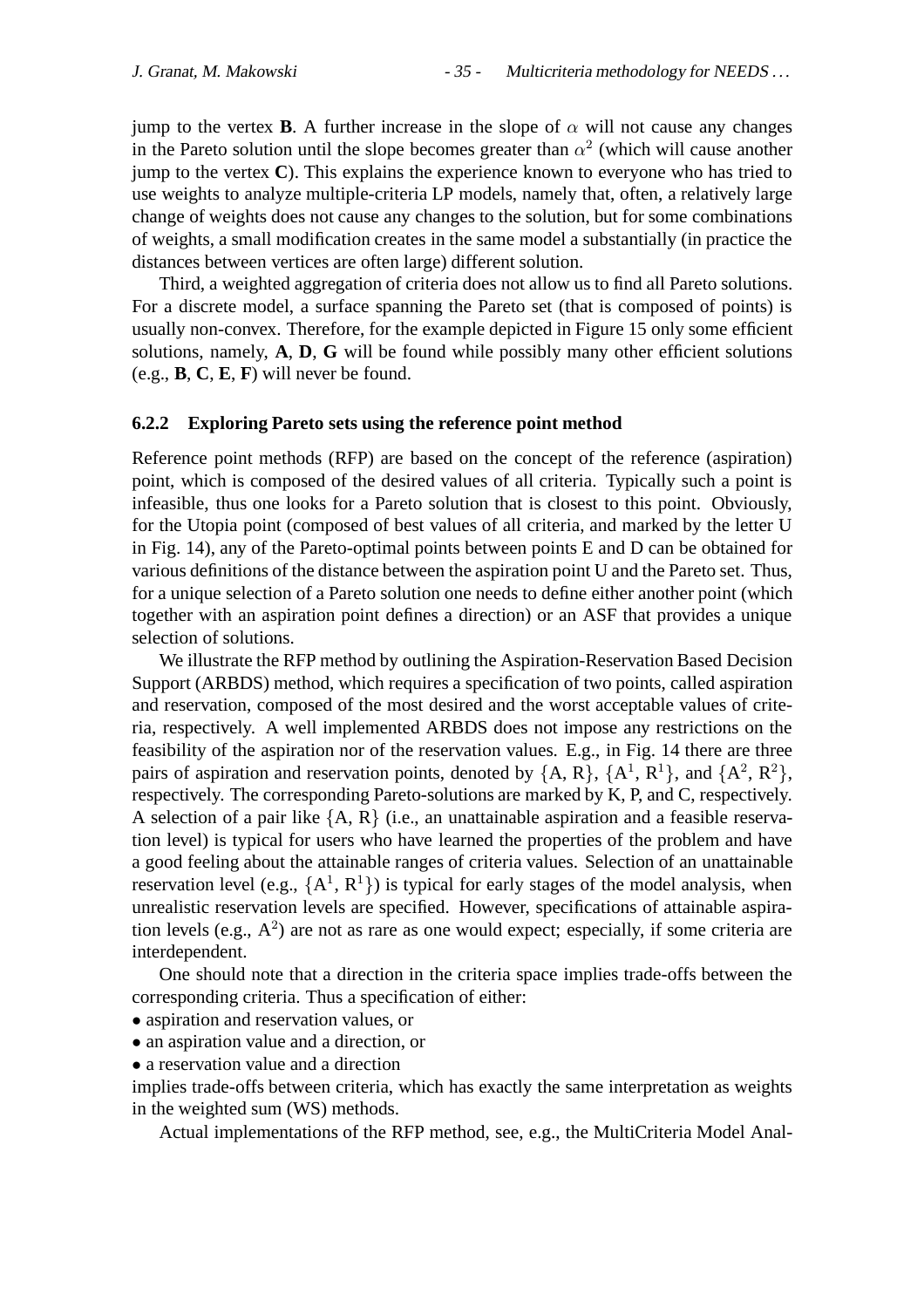jump to the vertex **B**. A further increase in the slope of  $\alpha$  will not cause any changes in the Pareto solution until the slope becomes greater than  $\alpha^2$  (which will cause another jump to the vertex **C**). This explains the experience known to everyone who has tried to use weights to analyze multiple-criteria LP models, namely that, often, a relatively large change of weights does not cause any changes to the solution, but for some combinations of weights, a small modification creates in the same model a substantially (in practice the distances between vertices are often large) different solution.

Third, a weighted aggregation of criteria does not allow us to find all Pareto solutions. For a discrete model, a surface spanning the Pareto set (that is composed of points) is usually non-convex. Therefore, for the example depicted in Figure 15 only some efficient solutions, namely, **A**, **D**, **G** will be found while possibly many other efficient solutions (e.g., **B**, **C**, **E**, **F**) will never be found.

#### **6.2.2 Exploring Pareto sets using the reference point method**

Reference point methods (RFP) are based on the concept of the reference (aspiration) point, which is composed of the desired values of all criteria. Typically such a point is infeasible, thus one looks for a Pareto solution that is closest to this point. Obviously, for the Utopia point (composed of best values of all criteria, and marked by the letter U in Fig. 14), any of the Pareto-optimal points between points E and D can be obtained for various definitions of the distance between the aspiration point U and the Pareto set. Thus, for a unique selection of a Pareto solution one needs to define either another point (which together with an aspiration point defines a direction) or an ASF that provides a unique selection of solutions.

We illustrate the RFP method by outlining the Aspiration-Reservation Based Decision Support (ARBDS) method, which requires a specification of two points, called aspiration and reservation, composed of the most desired and the worst acceptable values of criteria, respectively. A well implemented ARBDS does not impose any restrictions on the feasibility of the aspiration nor of the reservation values. E.g., in Fig. 14 there are three pairs of aspiration and reservation points, denoted by  $\{A, R\}$ ,  $\{A^1, R^1\}$ , and  $\{A^2, R^2\}$ , respectively. The corresponding Pareto-solutions are marked by K, P, and C, respectively. A selection of a pair like  ${A, R}$  (i.e., an unattainable aspiration and a feasible reservation level) is typical for users who have learned the properties of the problem and have a good feeling about the attainable ranges of criteria values. Selection of an unattainable reservation level (e.g.,  ${A<sup>1</sup>, R<sup>1</sup>}$ ) is typical for early stages of the model analysis, when unrealistic reservation levels are specified. However, specifications of attainable aspiration levels (e.g.,  $A^2$ ) are not as rare as one would expect; especially, if some criteria are interdependent.

One should note that a direction in the criteria space implies trade-offs between the corresponding criteria. Thus a specification of either:

- aspiration and reservation values, or
- an aspiration value and a direction, or
- a reservation value and a direction

implies trade-offs between criteria, which has exactly the same interpretation as weights in the weighted sum (WS) methods.

Actual implementations of the RFP method, see, e.g., the MultiCriteria Model Anal-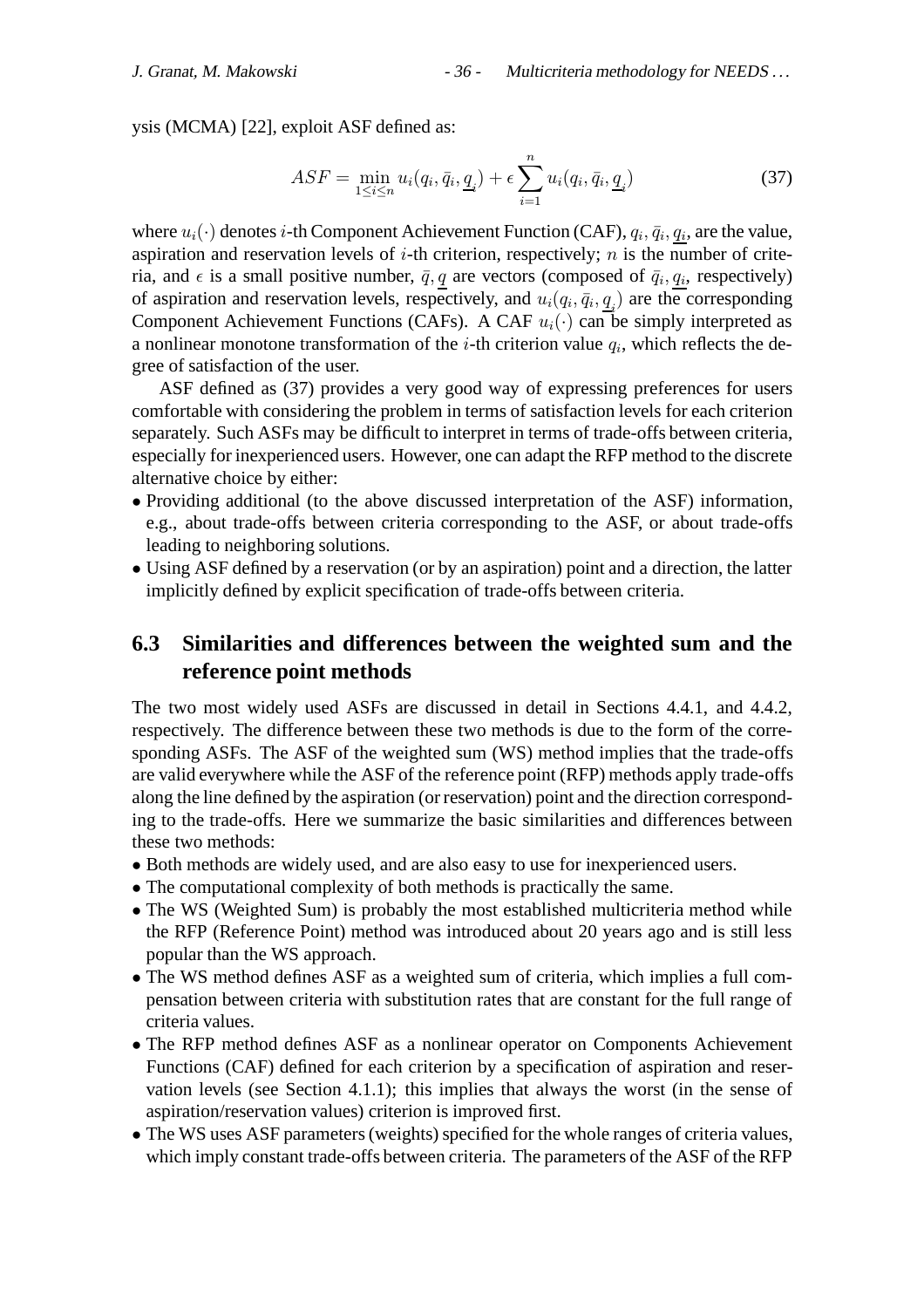ysis (MCMA) [22], exploit ASF defined as:

$$
ASF = \min_{1 \le i \le n} u_i(q_i, \bar{q}_i, \underline{q}_i) + \epsilon \sum_{i=1}^n u_i(q_i, \bar{q}_i, \underline{q}_i)
$$
(37)

where  $u_i(\cdot)$  denotes *i*-th Component Achievement Function (CAF),  $q_i, \bar{q}_i, q_i$ , are the value, aspiration and reservation levels of  $i$ -th criterion, respectively;  $n$  is the number of criteria, and  $\epsilon$  is a small positive number,  $\bar{q}$ , q are vectors (composed of  $\bar{q}_i$ ,  $q_i$ , respectively) of aspiration and reservation levels, respectively, and  $u_i(q_i, \bar{q}_i, \underline{q}_i)$  are the corresponding Component Achievement Functions (CAFs). A CAF  $u_i(\cdot)$  can be simply interpreted as a nonlinear monotone transformation of the *i*-th criterion value  $q_i$ , which reflects the degree of satisfaction of the user.

ASF defined as (37) provides a very good way of expressing preferences for users comfortable with considering the problem in terms of satisfaction levels for each criterion separately. Such ASFs may be difficult to interpret in terms of trade-offs between criteria, especially for inexperienced users. However, one can adapt the RFP method to the discrete alternative choice by either:

- Providing additional (to the above discussed interpretation of the ASF) information, e.g., about trade-offs between criteria corresponding to the ASF, or about trade-offs leading to neighboring solutions.
- Using ASF defined by a reservation (or by an aspiration) point and a direction, the latter implicitly defined by explicit specification of trade-offs between criteria.

## **6.3 Similarities and differences between the weighted sum and the reference point methods**

The two most widely used ASFs are discussed in detail in Sections 4.4.1, and 4.4.2, respectively. The difference between these two methods is due to the form of the corresponding ASFs. The ASF of the weighted sum (WS) method implies that the trade-offs are valid everywhere while the ASF of the reference point (RFP) methods apply trade-offs along the line defined by the aspiration (or reservation) point and the direction corresponding to the trade-offs. Here we summarize the basic similarities and differences between these two methods:

- Both methods are widely used, and are also easy to use for inexperienced users.
- The computational complexity of both methods is practically the same.
- The WS (Weighted Sum) is probably the most established multicriteria method while the RFP (Reference Point) method was introduced about 20 years ago and is still less popular than the WS approach.
- The WS method defines ASF as a weighted sum of criteria, which implies a full compensation between criteria with substitution rates that are constant for the full range of criteria values.
- The RFP method defines ASF as a nonlinear operator on Components Achievement Functions (CAF) defined for each criterion by a specification of aspiration and reservation levels (see Section 4.1.1); this implies that always the worst (in the sense of aspiration/reservation values) criterion is improved first.
- The WS uses ASF parameters (weights) specified for the whole ranges of criteria values, which imply constant trade-offs between criteria. The parameters of the ASF of the RFP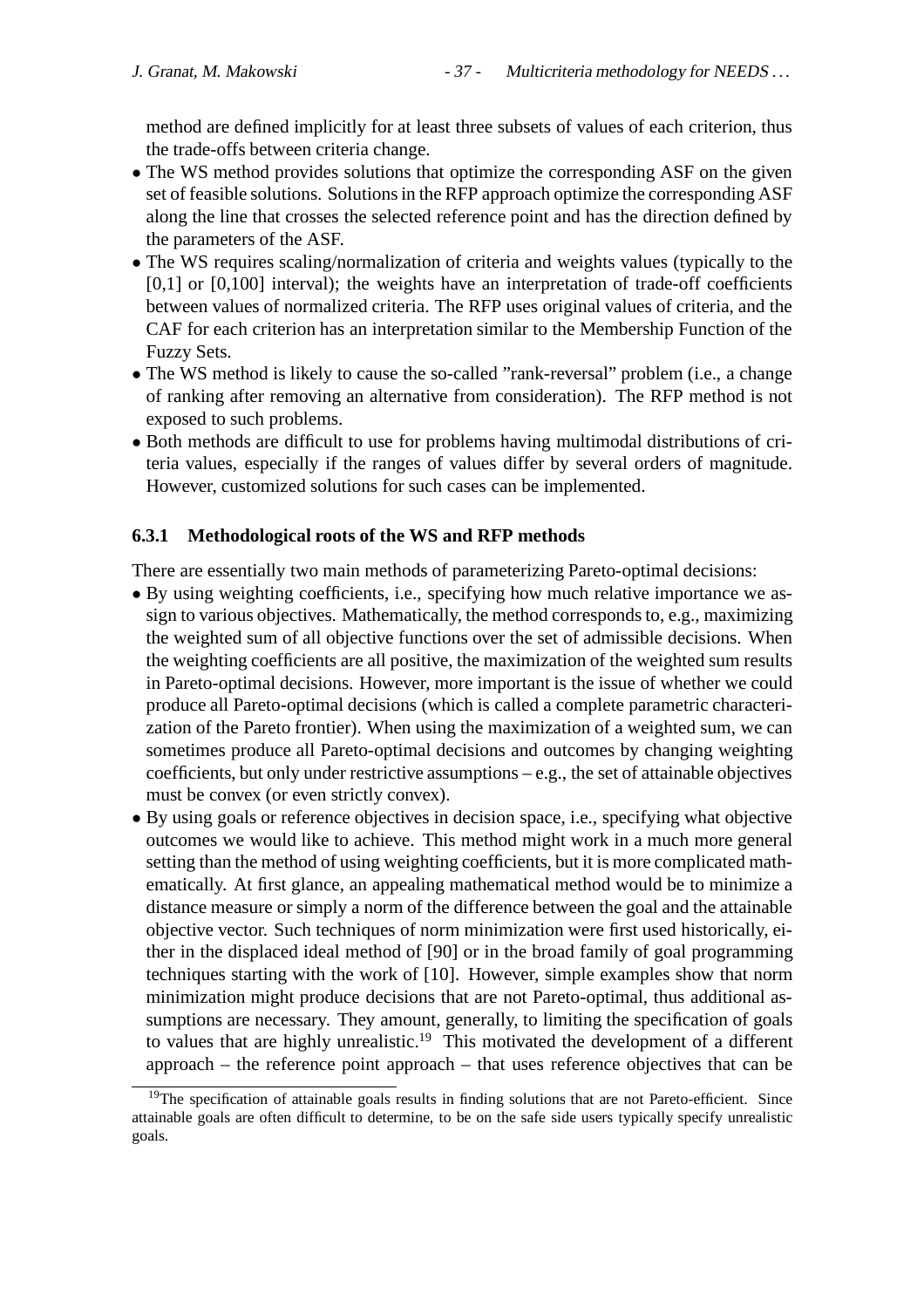method are defined implicitly for at least three subsets of values of each criterion, thus the trade-offs between criteria change.

- The WS method provides solutions that optimize the corresponding ASF on the given set of feasible solutions. Solutions in the RFP approach optimize the corresponding ASF along the line that crosses the selected reference point and has the direction defined by the parameters of the ASF.
- The WS requires scaling/normalization of criteria and weights values (typically to the  $[0,1]$  or  $[0,100]$  interval); the weights have an interpretation of trade-off coefficients between values of normalized criteria. The RFP uses original values of criteria, and the CAF for each criterion has an interpretation similar to the Membership Function of the Fuzzy Sets.
- The WS method is likely to cause the so-called "rank-reversal" problem (i.e., a change of ranking after removing an alternative from consideration). The RFP method is not exposed to such problems.
- Both methods are difficult to use for problems having multimodal distributions of criteria values, especially if the ranges of values differ by several orders of magnitude. However, customized solutions for such cases can be implemented.

#### **6.3.1 Methodological roots of the WS and RFP methods**

There are essentially two main methods of parameterizing Pareto-optimal decisions:

- By using weighting coefficients, i.e., specifying how much relative importance we assign to various objectives. Mathematically, the method corresponds to, e.g., maximizing the weighted sum of all objective functions over the set of admissible decisions. When the weighting coefficients are all positive, the maximization of the weighted sum results in Pareto-optimal decisions. However, more important is the issue of whether we could produce all Pareto-optimal decisions (which is called a complete parametric characterization of the Pareto frontier). When using the maximization of a weighted sum, we can sometimes produce all Pareto-optimal decisions and outcomes by changing weighting coefficients, but only under restrictive assumptions – e.g., the set of attainable objectives must be convex (or even strictly convex).
- By using goals or reference objectives in decision space, i.e., specifying what objective outcomes we would like to achieve. This method might work in a much more general setting than the method of using weighting coefficients, but it is more complicated mathematically. At first glance, an appealing mathematical method would be to minimize a distance measure or simply a norm of the difference between the goal and the attainable objective vector. Such techniques of norm minimization were first used historically, either in the displaced ideal method of [90] or in the broad family of goal programming techniques starting with the work of [10]. However, simple examples show that norm minimization might produce decisions that are not Pareto-optimal, thus additional assumptions are necessary. They amount, generally, to limiting the specification of goals to values that are highly unrealistic.<sup>19</sup> This motivated the development of a different approach – the reference point approach – that uses reference objectives that can be

<sup>&</sup>lt;sup>19</sup>The specification of attainable goals results in finding solutions that are not Pareto-efficient. Since attainable goals are often difficult to determine, to be on the safe side users typically specify unrealistic goals.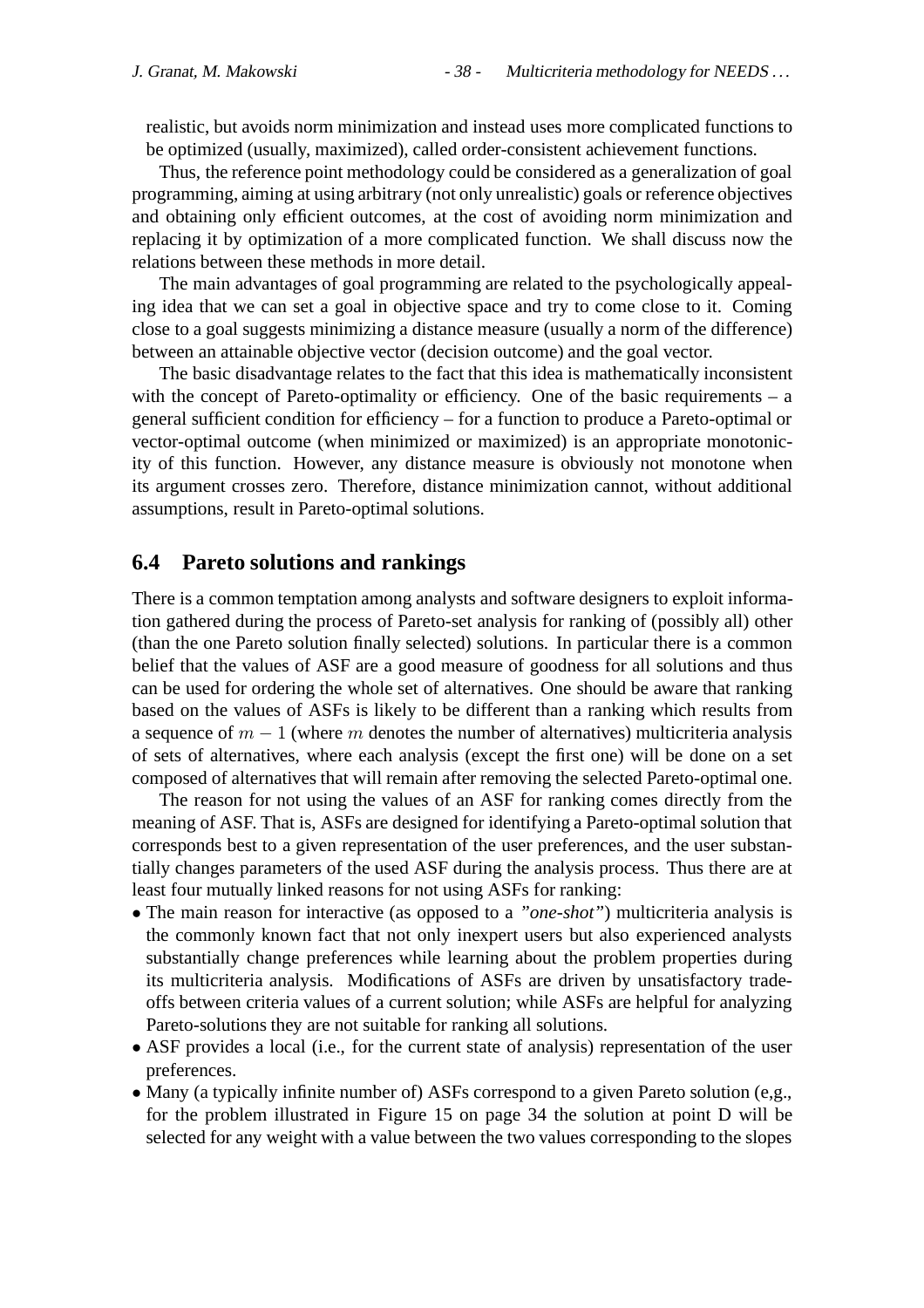realistic, but avoids norm minimization and instead uses more complicated functions to be optimized (usually, maximized), called order-consistent achievement functions.

Thus, the reference point methodology could be considered as a generalization of goal programming, aiming at using arbitrary (not only unrealistic) goals or reference objectives and obtaining only efficient outcomes, at the cost of avoiding norm minimization and replacing it by optimization of a more complicated function. We shall discuss now the relations between these methods in more detail.

The main advantages of goal programming are related to the psychologically appealing idea that we can set a goal in objective space and try to come close to it. Coming close to a goal suggests minimizing a distance measure (usually a norm of the difference) between an attainable objective vector (decision outcome) and the goal vector.

The basic disadvantage relates to the fact that this idea is mathematically inconsistent with the concept of Pareto-optimality or efficiency. One of the basic requirements – a general sufficient condition for efficiency – for a function to produce a Pareto-optimal or vector-optimal outcome (when minimized or maximized) is an appropriate monotonicity of this function. However, any distance measure is obviously not monotone when its argument crosses zero. Therefore, distance minimization cannot, without additional assumptions, result in Pareto-optimal solutions.

#### **6.4 Pareto solutions and rankings**

There is a common temptation among analysts and software designers to exploit information gathered during the process of Pareto-set analysis for ranking of (possibly all) other (than the one Pareto solution finally selected) solutions. In particular there is a common belief that the values of ASF are a good measure of goodness for all solutions and thus can be used for ordering the whole set of alternatives. One should be aware that ranking based on the values of ASFs is likely to be different than a ranking which results from a sequence of  $m - 1$  (where m denotes the number of alternatives) multicriteria analysis of sets of alternatives, where each analysis (except the first one) will be done on a set composed of alternatives that will remain after removing the selected Pareto-optimal one.

The reason for not using the values of an ASF for ranking comes directly from the meaning of ASF. That is, ASFs are designed for identifying a Pareto-optimal solution that corresponds best to a given representation of the user preferences, and the user substantially changes parameters of the used ASF during the analysis process. Thus there are at least four mutually linked reasons for not using ASFs for ranking:

- The main reason for interactive (as opposed to a *"one-shot"*) multicriteria analysis is the commonly known fact that not only inexpert users but also experienced analysts substantially change preferences while learning about the problem properties during its multicriteria analysis. Modifications of ASFs are driven by unsatisfactory tradeoffs between criteria values of a current solution; while ASFs are helpful for analyzing Pareto-solutions they are not suitable for ranking all solutions.
- ASF provides a local (i.e., for the current state of analysis) representation of the user preferences.
- Many (a typically infinite number of) ASFs correspond to a given Pareto solution (e,g., for the problem illustrated in Figure 15 on page 34 the solution at point D will be selected for any weight with a value between the two values corresponding to the slopes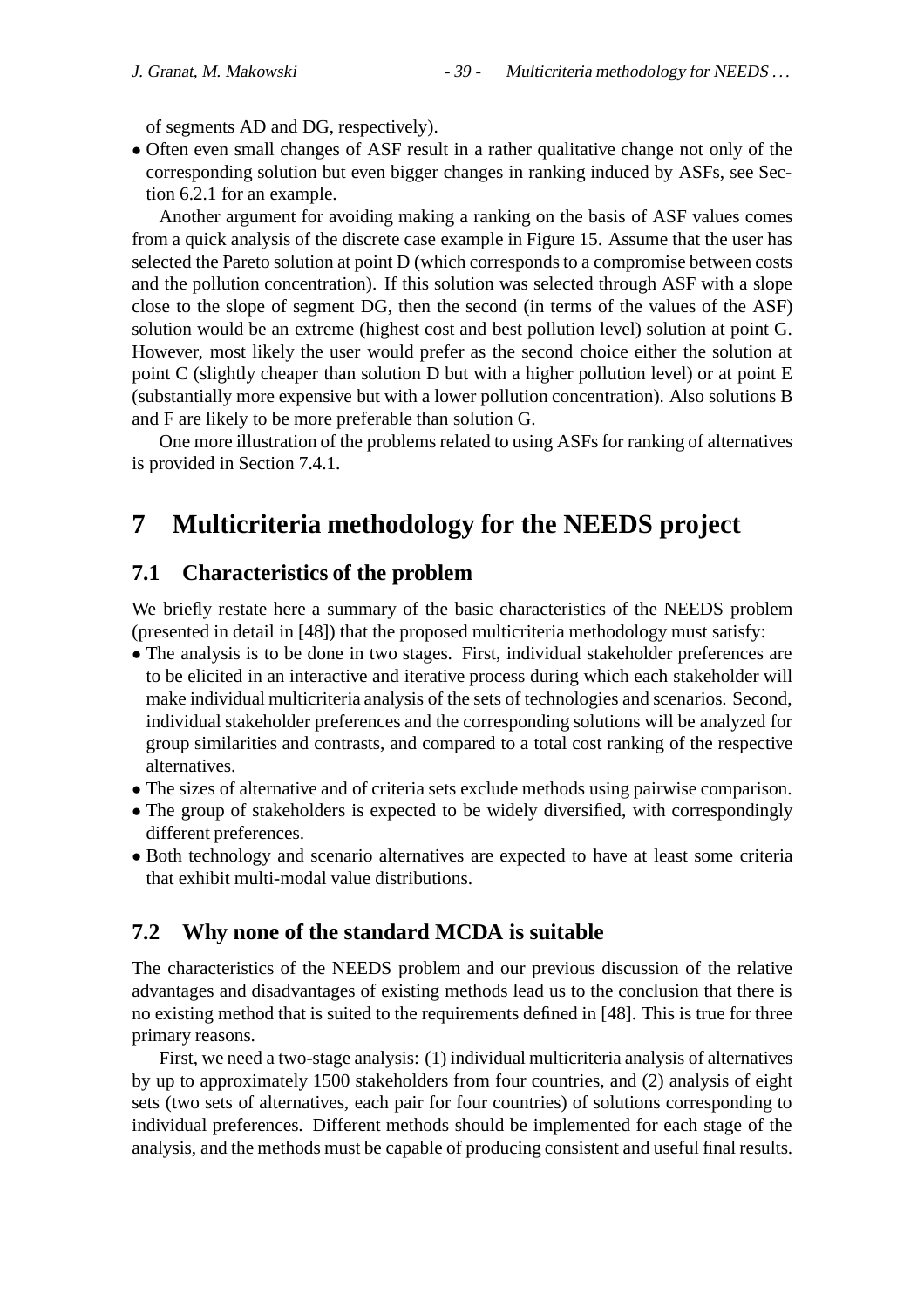of segments AD and DG, respectively).

• Often even small changes of ASF result in a rather qualitative change not only of the corresponding solution but even bigger changes in ranking induced by ASFs, see Section 6.2.1 for an example.

Another argument for avoiding making a ranking on the basis of ASF values comes from a quick analysis of the discrete case example in Figure 15. Assume that the user has selected the Pareto solution at point D (which corresponds to a compromise between costs and the pollution concentration). If this solution was selected through ASF with a slope close to the slope of segment DG, then the second (in terms of the values of the ASF) solution would be an extreme (highest cost and best pollution level) solution at point G. However, most likely the user would prefer as the second choice either the solution at point C (slightly cheaper than solution D but with a higher pollution level) or at point E (substantially more expensive but with a lower pollution concentration). Also solutions B and F are likely to be more preferable than solution G.

One more illustration of the problems related to using ASFs for ranking of alternatives is provided in Section 7.4.1.

# **7 Multicriteria methodology for the NEEDS project**

## **7.1 Characteristics of the problem**

We briefly restate here a summary of the basic characteristics of the NEEDS problem (presented in detail in [48]) that the proposed multicriteria methodology must satisfy:

- The analysis is to be done in two stages. First, individual stakeholder preferences are to be elicited in an interactive and iterative process during which each stakeholder will make individual multicriteria analysis of the sets of technologies and scenarios. Second, individual stakeholder preferences and the corresponding solutions will be analyzed for group similarities and contrasts, and compared to a total cost ranking of the respective alternatives.
- The sizes of alternative and of criteria sets exclude methods using pairwise comparison.
- The group of stakeholders is expected to be widely diversified, with correspondingly different preferences.
- Both technology and scenario alternatives are expected to have at least some criteria that exhibit multi-modal value distributions.

## **7.2 Why none of the standard MCDA is suitable**

The characteristics of the NEEDS problem and our previous discussion of the relative advantages and disadvantages of existing methods lead us to the conclusion that there is no existing method that is suited to the requirements defined in [48]. This is true for three primary reasons.

First, we need a two-stage analysis: (1) individual multicriteria analysis of alternatives by up to approximately 1500 stakeholders from four countries, and (2) analysis of eight sets (two sets of alternatives, each pair for four countries) of solutions corresponding to individual preferences. Different methods should be implemented for each stage of the analysis, and the methods must be capable of producing consistent and useful final results.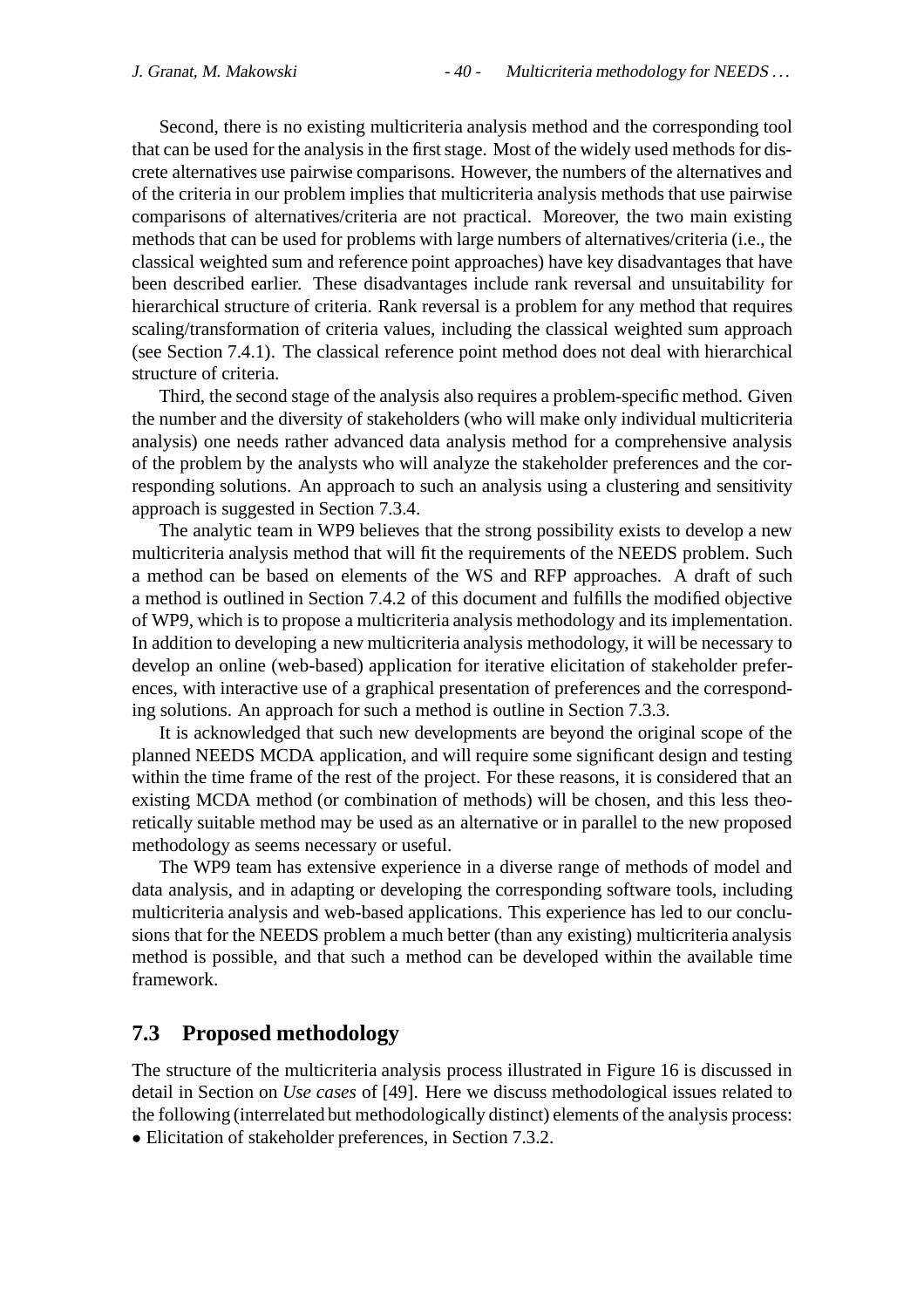Second, there is no existing multicriteria analysis method and the corresponding tool that can be used for the analysis in the first stage. Most of the widely used methods for discrete alternatives use pairwise comparisons. However, the numbers of the alternatives and of the criteria in our problem implies that multicriteria analysis methods that use pairwise comparisons of alternatives/criteria are not practical. Moreover, the two main existing methods that can be used for problems with large numbers of alternatives/criteria (i.e., the classical weighted sum and reference point approaches) have key disadvantages that have been described earlier. These disadvantages include rank reversal and unsuitability for hierarchical structure of criteria. Rank reversal is a problem for any method that requires scaling/transformation of criteria values, including the classical weighted sum approach (see Section 7.4.1). The classical reference point method does not deal with hierarchical structure of criteria.

Third, the second stage of the analysis also requires a problem-specific method. Given the number and the diversity of stakeholders (who will make only individual multicriteria analysis) one needs rather advanced data analysis method for a comprehensive analysis of the problem by the analysts who will analyze the stakeholder preferences and the corresponding solutions. An approach to such an analysis using a clustering and sensitivity approach is suggested in Section 7.3.4.

The analytic team in WP9 believes that the strong possibility exists to develop a new multicriteria analysis method that will fit the requirements of the NEEDS problem. Such a method can be based on elements of the WS and RFP approaches. A draft of such a method is outlined in Section 7.4.2 of this document and fulfills the modified objective of WP9, which is to propose a multicriteria analysis methodology and its implementation. In addition to developing a new multicriteria analysis methodology, it will be necessary to develop an online (web-based) application for iterative elicitation of stakeholder preferences, with interactive use of a graphical presentation of preferences and the corresponding solutions. An approach for such a method is outline in Section 7.3.3.

It is acknowledged that such new developments are beyond the original scope of the planned NEEDS MCDA application, and will require some significant design and testing within the time frame of the rest of the project. For these reasons, it is considered that an existing MCDA method (or combination of methods) will be chosen, and this less theoretically suitable method may be used as an alternative or in parallel to the new proposed methodology as seems necessary or useful.

The WP9 team has extensive experience in a diverse range of methods of model and data analysis, and in adapting or developing the corresponding software tools, including multicriteria analysis and web-based applications. This experience has led to our conclusions that for the NEEDS problem a much better (than any existing) multicriteria analysis method is possible, and that such a method can be developed within the available time framework.

## **7.3 Proposed methodology**

The structure of the multicriteria analysis process illustrated in Figure 16 is discussed in detail in Section on *Use cases* of [49]. Here we discuss methodological issues related to the following (interrelated but methodologically distinct) elements of the analysis process: • Elicitation of stakeholder preferences, in Section 7.3.2.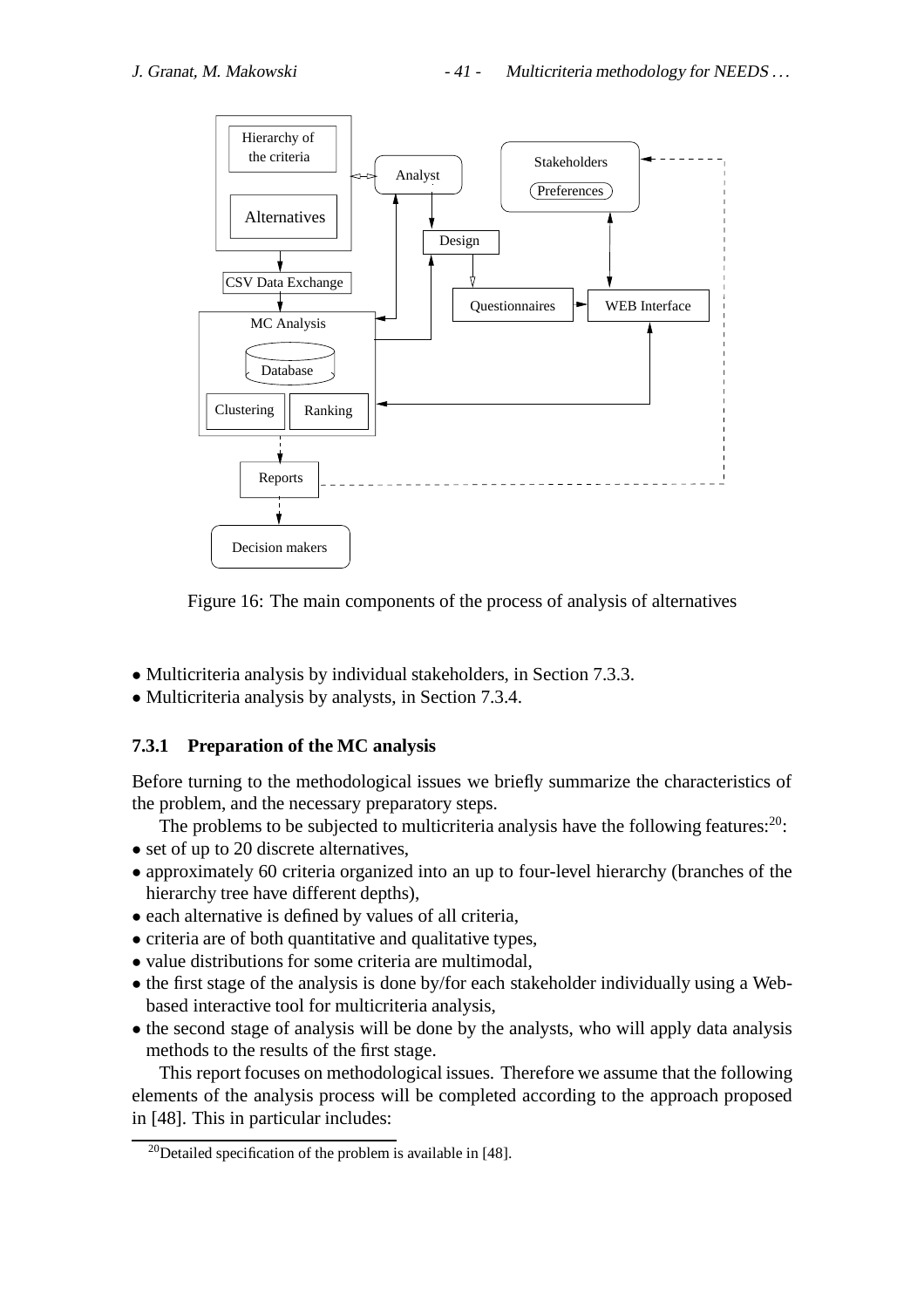

Figure 16: The main components of the process of analysis of alternatives

- Multicriteria analysis by individual stakeholders, in Section 7.3.3.
- Multicriteria analysis by analysts, in Section 7.3.4.

## **7.3.1 Preparation of the MC analysis**

Before turning to the methodological issues we briefly summarize the characteristics of the problem, and the necessary preparatory steps.

The problems to be subjected to multicriteria analysis have the following features: $20$ :

- set of up to 20 discrete alternatives,
- approximately 60 criteria organized into an up to four-level hierarchy (branches of the hierarchy tree have different depths),
- each alternative is defined by values of all criteria,
- criteria are of both quantitative and qualitative types,
- value distributions for some criteria are multimodal,
- the first stage of the analysis is done by/for each stakeholder individually using a Webbased interactive tool for multicriteria analysis,
- the second stage of analysis will be done by the analysts, who will apply data analysis methods to the results of the first stage.

This report focuses on methodological issues. Therefore we assume that the following elements of the analysis process will be completed according to the approach proposed in [48]. This in particular includes:

<sup>&</sup>lt;sup>20</sup>Detailed specification of the problem is available in [48].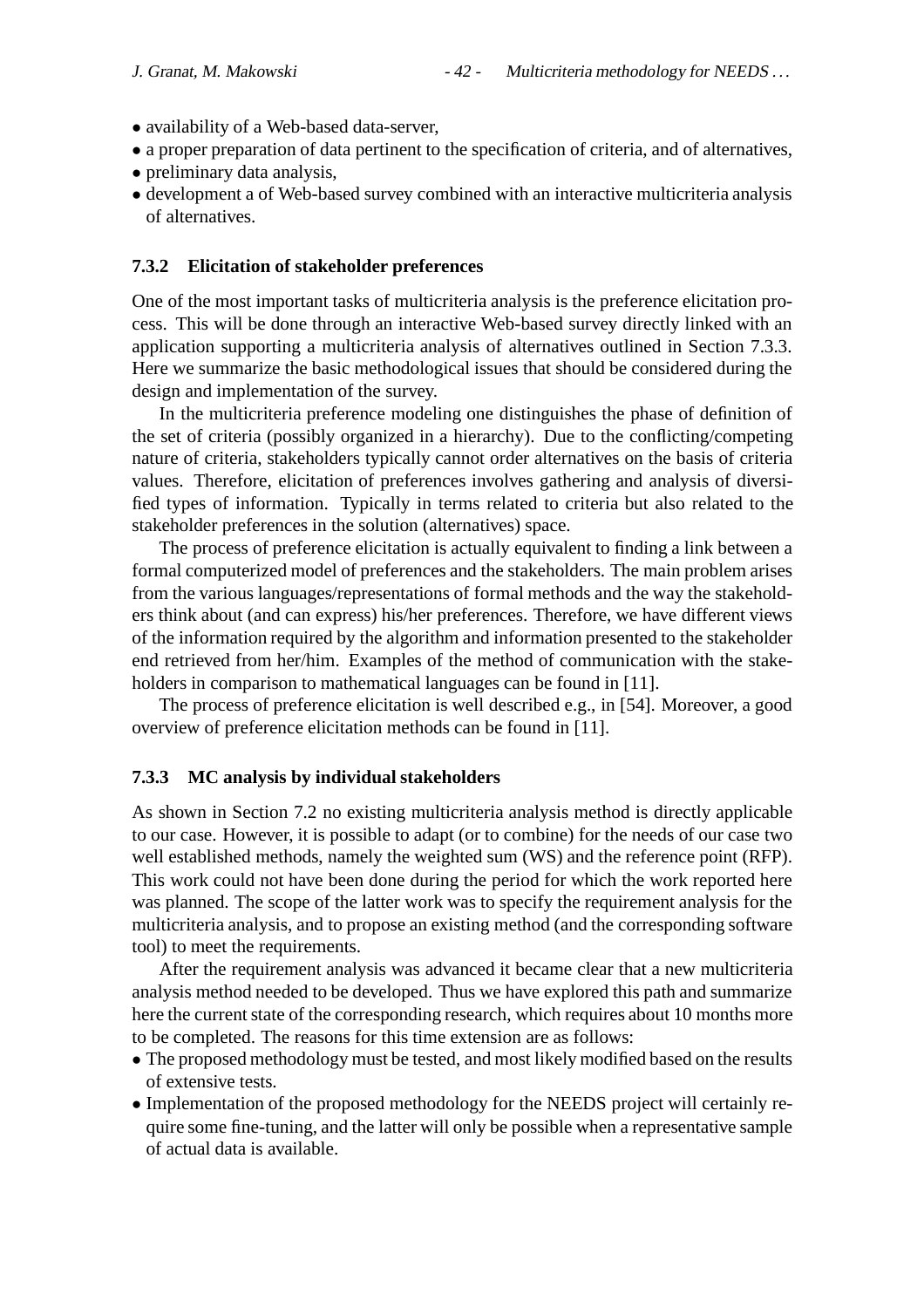- availability of a Web-based data-server,
- a proper preparation of data pertinent to the specification of criteria, and of alternatives,
- preliminary data analysis,
- development a of Web-based survey combined with an interactive multicriteria analysis of alternatives.

#### **7.3.2 Elicitation of stakeholder preferences**

One of the most important tasks of multicriteria analysis is the preference elicitation process. This will be done through an interactive Web-based survey directly linked with an application supporting a multicriteria analysis of alternatives outlined in Section 7.3.3. Here we summarize the basic methodological issues that should be considered during the design and implementation of the survey.

In the multicriteria preference modeling one distinguishes the phase of definition of the set of criteria (possibly organized in a hierarchy). Due to the conflicting/competing nature of criteria, stakeholders typically cannot order alternatives on the basis of criteria values. Therefore, elicitation of preferences involves gathering and analysis of diversified types of information. Typically in terms related to criteria but also related to the stakeholder preferences in the solution (alternatives) space.

The process of preference elicitation is actually equivalent to finding a link between a formal computerized model of preferences and the stakeholders. The main problem arises from the various languages/representations of formal methods and the way the stakeholders think about (and can express) his/her preferences. Therefore, we have different views of the information required by the algorithm and information presented to the stakeholder end retrieved from her/him. Examples of the method of communication with the stakeholders in comparison to mathematical languages can be found in [11].

The process of preference elicitation is well described e.g., in [54]. Moreover, a good overview of preference elicitation methods can be found in [11].

#### **7.3.3 MC analysis by individual stakeholders**

As shown in Section 7.2 no existing multicriteria analysis method is directly applicable to our case. However, it is possible to adapt (or to combine) for the needs of our case two well established methods, namely the weighted sum (WS) and the reference point (RFP). This work could not have been done during the period for which the work reported here was planned. The scope of the latter work was to specify the requirement analysis for the multicriteria analysis, and to propose an existing method (and the corresponding software tool) to meet the requirements.

After the requirement analysis was advanced it became clear that a new multicriteria analysis method needed to be developed. Thus we have explored this path and summarize here the current state of the corresponding research, which requires about 10 months more to be completed. The reasons for this time extension are as follows:

- The proposed methodology must be tested, and most likely modified based on the results of extensive tests.
- Implementation of the proposed methodology for the NEEDS project will certainly require some fine-tuning, and the latter will only be possible when a representative sample of actual data is available.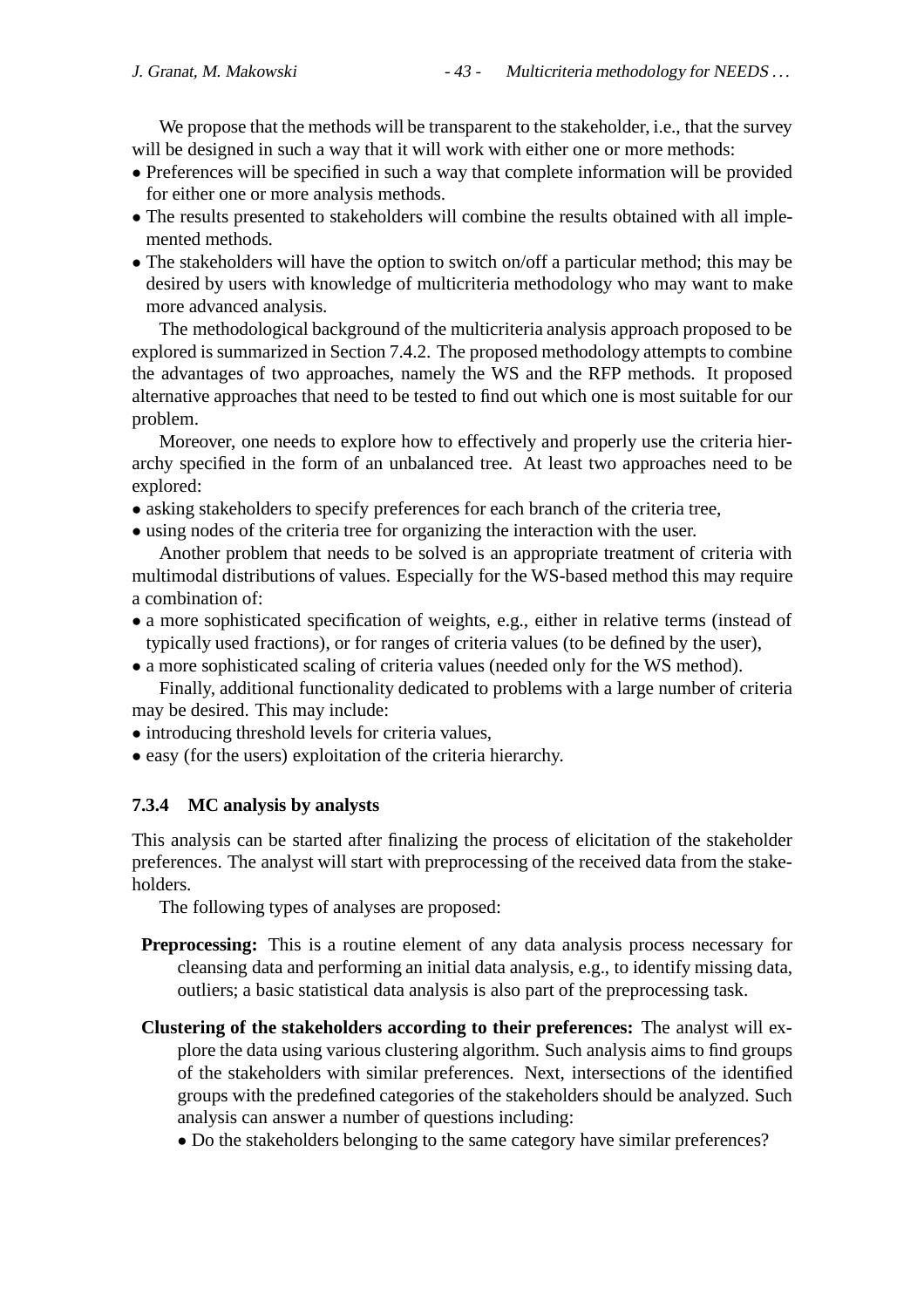We propose that the methods will be transparent to the stakeholder, i.e., that the survey will be designed in such a way that it will work with either one or more methods:

- Preferences will be specified in such a way that complete information will be provided for either one or more analysis methods.
- The results presented to stakeholders will combine the results obtained with all implemented methods.
- The stakeholders will have the option to switch on/off a particular method; this may be desired by users with knowledge of multicriteria methodology who may want to make more advanced analysis.

The methodological background of the multicriteria analysis approach proposed to be explored is summarized in Section 7.4.2. The proposed methodology attempts to combine the advantages of two approaches, namely the WS and the RFP methods. It proposed alternative approaches that need to be tested to find out which one is most suitable for our problem.

Moreover, one needs to explore how to effectively and properly use the criteria hierarchy specified in the form of an unbalanced tree. At least two approaches need to be explored:

- asking stakeholders to specify preferences for each branch of the criteria tree,
- using nodes of the criteria tree for organizing the interaction with the user.

Another problem that needs to be solved is an appropriate treatment of criteria with multimodal distributions of values. Especially for the WS-based method this may require a combination of:

- a more sophisticated specification of weights, e.g., either in relative terms (instead of typically used fractions), or for ranges of criteria values (to be defined by the user),
- a more sophisticated scaling of criteria values (needed only for the WS method).

Finally, additional functionality dedicated to problems with a large number of criteria may be desired. This may include:

- introducing threshold levels for criteria values,
- easy (for the users) exploitation of the criteria hierarchy.

## **7.3.4 MC analysis by analysts**

This analysis can be started after finalizing the process of elicitation of the stakeholder preferences. The analyst will start with preprocessing of the received data from the stakeholders.

The following types of analyses are proposed:

- **Preprocessing:** This is a routine element of any data analysis process necessary for cleansing data and performing an initial data analysis, e.g., to identify missing data, outliers; a basic statistical data analysis is also part of the preprocessing task.
- **Clustering of the stakeholders according to their preferences:** The analyst will explore the data using various clustering algorithm. Such analysis aims to find groups of the stakeholders with similar preferences. Next, intersections of the identified groups with the predefined categories of the stakeholders should be analyzed. Such analysis can answer a number of questions including:
	- Do the stakeholders belonging to the same category have similar preferences?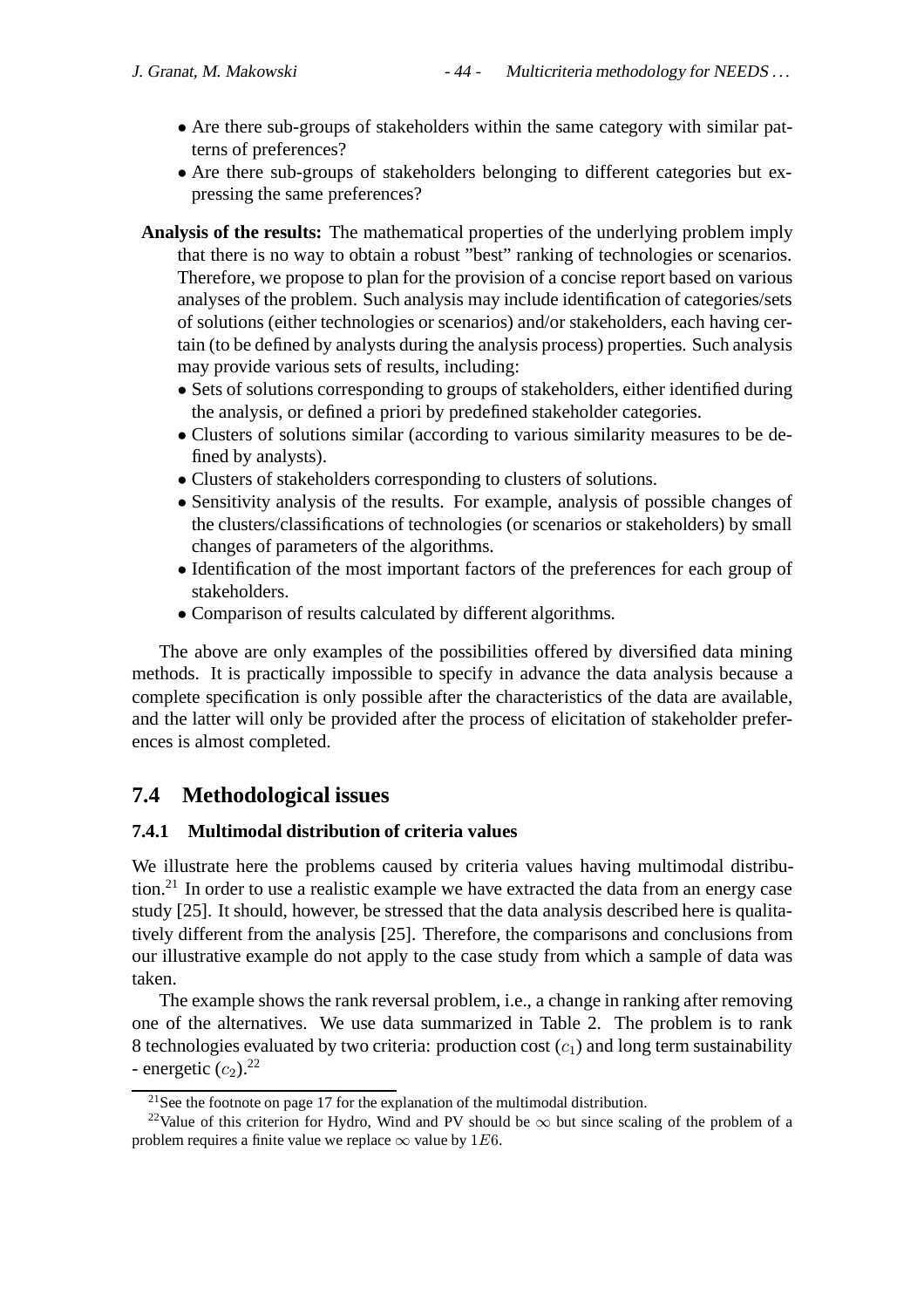- Are there sub-groups of stakeholders within the same category with similar patterns of preferences?
- Are there sub-groups of stakeholders belonging to different categories but expressing the same preferences?
- **Analysis of the results:** The mathematical properties of the underlying problem imply that there is no way to obtain a robust "best" ranking of technologies or scenarios. Therefore, we propose to plan for the provision of a concise report based on various analyses of the problem. Such analysis may include identification of categories/sets of solutions (either technologies or scenarios) and/or stakeholders, each having certain (to be defined by analysts during the analysis process) properties. Such analysis may provide various sets of results, including:
	- Sets of solutions corresponding to groups of stakeholders, either identified during the analysis, or defined a priori by predefined stakeholder categories.
	- Clusters of solutions similar (according to various similarity measures to be defined by analysts).
	- Clusters of stakeholders corresponding to clusters of solutions.
	- Sensitivity analysis of the results. For example, analysis of possible changes of the clusters/classifications of technologies (or scenarios or stakeholders) by small changes of parameters of the algorithms.
	- Identification of the most important factors of the preferences for each group of stakeholders.
	- Comparison of results calculated by different algorithms.

The above are only examples of the possibilities offered by diversified data mining methods. It is practically impossible to specify in advance the data analysis because a complete specification is only possible after the characteristics of the data are available, and the latter will only be provided after the process of elicitation of stakeholder preferences is almost completed.

## **7.4 Methodological issues**

## **7.4.1 Multimodal distribution of criteria values**

We illustrate here the problems caused by criteria values having multimodal distribution.<sup>21</sup> In order to use a realistic example we have extracted the data from an energy case study [25]. It should, however, be stressed that the data analysis described here is qualitatively different from the analysis [25]. Therefore, the comparisons and conclusions from our illustrative example do not apply to the case study from which a sample of data was taken.

The example shows the rank reversal problem, i.e., a change in ranking after removing one of the alternatives. We use data summarized in Table 2. The problem is to rank 8 technologies evaluated by two criteria: production cost  $(c_1)$  and long term sustainability - energetic  $(c_2)$ .<sup>22</sup>

<sup>&</sup>lt;sup>21</sup>See the footnote on page 17 for the explanation of the multimodal distribution.

<sup>&</sup>lt;sup>22</sup>Value of this criterion for Hydro, Wind and PV should be  $\infty$  but since scaling of the problem of a problem requires a finite value we replace  $\infty$  value by 1E6.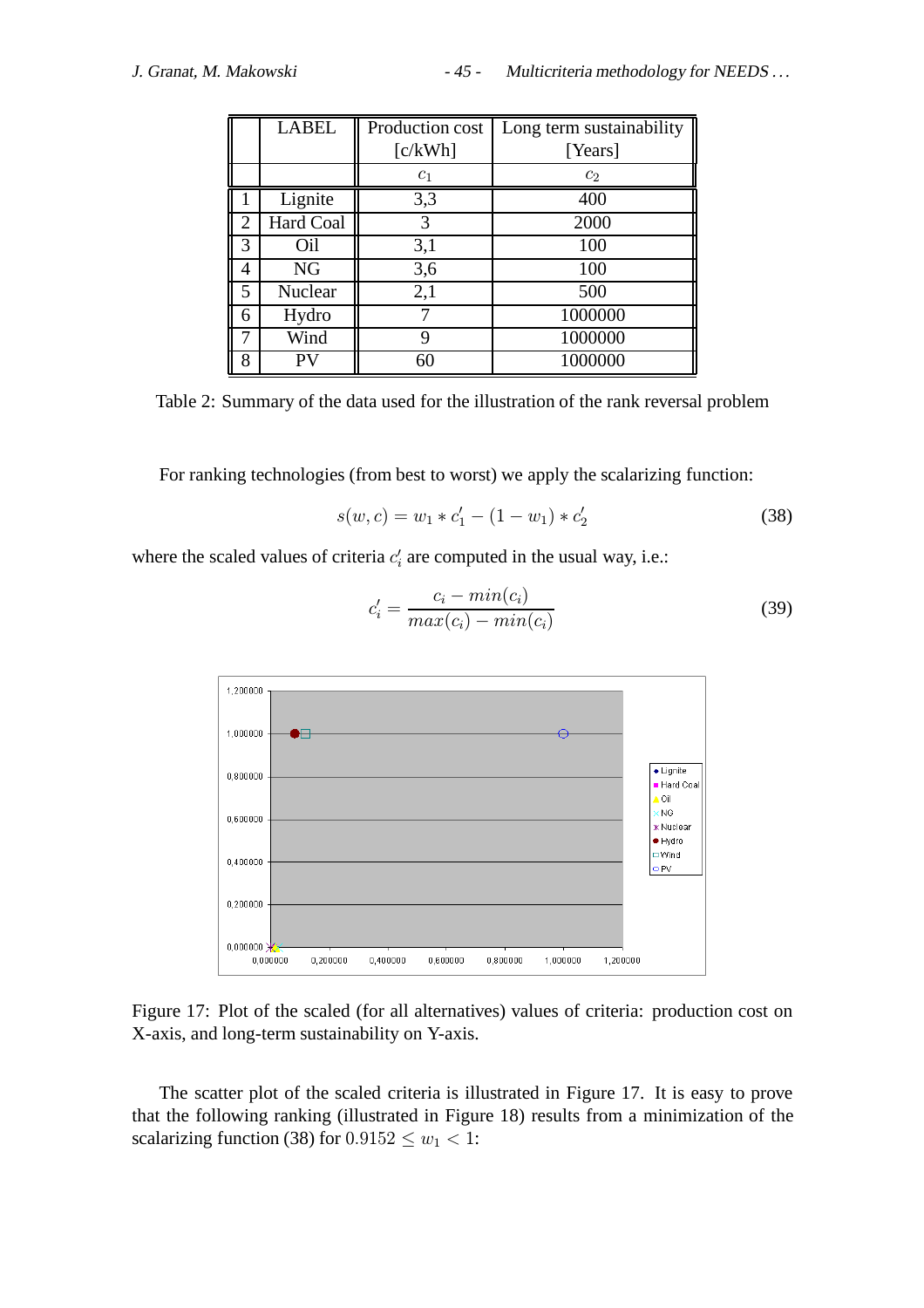|                | <b>LABEL</b> | Production cost | Long term sustainability |
|----------------|--------------|-----------------|--------------------------|
|                |              | [c/kWh]         | [Years]                  |
|                |              | c <sub>1</sub>  | c <sub>2</sub>           |
|                | Lignite      | 3,3             | 400                      |
| $\overline{2}$ | Hard Coal    | 3               | 2000                     |
| 3              | Oil          | 3,1             | 100                      |
| 4              | <b>NG</b>    | 3,6             | 100                      |
| 5              | Nuclear      | 2,1             | 500                      |
| 6              | Hydro        |                 | 1000000                  |
|                | Wind         | 9               | 1000000                  |
| 8              | PV           |                 | 1000000                  |

Table 2: Summary of the data used for the illustration of the rank reversal problem

For ranking technologies (from best to worst) we apply the scalarizing function:

$$
s(w, c) = w_1 * c_1' - (1 - w_1) * c_2'
$$
 (38)

where the scaled values of criteria  $c_i$  are computed in the usual way, i.e.:



$$
c'_{i} = \frac{c_{i} - min(c_{i})}{max(c_{i}) - min(c_{i})}
$$
\n(39)

Figure 17: Plot of the scaled (for all alternatives) values of criteria: production cost on X-axis, and long-term sustainability on Y-axis.

The scatter plot of the scaled criteria is illustrated in Figure 17. It is easy to prove that the following ranking (illustrated in Figure 18) results from a minimization of the scalarizing function (38) for  $0.9152 \leq w_1 < 1$ :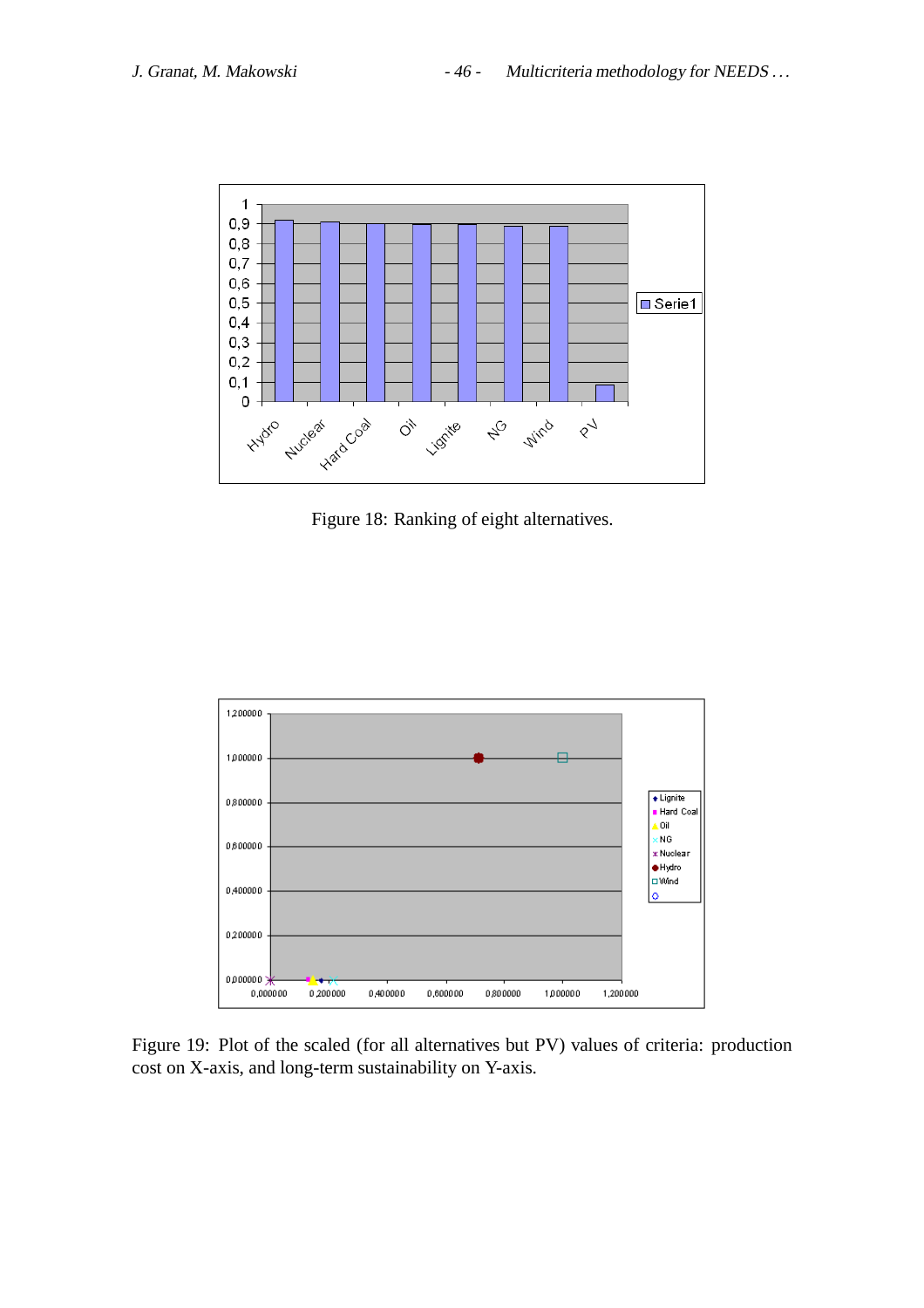

Figure 18: Ranking of eight alternatives.



Figure 19: Plot of the scaled (for all alternatives but PV) values of criteria: production cost on X-axis, and long-term sustainability on Y-axis.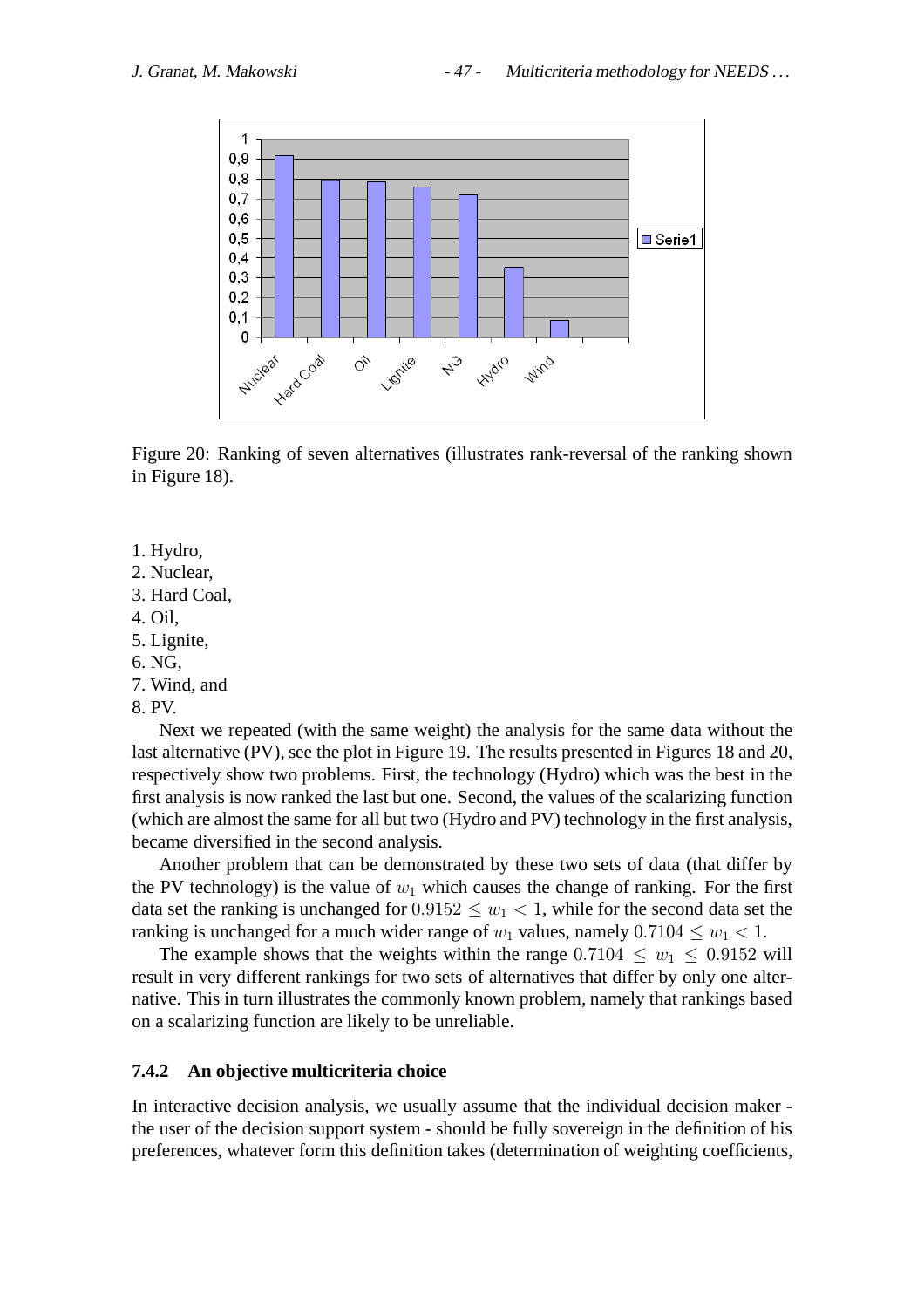

Figure 20: Ranking of seven alternatives (illustrates rank-reversal of the ranking shown in Figure 18).

- 1. Hydro,
- 2. Nuclear,
- 3. Hard Coal,
- 4. Oil,
- 5. Lignite,
- 6. NG,
- 7. Wind, and
- 8. PV.

Next we repeated (with the same weight) the analysis for the same data without the last alternative (PV), see the plot in Figure 19. The results presented in Figures 18 and 20, respectively show two problems. First, the technology (Hydro) which was the best in the first analysis is now ranked the last but one. Second, the values of the scalarizing function (which are almost the same for all but two (Hydro and PV) technology in the first analysis, became diversified in the second analysis.

Another problem that can be demonstrated by these two sets of data (that differ by the PV technology) is the value of  $w_1$  which causes the change of ranking. For the first data set the ranking is unchanged for  $0.9152 \leq w_1 < 1$ , while for the second data set the ranking is unchanged for a much wider range of  $w_1$  values, namely  $0.7104 \leq w_1 < 1$ .

The example shows that the weights within the range  $0.7104 \leq w_1 \leq 0.9152$  will result in very different rankings for two sets of alternatives that differ by only one alternative. This in turn illustrates the commonly known problem, namely that rankings based on a scalarizing function are likely to be unreliable.

## **7.4.2 An objective multicriteria choice**

In interactive decision analysis, we usually assume that the individual decision maker the user of the decision support system - should be fully sovereign in the definition of his preferences, whatever form this definition takes (determination of weighting coefficients,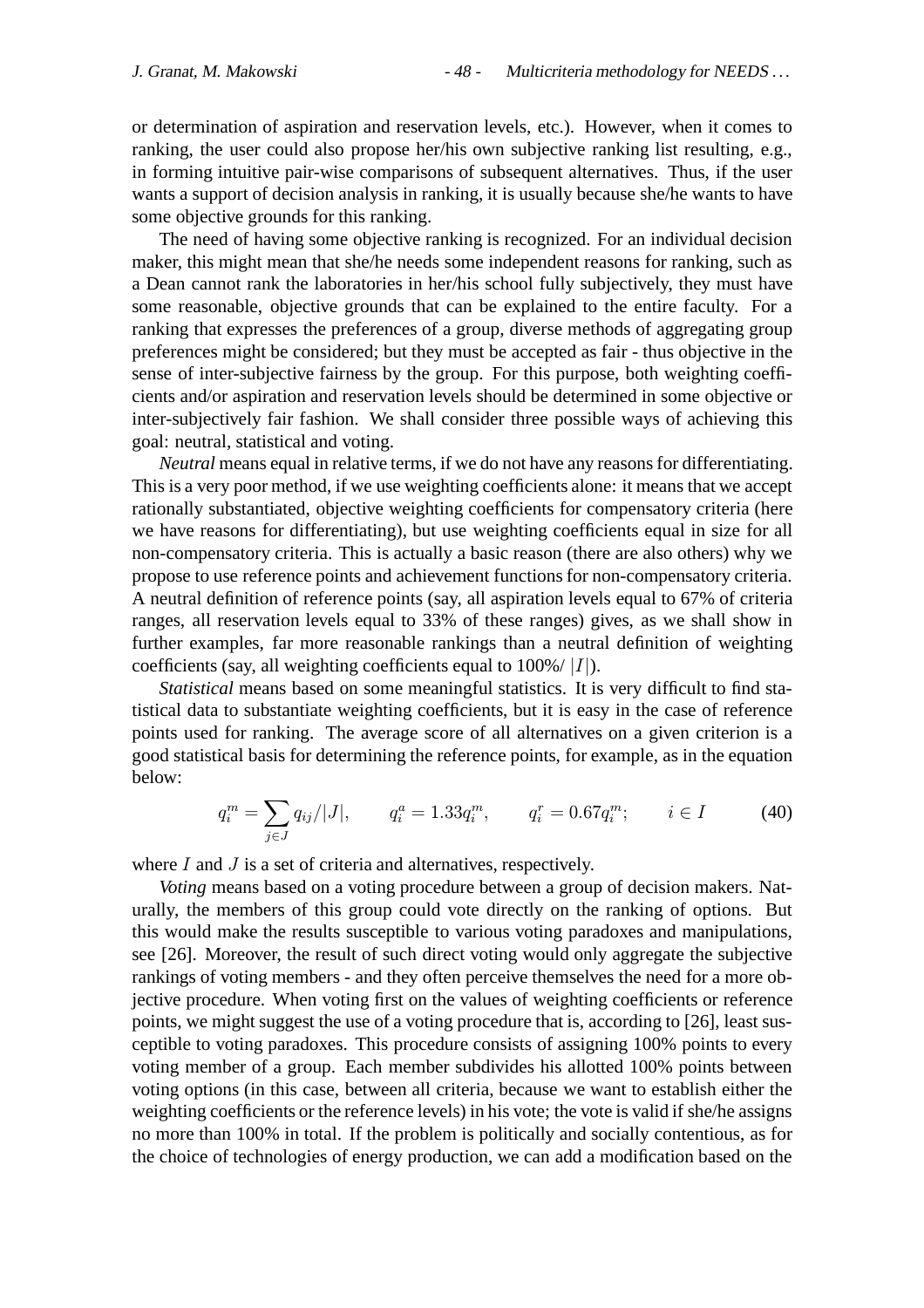or determination of aspiration and reservation levels, etc.). However, when it comes to ranking, the user could also propose her/his own subjective ranking list resulting, e.g., in forming intuitive pair-wise comparisons of subsequent alternatives. Thus, if the user wants a support of decision analysis in ranking, it is usually because she/he wants to have some objective grounds for this ranking.

The need of having some objective ranking is recognized. For an individual decision maker, this might mean that she/he needs some independent reasons for ranking, such as a Dean cannot rank the laboratories in her/his school fully subjectively, they must have some reasonable, objective grounds that can be explained to the entire faculty. For a ranking that expresses the preferences of a group, diverse methods of aggregating group preferences might be considered; but they must be accepted as fair - thus objective in the sense of inter-subjective fairness by the group. For this purpose, both weighting coefficients and/or aspiration and reservation levels should be determined in some objective or inter-subjectively fair fashion. We shall consider three possible ways of achieving this goal: neutral, statistical and voting.

*Neutral* means equal in relative terms, if we do not have any reasons for differentiating. This is a very poor method, if we use weighting coefficients alone: it means that we accept rationally substantiated, objective weighting coefficients for compensatory criteria (here we have reasons for differentiating), but use weighting coefficients equal in size for all non-compensatory criteria. This is actually a basic reason (there are also others) why we propose to use reference points and achievement functions for non-compensatory criteria. A neutral definition of reference points (say, all aspiration levels equal to 67% of criteria ranges, all reservation levels equal to 33% of these ranges) gives, as we shall show in further examples, far more reasonable rankings than a neutral definition of weighting coefficients (say, all weighting coefficients equal to  $100\%/|I|$ ).

*Statistical* means based on some meaningful statistics. It is very difficult to find statistical data to substantiate weighting coefficients, but it is easy in the case of reference points used for ranking. The average score of all alternatives on a given criterion is a good statistical basis for determining the reference points, for example, as in the equation below:

$$
q_i^m = \sum_{j \in J} q_{ij} / |J|, \qquad q_i^a = 1.33 q_i^m, \qquad q_i^r = 0.67 q_i^m; \qquad i \in I \tag{40}
$$

where  $I$  and  $J$  is a set of criteria and alternatives, respectively.

*Voting* means based on a voting procedure between a group of decision makers. Naturally, the members of this group could vote directly on the ranking of options. But this would make the results susceptible to various voting paradoxes and manipulations, see [26]. Moreover, the result of such direct voting would only aggregate the subjective rankings of voting members - and they often perceive themselves the need for a more objective procedure. When voting first on the values of weighting coefficients or reference points, we might suggest the use of a voting procedure that is, according to [26], least susceptible to voting paradoxes. This procedure consists of assigning 100% points to every voting member of a group. Each member subdivides his allotted 100% points between voting options (in this case, between all criteria, because we want to establish either the weighting coefficients or the reference levels) in his vote; the vote is valid if she/he assigns no more than 100% in total. If the problem is politically and socially contentious, as for the choice of technologies of energy production, we can add a modification based on the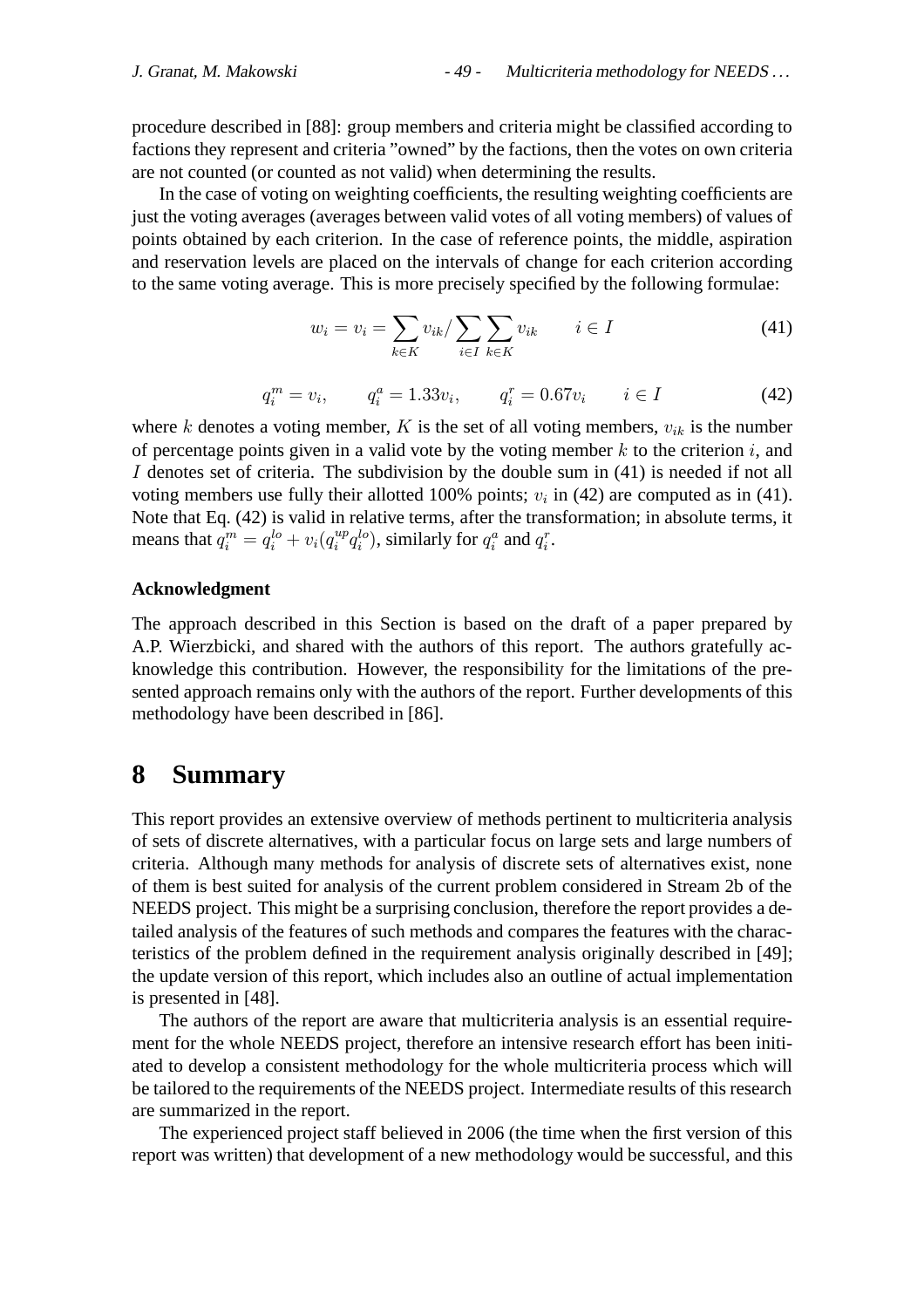procedure described in [88]: group members and criteria might be classified according to factions they represent and criteria "owned" by the factions, then the votes on own criteria are not counted (or counted as not valid) when determining the results.

In the case of voting on weighting coefficients, the resulting weighting coefficients are just the voting averages (averages between valid votes of all voting members) of values of points obtained by each criterion. In the case of reference points, the middle, aspiration and reservation levels are placed on the intervals of change for each criterion according to the same voting average. This is more precisely specified by the following formulae:

$$
w_i = v_i = \sum_{k \in K} v_{ik} / \sum_{i \in I} \sum_{k \in K} v_{ik} \qquad i \in I
$$
\n
$$
(41)
$$

$$
q_i^m = v_i, \qquad q_i^a = 1.33v_i, \qquad q_i^r = 0.67v_i \qquad i \in I \tag{42}
$$

where k denotes a voting member, K is the set of all voting members,  $v_{ik}$  is the number of percentage points given in a valid vote by the voting member  $k$  to the criterion  $i$ , and I denotes set of criteria. The subdivision by the double sum in (41) is needed if not all voting members use fully their allotted 100% points;  $v_i$  in (42) are computed as in (41). Note that Eq. (42) is valid in relative terms, after the transformation; in absolute terms, it means that  $q_i^m = q_i^{lo} + v_i(q_i^{up}q_i^{lo})$ , similarly for  $q_i^a$  and  $q_i^r$ .

#### **Acknowledgment**

The approach described in this Section is based on the draft of a paper prepared by A.P. Wierzbicki, and shared with the authors of this report. The authors gratefully acknowledge this contribution. However, the responsibility for the limitations of the presented approach remains only with the authors of the report. Further developments of this methodology have been described in [86].

# **8 Summary**

This report provides an extensive overview of methods pertinent to multicriteria analysis of sets of discrete alternatives, with a particular focus on large sets and large numbers of criteria. Although many methods for analysis of discrete sets of alternatives exist, none of them is best suited for analysis of the current problem considered in Stream 2b of the NEEDS project. This might be a surprising conclusion, therefore the report provides a detailed analysis of the features of such methods and compares the features with the characteristics of the problem defined in the requirement analysis originally described in [49]; the update version of this report, which includes also an outline of actual implementation is presented in [48].

The authors of the report are aware that multicriteria analysis is an essential requirement for the whole NEEDS project, therefore an intensive research effort has been initiated to develop a consistent methodology for the whole multicriteria process which will be tailored to the requirements of the NEEDS project. Intermediate results of this research are summarized in the report.

The experienced project staff believed in 2006 (the time when the first version of this report was written) that development of a new methodology would be successful, and this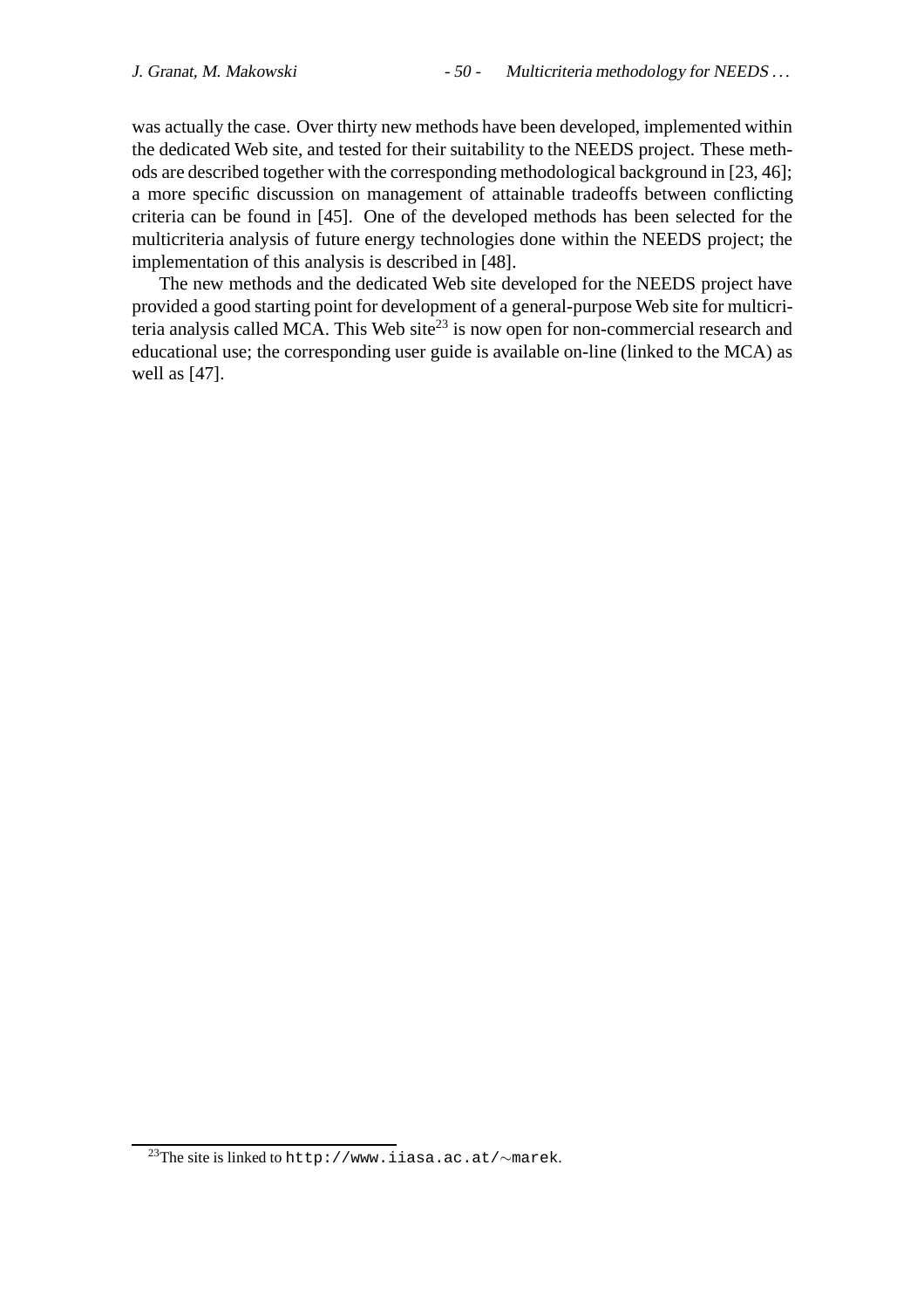was actually the case. Over thirty new methods have been developed, implemented within the dedicated Web site, and tested for their suitability to the NEEDS project. These methods are described together with the corresponding methodological background in [23, 46]; a more specific discussion on management of attainable tradeoffs between conflicting criteria can be found in [45]. One of the developed methods has been selected for the multicriteria analysis of future energy technologies done within the NEEDS project; the implementation of this analysis is described in [48].

The new methods and the dedicated Web site developed for the NEEDS project have provided a good starting point for development of a general-purpose Web site for multicriteria analysis called MCA. This Web site<sup>23</sup> is now open for non-commercial research and educational use; the corresponding user guide is available on-line (linked to the MCA) as well as [47].

<sup>23</sup>The site is linked to http://www.iiasa.ac.at/∼marek.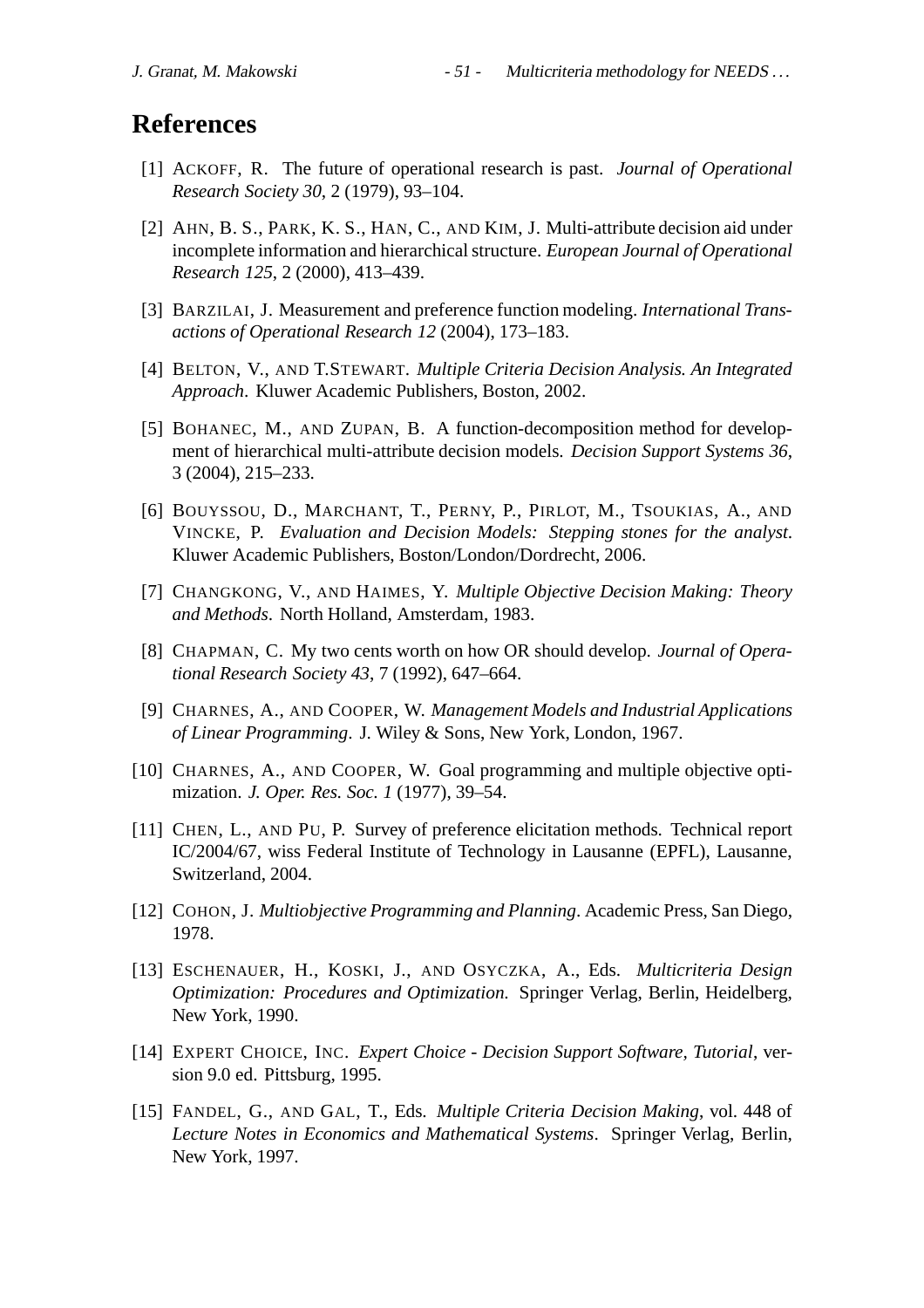# **References**

- [1] ACKOFF, R. The future of operational research is past. *Journal of Operational Research Society 30*, 2 (1979), 93–104.
- [2] AHN, B. S., PARK, K. S., HAN, C., AND KIM, J. Multi-attribute decision aid under incomplete information and hierarchical structure. *European Journal of Operational Research 125*, 2 (2000), 413–439.
- [3] BARZILAI, J. Measurement and preference function modeling. *International Transactions of Operational Research 12* (2004), 173–183.
- [4] BELTON, V., AND T.STEWART. *Multiple Criteria Decision Analysis. An Integrated Approach*. Kluwer Academic Publishers, Boston, 2002.
- [5] BOHANEC, M., AND ZUPAN, B. A function-decomposition method for development of hierarchical multi-attribute decision models. *Decision Support Systems 36*, 3 (2004), 215–233.
- [6] BOUYSSOU, D., MARCHANT, T., PERNY, P., PIRLOT, M., TSOUKIAS, A., AND VINCKE, P. *Evaluation and Decision Models: Stepping stones for the analyst*. Kluwer Academic Publishers, Boston/London/Dordrecht, 2006.
- [7] CHANGKONG, V., AND HAIMES, Y. *Multiple Objective Decision Making: Theory and Methods*. North Holland, Amsterdam, 1983.
- [8] CHAPMAN, C. My two cents worth on how OR should develop. *Journal of Operational Research Society 43*, 7 (1992), 647–664.
- [9] CHARNES, A., AND COOPER, W. *Management Models and Industrial Applications of Linear Programming*. J. Wiley & Sons, New York, London, 1967.
- [10] CHARNES, A., AND COOPER, W. Goal programming and multiple objective optimization. *J. Oper. Res. Soc. 1* (1977), 39–54.
- [11] CHEN, L., AND PU, P. Survey of preference elicitation methods. Technical report IC/2004/67, wiss Federal Institute of Technology in Lausanne (EPFL), Lausanne, Switzerland, 2004.
- [12] COHON, J. *Multiobjective Programming and Planning*. Academic Press, San Diego, 1978.
- [13] ESCHENAUER, H., KOSKI, J., AND OSYCZKA, A., Eds. *Multicriteria Design Optimization: Procedures and Optimization*. Springer Verlag, Berlin, Heidelberg, New York, 1990.
- [14] EXPERT CHOICE, INC. *Expert Choice Decision Support Software, Tutorial*, version 9.0 ed. Pittsburg, 1995.
- [15] FANDEL, G., AND GAL, T., Eds. *Multiple Criteria Decision Making*, vol. 448 of *Lecture Notes in Economics and Mathematical Systems*. Springer Verlag, Berlin, New York, 1997.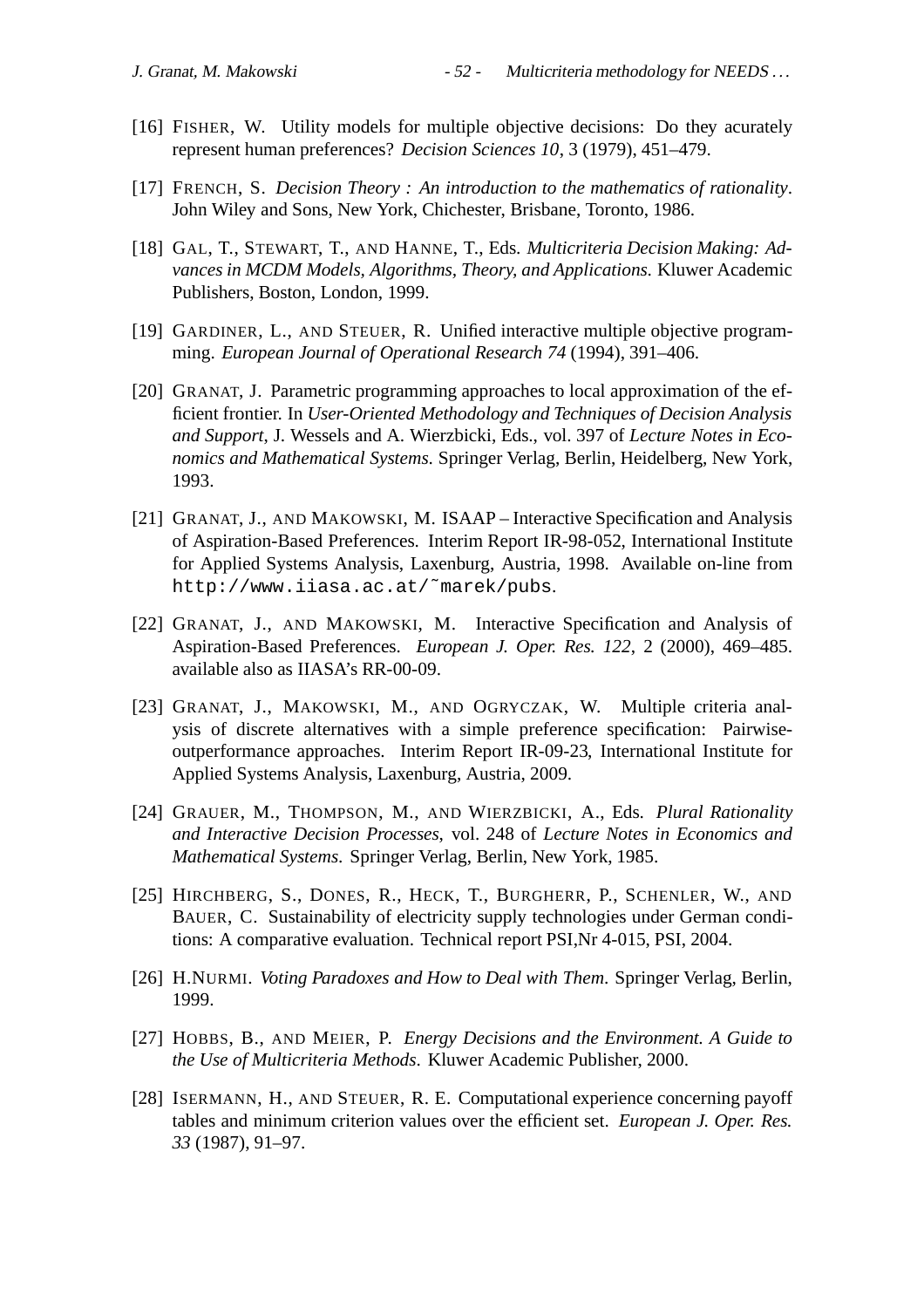- [16] FISHER, W. Utility models for multiple objective decisions: Do they acurately represent human preferences? *Decision Sciences 10*, 3 (1979), 451–479.
- [17] FRENCH, S. *Decision Theory : An introduction to the mathematics of rationality*. John Wiley and Sons, New York, Chichester, Brisbane, Toronto, 1986.
- [18] GAL, T., STEWART, T., AND HANNE, T., Eds. *Multicriteria Decision Making: Advances in MCDM Models, Algorithms, Theory, and Applications*. Kluwer Academic Publishers, Boston, London, 1999.
- [19] GARDINER, L., AND STEUER, R. Unified interactive multiple objective programming. *European Journal of Operational Research 74* (1994), 391–406.
- [20] GRANAT, J. Parametric programming approaches to local approximation of the efficient frontier. In *User-Oriented Methodology and Techniques of Decision Analysis and Support*, J. Wessels and A. Wierzbicki, Eds., vol. 397 of *Lecture Notes in Economics and Mathematical Systems*. Springer Verlag, Berlin, Heidelberg, New York, 1993.
- [21] GRANAT, J., AND MAKOWSKI, M. ISAAP Interactive Specification and Analysis of Aspiration-Based Preferences. Interim Report IR-98-052, International Institute for Applied Systems Analysis, Laxenburg, Austria, 1998. Available on-line from http://www.iiasa.ac.at/˜marek/pubs.
- [22] GRANAT, J., AND MAKOWSKI, M. Interactive Specification and Analysis of Aspiration-Based Preferences. *European J. Oper. Res. 122*, 2 (2000), 469–485. available also as IIASA's RR-00-09.
- [23] GRANAT, J., MAKOWSKI, M., AND OGRYCZAK, W. Multiple criteria analysis of discrete alternatives with a simple preference specification: Pairwiseoutperformance approaches. Interim Report IR-09-23, International Institute for Applied Systems Analysis, Laxenburg, Austria, 2009.
- [24] GRAUER, M., THOMPSON, M., AND WIERZBICKI, A., Eds. *Plural Rationality and Interactive Decision Processes*, vol. 248 of *Lecture Notes in Economics and Mathematical Systems*. Springer Verlag, Berlin, New York, 1985.
- [25] HIRCHBERG, S., DONES, R., HECK, T., BURGHERR, P., SCHENLER, W., AND BAUER, C. Sustainability of electricity supply technologies under German conditions: A comparative evaluation. Technical report PSI,Nr 4-015, PSI, 2004.
- [26] H.NURMI. *Voting Paradoxes and How to Deal with Them*. Springer Verlag, Berlin, 1999.
- [27] HOBBS, B., AND MEIER, P. *Energy Decisions and the Environment. A Guide to the Use of Multicriteria Methods*. Kluwer Academic Publisher, 2000.
- [28] ISERMANN, H., AND STEUER, R. E. Computational experience concerning payoff tables and minimum criterion values over the efficient set. *European J. Oper. Res. 33* (1987), 91–97.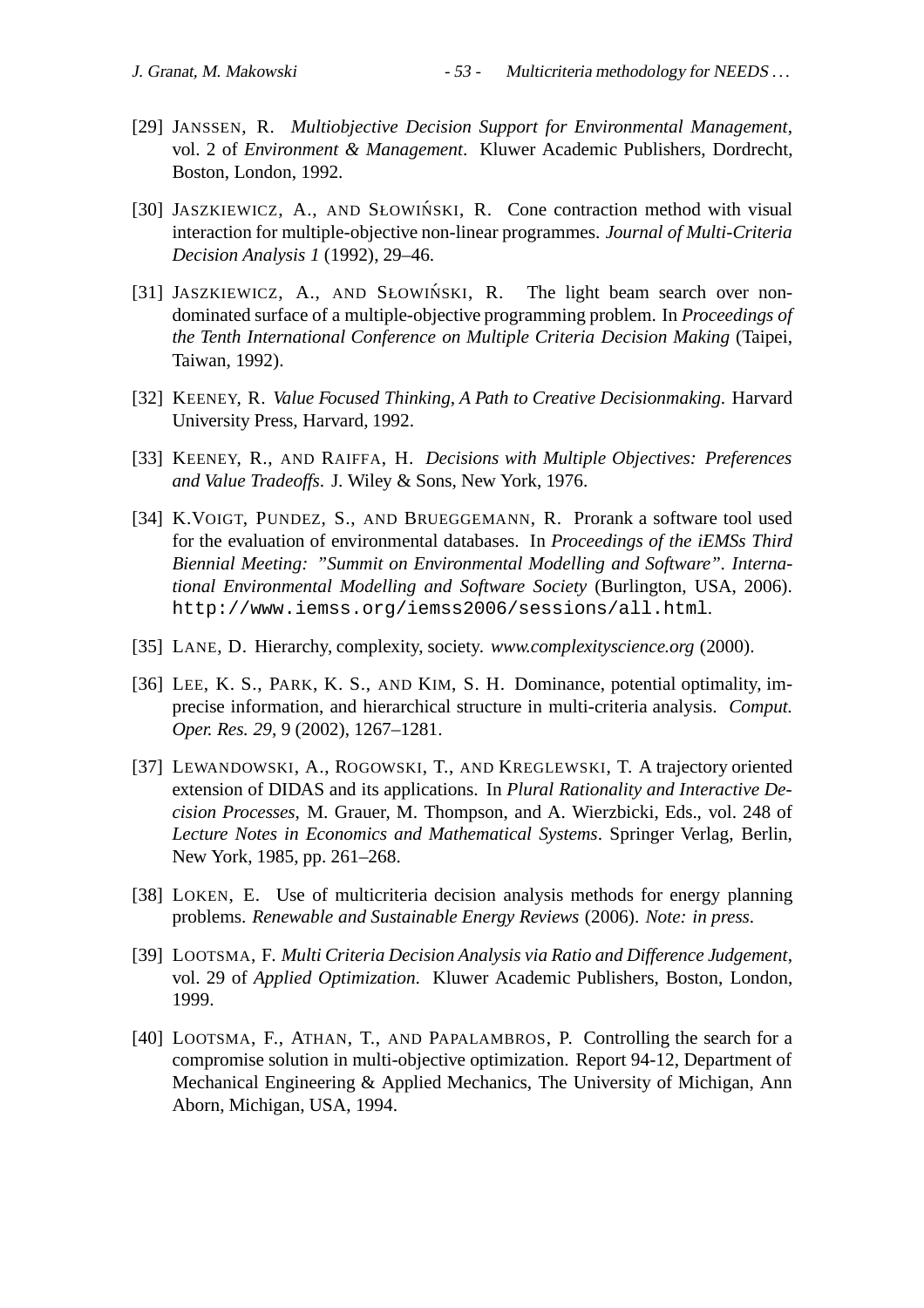- [29] JANSSEN, R. *Multiobjective Decision Support for Environmental Management*, vol. 2 of *Environment & Management*. Kluwer Academic Publishers, Dordrecht, Boston, London, 1992.
- [30] JASZKIEWICZ, A., AND SŁOWIŃSKI, R. Cone contraction method with visual interaction for multiple-objective non-linear programmes. *Journal of Multi-Criteria Decision Analysis 1* (1992), 29–46.
- [31] JASZKIEWICZ, A., AND SŁOWIŃSKI, R. The light beam search over nondominated surface of a multiple-objective programming problem. In *Proceedings of the Tenth International Conference on Multiple Criteria Decision Making* (Taipei, Taiwan, 1992).
- [32] KEENEY, R. *Value Focused Thinking, A Path to Creative Decisionmaking*. Harvard University Press, Harvard, 1992.
- [33] KEENEY, R., AND RAIFFA, H. *Decisions with Multiple Objectives: Preferences and Value Tradeoffs*. J. Wiley & Sons, New York, 1976.
- [34] K.VOIGT, PUNDEZ, S., AND BRUEGGEMANN, R. Prorank a software tool used for the evaluation of environmental databases. In *Proceedings of the iEMSs Third Biennial Meeting: "Summit on Environmental Modelling and Software". International Environmental Modelling and Software Society* (Burlington, USA, 2006). http://www.iemss.org/iemss2006/sessions/all.html.
- [35] LANE, D. Hierarchy, complexity, society. *www.complexityscience.org* (2000).
- [36] LEE, K. S., PARK, K. S., AND KIM, S. H. Dominance, potential optimality, imprecise information, and hierarchical structure in multi-criteria analysis. *Comput. Oper. Res. 29*, 9 (2002), 1267–1281.
- [37] LEWANDOWSKI, A., ROGOWSKI, T., AND KREGLEWSKI, T. A trajectory oriented extension of DIDAS and its applications. In *Plural Rationality and Interactive Decision Processes*, M. Grauer, M. Thompson, and A. Wierzbicki, Eds., vol. 248 of *Lecture Notes in Economics and Mathematical Systems*. Springer Verlag, Berlin, New York, 1985, pp. 261–268.
- [38] LOKEN, E. Use of multicriteria decision analysis methods for energy planning problems. *Renewable and Sustainable Energy Reviews* (2006). *Note: in press*.
- [39] LOOTSMA, F. *Multi Criteria Decision Analysis via Ratio and Difference Judgement*, vol. 29 of *Applied Optimization*. Kluwer Academic Publishers, Boston, London, 1999.
- [40] LOOTSMA, F., ATHAN, T., AND PAPALAMBROS, P. Controlling the search for a compromise solution in multi-objective optimization. Report 94-12, Department of Mechanical Engineering & Applied Mechanics, The University of Michigan, Ann Aborn, Michigan, USA, 1994.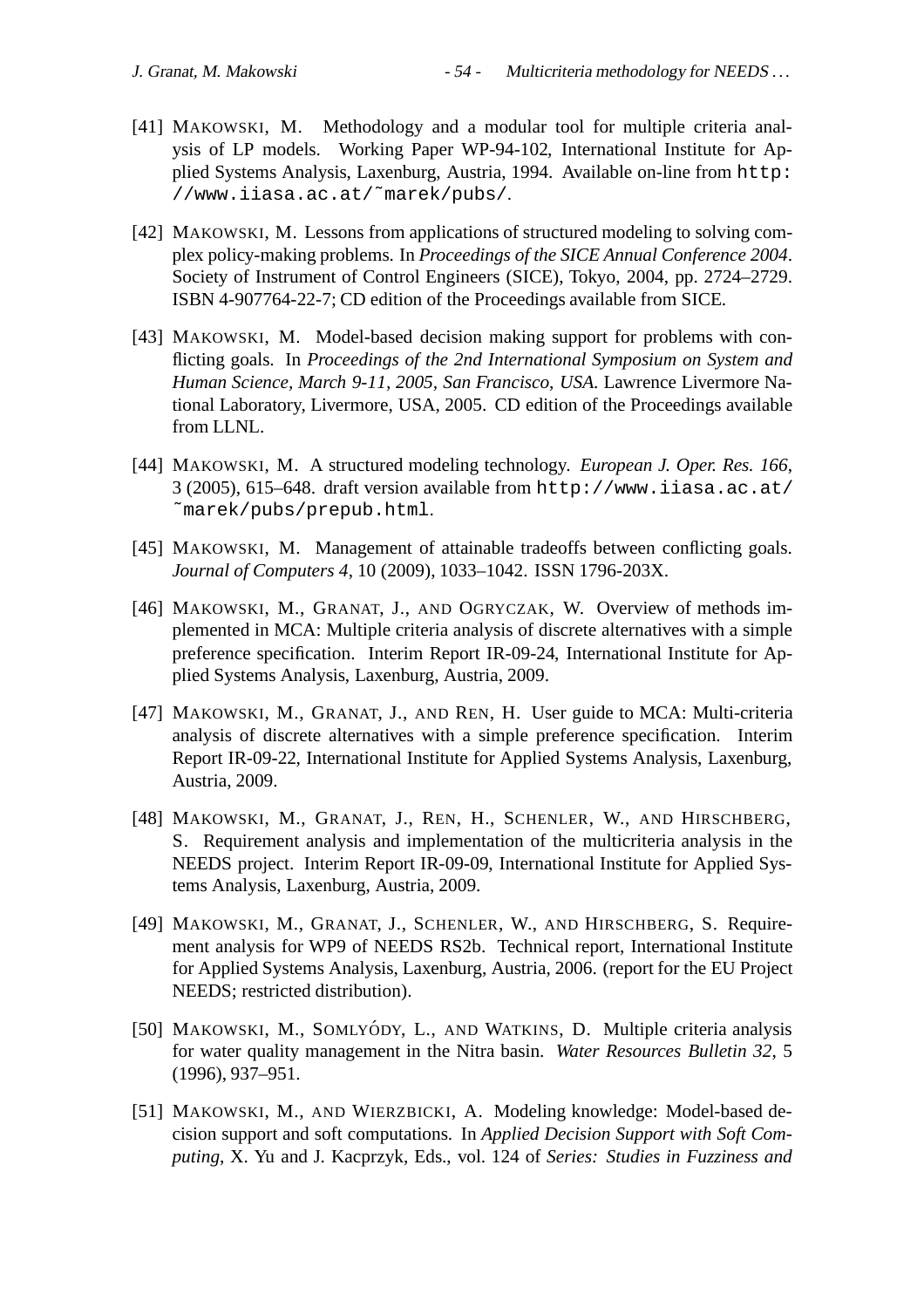- [41] MAKOWSKI, M. Methodology and a modular tool for multiple criteria analysis of LP models. Working Paper WP-94-102, International Institute for Applied Systems Analysis, Laxenburg, Austria, 1994. Available on-line from http: //www.iiasa.ac.at/˜marek/pubs/.
- [42] MAKOWSKI, M. Lessons from applications of structured modeling to solving complex policy-making problems. In *Proceedings of the SICE Annual Conference 2004*. Society of Instrument of Control Engineers (SICE), Tokyo, 2004, pp. 2724–2729. ISBN 4-907764-22-7; CD edition of the Proceedings available from SICE.
- [43] MAKOWSKI, M. Model-based decision making support for problems with conflicting goals. In *Proceedings of the 2nd International Symposium on System and Human Science, March 9-11, 2005, San Francisco, USA*. Lawrence Livermore National Laboratory, Livermore, USA, 2005. CD edition of the Proceedings available from LLNL.
- [44] MAKOWSKI, M. A structured modeling technology. *European J. Oper. Res. 166*, 3 (2005), 615–648. draft version available from http://www.iiasa.ac.at/ ˜marek/pubs/prepub.html.
- [45] MAKOWSKI, M. Management of attainable tradeoffs between conflicting goals. *Journal of Computers 4*, 10 (2009), 1033–1042. ISSN 1796-203X.
- [46] MAKOWSKI, M., GRANAT, J., AND OGRYCZAK, W. Overview of methods implemented in MCA: Multiple criteria analysis of discrete alternatives with a simple preference specification. Interim Report IR-09-24, International Institute for Applied Systems Analysis, Laxenburg, Austria, 2009.
- [47] MAKOWSKI, M., GRANAT, J., AND REN, H. User guide to MCA: Multi-criteria analysis of discrete alternatives with a simple preference specification. Interim Report IR-09-22, International Institute for Applied Systems Analysis, Laxenburg, Austria, 2009.
- [48] MAKOWSKI, M., GRANAT, J., REN, H., SCHENLER, W., AND HIRSCHBERG, S. Requirement analysis and implementation of the multicriteria analysis in the NEEDS project. Interim Report IR-09-09, International Institute for Applied Systems Analysis, Laxenburg, Austria, 2009.
- [49] MAKOWSKI, M., GRANAT, J., SCHENLER, W., AND HIRSCHBERG, S. Requirement analysis for WP9 of NEEDS RS2b. Technical report, International Institute for Applied Systems Analysis, Laxenburg, Austria, 2006. (report for the EU Project NEEDS; restricted distribution).
- [50] MAKOWSKI, M., SOMLYÓDY, L., AND WATKINS, D. Multiple criteria analysis for water quality management in the Nitra basin. *Water Resources Bulletin 32*, 5 (1996), 937–951.
- [51] MAKOWSKI, M., AND WIERZBICKI, A. Modeling knowledge: Model-based decision support and soft computations. In *Applied Decision Support with Soft Computing*, X. Yu and J. Kacprzyk, Eds., vol. 124 of *Series: Studies in Fuzziness and*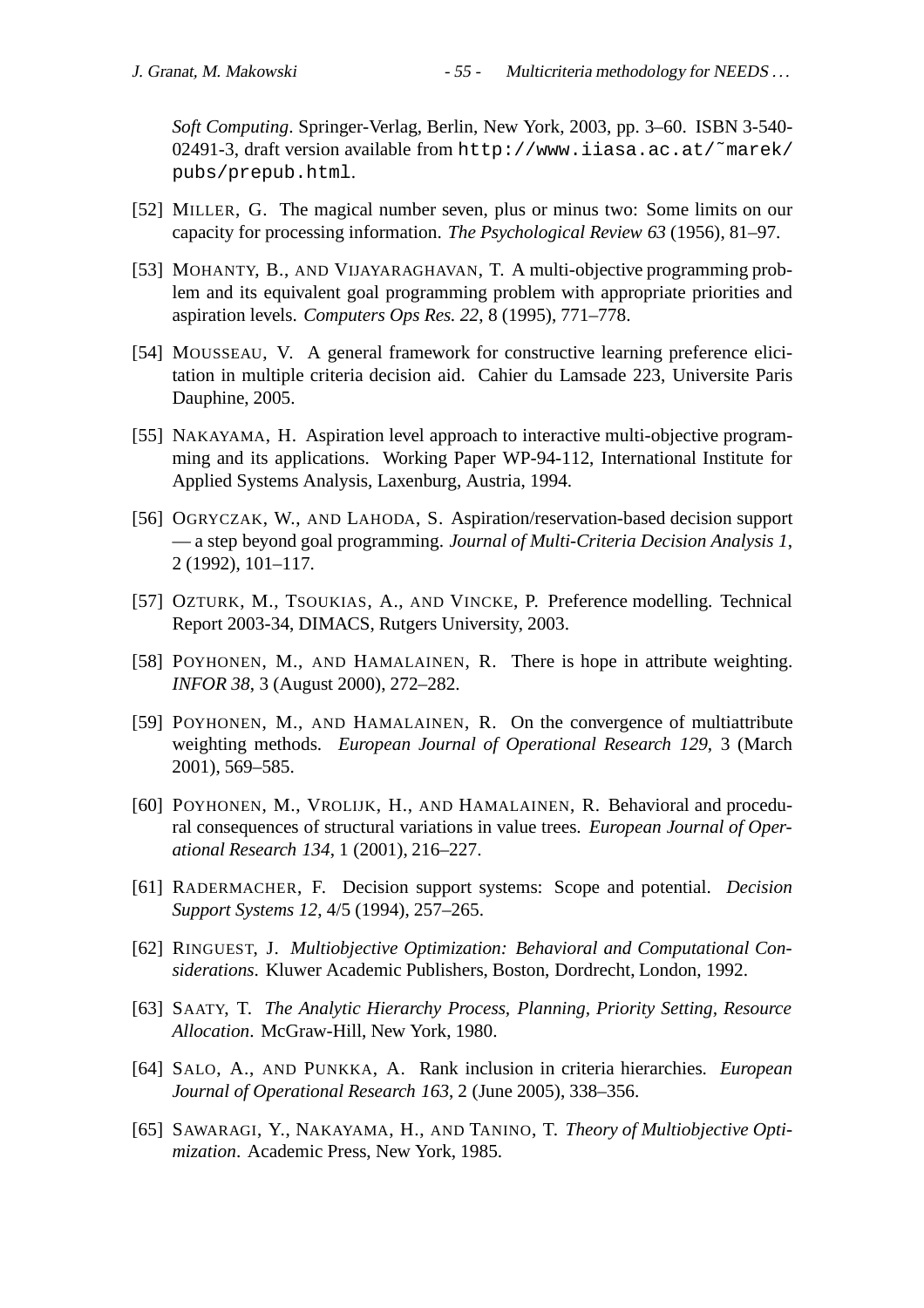*Soft Computing*. Springer-Verlag, Berlin, New York, 2003, pp. 3–60. ISBN 3-540- 02491-3, draft version available from http://www.iiasa.ac.at/˜marek/ pubs/prepub.html.

- [52] MILLER, G. The magical number seven, plus or minus two: Some limits on our capacity for processing information. *The Psychological Review 63* (1956), 81–97.
- [53] MOHANTY, B., AND VIJAYARAGHAVAN, T. A multi-objective programming problem and its equivalent goal programming problem with appropriate priorities and aspiration levels. *Computers Ops Res. 22*, 8 (1995), 771–778.
- [54] MOUSSEAU, V. A general framework for constructive learning preference elicitation in multiple criteria decision aid. Cahier du Lamsade 223, Universite Paris Dauphine, 2005.
- [55] NAKAYAMA, H. Aspiration level approach to interactive multi-objective programming and its applications. Working Paper WP-94-112, International Institute for Applied Systems Analysis, Laxenburg, Austria, 1994.
- [56] OGRYCZAK, W., AND LAHODA, S. Aspiration/reservation-based decision support — a step beyond goal programming. *Journal of Multi-Criteria Decision Analysis 1*, 2 (1992), 101–117.
- [57] OZTURK, M., TSOUKIAS, A., AND VINCKE, P. Preference modelling. Technical Report 2003-34, DIMACS, Rutgers University, 2003.
- [58] POYHONEN, M., AND HAMALAINEN, R. There is hope in attribute weighting. *INFOR 38*, 3 (August 2000), 272–282.
- [59] POYHONEN, M., AND HAMALAINEN, R. On the convergence of multiattribute weighting methods. *European Journal of Operational Research 129*, 3 (March 2001), 569–585.
- [60] POYHONEN, M., VROLIJK, H., AND HAMALAINEN, R. Behavioral and procedural consequences of structural variations in value trees. *European Journal of Operational Research 134*, 1 (2001), 216–227.
- [61] RADERMACHER, F. Decision support systems: Scope and potential. *Decision Support Systems 12*, 4/5 (1994), 257–265.
- [62] RINGUEST, J. *Multiobjective Optimization: Behavioral and Computational Considerations*. Kluwer Academic Publishers, Boston, Dordrecht, London, 1992.
- [63] SAATY, T. *The Analytic Hierarchy Process, Planning, Priority Setting, Resource Allocation*. McGraw-Hill, New York, 1980.
- [64] SALO, A., AND PUNKKA, A. Rank inclusion in criteria hierarchies. *European Journal of Operational Research 163*, 2 (June 2005), 338–356.
- [65] SAWARAGI, Y., NAKAYAMA, H., AND TANINO, T. *Theory of Multiobjective Optimization*. Academic Press, New York, 1985.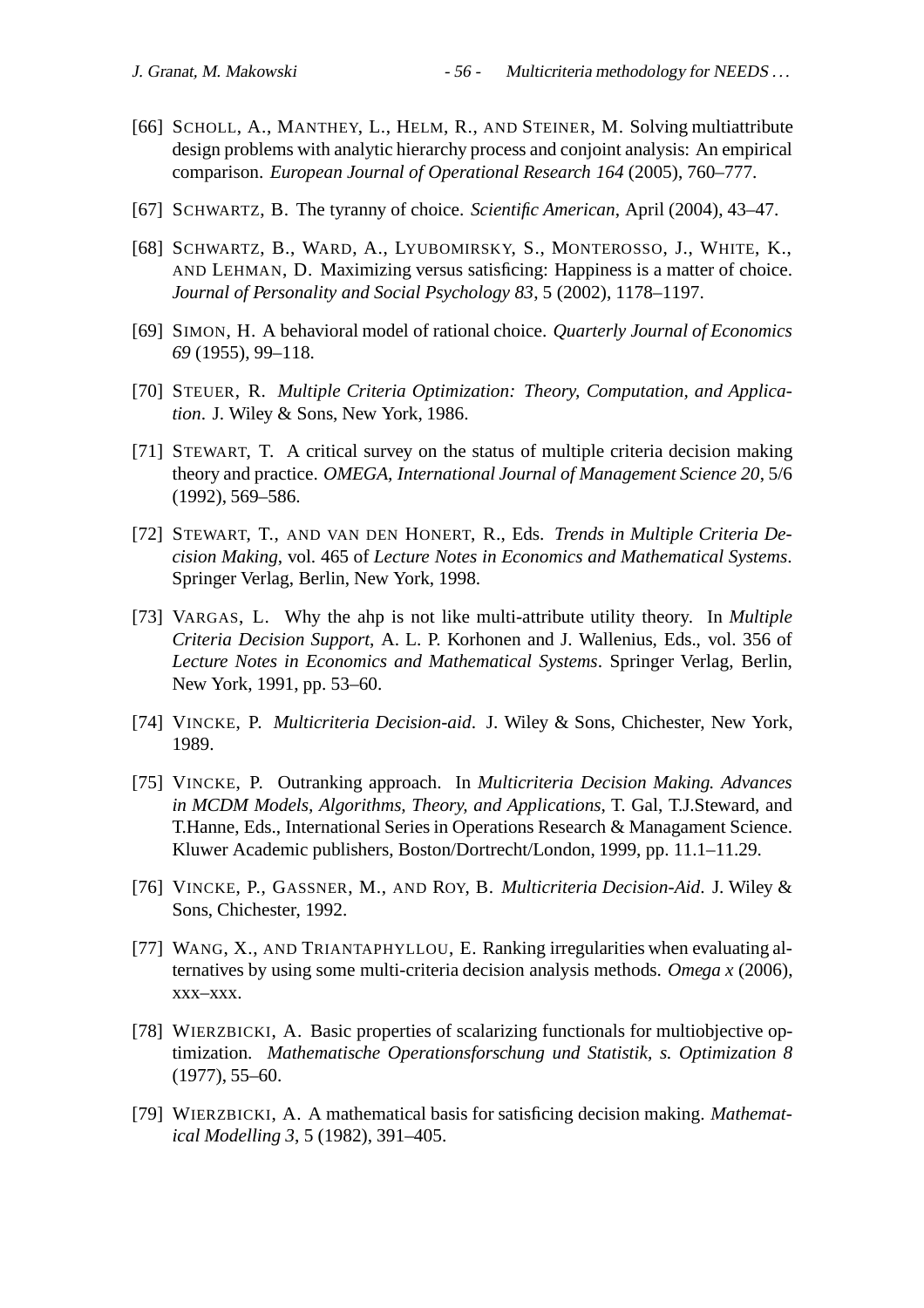- [66] SCHOLL, A., MANTHEY, L., HELM, R., AND STEINER, M. Solving multiattribute design problems with analytic hierarchy process and conjoint analysis: An empirical comparison. *European Journal of Operational Research 164* (2005), 760–777.
- [67] SCHWARTZ, B. The tyranny of choice. *Scientific American*, April (2004), 43–47.
- [68] SCHWARTZ, B., WARD, A., LYUBOMIRSKY, S., MONTEROSSO, J., WHITE, K., AND LEHMAN, D. Maximizing versus satisficing: Happiness is a matter of choice. *Journal of Personality and Social Psychology 83*, 5 (2002), 1178–1197.
- [69] SIMON, H. A behavioral model of rational choice. *Quarterly Journal of Economics 69* (1955), 99–118.
- [70] STEUER, R. *Multiple Criteria Optimization: Theory, Computation, and Application*. J. Wiley & Sons, New York, 1986.
- [71] STEWART, T. A critical survey on the status of multiple criteria decision making theory and practice. *OMEGA, International Journal of Management Science 20*, 5/6 (1992), 569–586.
- [72] STEWART, T., AND VAN DEN HONERT, R., Eds. *Trends in Multiple Criteria Decision Making*, vol. 465 of *Lecture Notes in Economics and Mathematical Systems*. Springer Verlag, Berlin, New York, 1998.
- [73] VARGAS, L. Why the ahp is not like multi-attribute utility theory. In *Multiple Criteria Decision Support*, A. L. P. Korhonen and J. Wallenius, Eds., vol. 356 of *Lecture Notes in Economics and Mathematical Systems*. Springer Verlag, Berlin, New York, 1991, pp. 53–60.
- [74] VINCKE, P. *Multicriteria Decision-aid*. J. Wiley & Sons, Chichester, New York, 1989.
- [75] VINCKE, P. Outranking approach. In *Multicriteria Decision Making. Advances in MCDM Models, Algorithms, Theory, and Applications*, T. Gal, T.J.Steward, and T.Hanne, Eds., International Series in Operations Research & Managament Science. Kluwer Academic publishers, Boston/Dortrecht/London, 1999, pp. 11.1–11.29.
- [76] VINCKE, P., GASSNER, M., AND ROY, B. *Multicriteria Decision-Aid*. J. Wiley & Sons, Chichester, 1992.
- [77] WANG, X., AND TRIANTAPHYLLOU, E. Ranking irregularities when evaluating alternatives by using some multi-criteria decision analysis methods. *Omega x* (2006), xxx–xxx.
- [78] WIERZBICKI, A. Basic properties of scalarizing functionals for multiobjective optimization. *Mathematische Operationsforschung und Statistik, s. Optimization 8* (1977), 55–60.
- [79] WIERZBICKI, A. A mathematical basis for satisficing decision making. *Mathematical Modelling 3*, 5 (1982), 391–405.